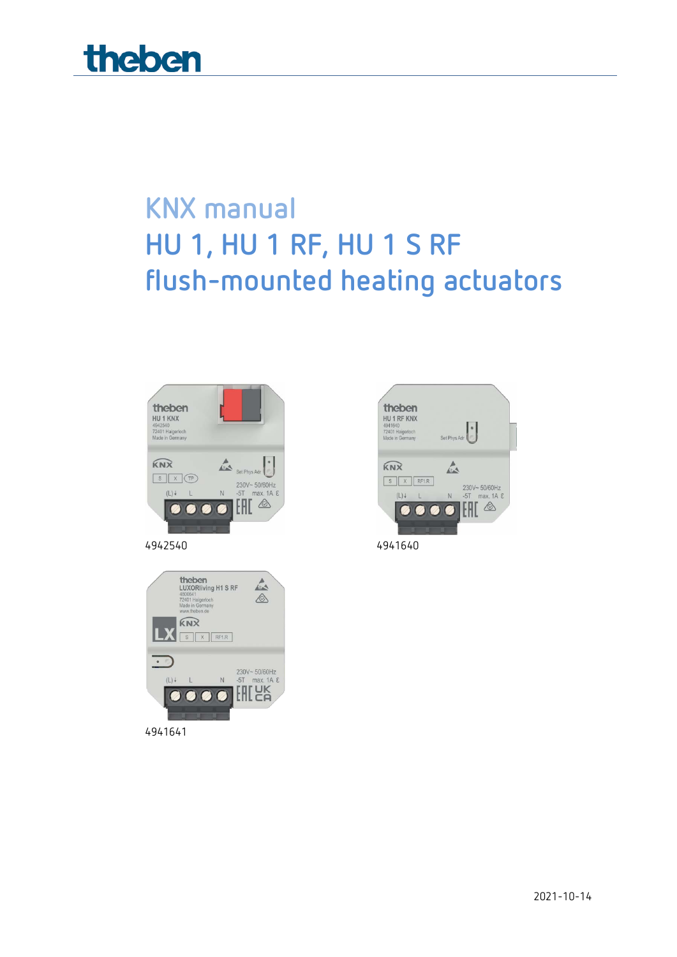

# **KNX manual HU 1, HU 1 RF, HU 1 S RF flush-mounted heating actuators**









4942540 4941640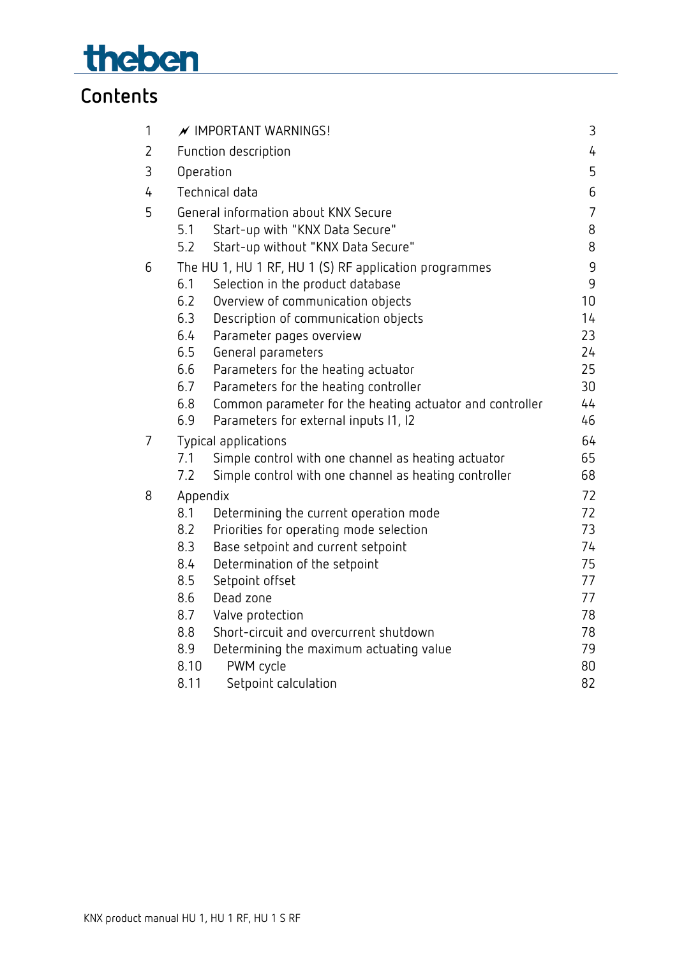# theben

## **Contents**

| 1 |           | $\overline{\mathscr{N}}$ IMPORTANT WARNINGS!             | 3              |
|---|-----------|----------------------------------------------------------|----------------|
| 2 |           | Function description                                     | 4              |
| 3 | Operation |                                                          | 5              |
| 4 |           | Technical data                                           | 6              |
| 5 |           | General information about KNX Secure                     | $\overline{7}$ |
|   | 5.1       | Start-up with "KNX Data Secure"                          | 8              |
|   | 5.2       | Start-up without "KNX Data Secure"                       | 8              |
| 6 |           | The HU 1, HU 1 RF, HU 1 (S) RF application programmes    | 9              |
|   | 6.1       | Selection in the product database                        | 9              |
|   | 6.2       | Overview of communication objects                        | 10             |
|   | 6.3       | Description of communication objects                     | 14             |
|   | 6.4       | Parameter pages overview                                 | 23             |
|   | 6.5       | General parameters                                       | 24             |
|   | 6.6       | Parameters for the heating actuator                      | 25             |
|   | 6.7       | Parameters for the heating controller                    | 30             |
|   | 6.8       | Common parameter for the heating actuator and controller | 44             |
|   | 6.9       | Parameters for external inputs 11, 12                    | 46             |
| 7 |           | Typical applications                                     | 64             |
|   | 7.1       | Simple control with one channel as heating actuator      | 65             |
|   | 7.2       | Simple control with one channel as heating controller    | 68             |
| 8 | Appendix  |                                                          | 72             |
|   | 8.1       | Determining the current operation mode                   | 72             |
|   | 8.2       | Priorities for operating mode selection                  | 73             |
|   | 8.3       | Base setpoint and current setpoint                       | 74             |
|   | 8.4       | Determination of the setpoint                            | 75             |
|   | 8.5       | Setpoint offset                                          | 77             |
|   | 8.6       | Dead zone                                                | 77             |
|   | 8.7       | Valve protection                                         | 78             |
|   | 8.8       | Short-circuit and overcurrent shutdown                   | 78             |
|   | 8.9       | Determining the maximum actuating value                  | 79             |
|   | 8.10      | PWM cycle                                                | 80             |
|   | 8.11      | Setpoint calculation                                     | 82             |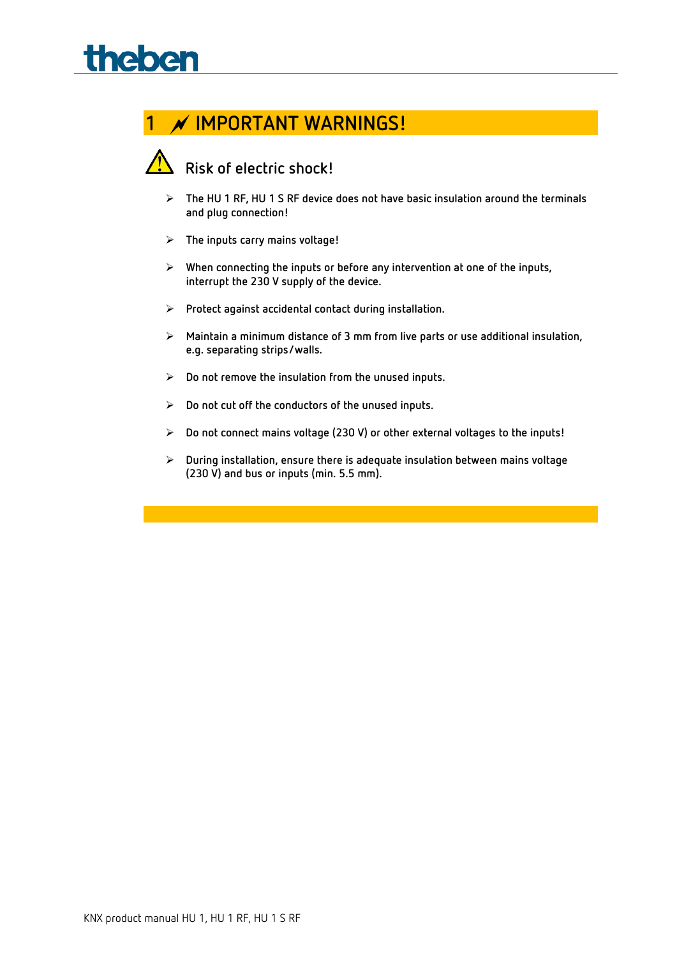

## <span id="page-2-0"></span>**1 IMPORTANT WARNINGS!**



## **Risk of electric shock!**

- **The HU 1 RF, HU 1 S RF device does not have basic insulation around the terminals and plug connection!**
- **The inputs carry mains voltage!**
- **When connecting the inputs or before any intervention at one of the inputs, interrupt the 230 V supply of the device.**
- **Protect against accidental contact during installation.**
- **Maintain a minimum distance of 3 mm from live parts or use additional insulation, e.g. separating strips/walls.**
- **Do not remove the insulation from the unused inputs.**
- **Do not cut off the conductors of the unused inputs.**
- **Do not connect mains voltage (230 V) or other external voltages to the inputs!**
- **During installation, ensure there is adequate insulation between mains voltage (230 V) and bus or inputs (min. 5.5 mm).**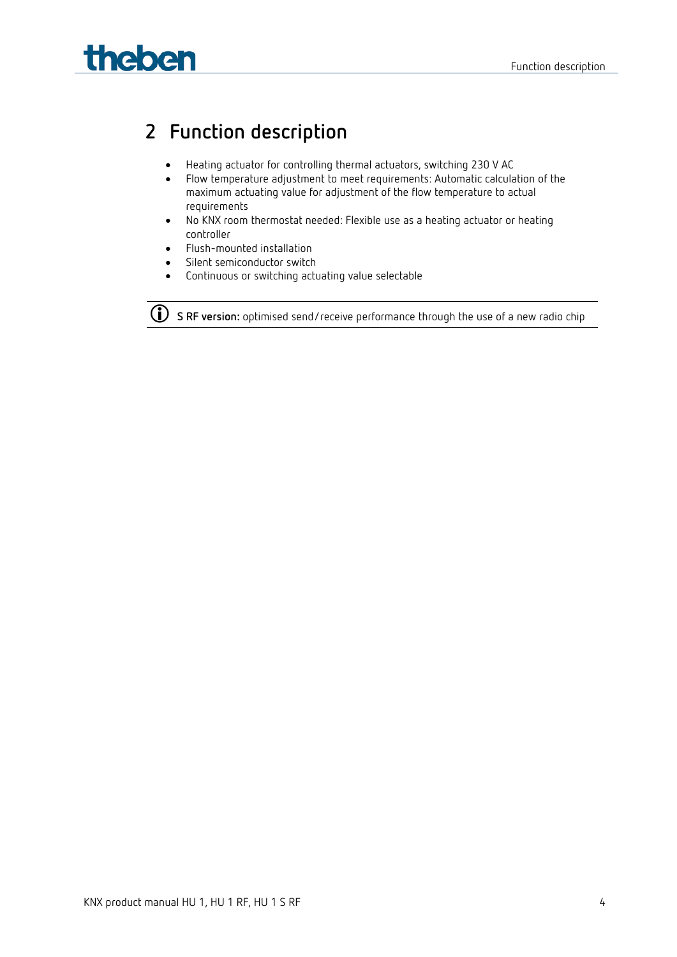# theben

## <span id="page-3-0"></span>**2 Function description**

- Heating actuator for controlling thermal actuators, switching 230 V AC
- Flow temperature adjustment to meet requirements: Automatic calculation of the maximum actuating value for adjustment of the flow temperature to actual requirements
- No KNX room thermostat needed: Flexible use as a heating actuator or heating controller
- Flush-mounted installation
- Silent semiconductor switch
- Continuous or switching actuating value selectable

**S RF version:** optimised send/receive performance through the use of a new radio chip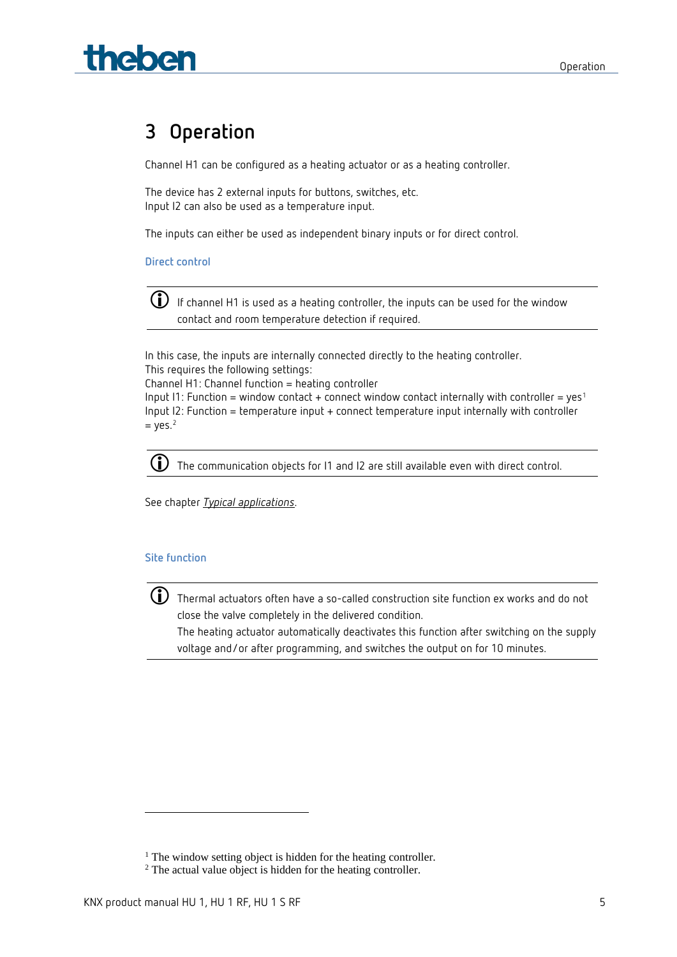## <span id="page-4-0"></span>**3 Operation**

**Theben** 

Channel H1 can be configured as a heating actuator or as a heating controller.

The device has 2 external inputs for buttons, switches, etc. Input I2 can also be used as a temperature input.

The inputs can either be used as independent binary inputs or for direct control.

**Direct control**

 $\bigoplus$  If channel H1 is used as a heating controller, the inputs can be used for the window contact and room temperature detection if required.

In this case, the inputs are internally connected directly to the heating controller. This requires the following settings:

Channel H1: Channel function = heating controller

Input I[1](#page-4-1): Function = window contact + connect window contact internally with controller =  $yes<sup>1</sup>$ Input I2: Function = temperature input + connect temperature input internally with controller  $=$  yes.<sup>[2](#page-4-2)</sup>

 $\bf{(i)}$  The communication objects for I1 and I2 are still available even with direct control.

See chapter *Typical applications*.

#### **Site function**

 $\bf (i)$  Thermal actuators often have a so-called construction site function ex works and do not close the valve completely in the delivered condition.

The heating actuator automatically deactivates this function after switching on the supply voltage and/or after programming, and switches the output on for 10 minutes.

<span id="page-4-1"></span><sup>&</sup>lt;sup>1</sup> The window setting object is hidden for the heating controller.

<span id="page-4-2"></span><sup>2</sup> The actual value object is hidden for the heating controller.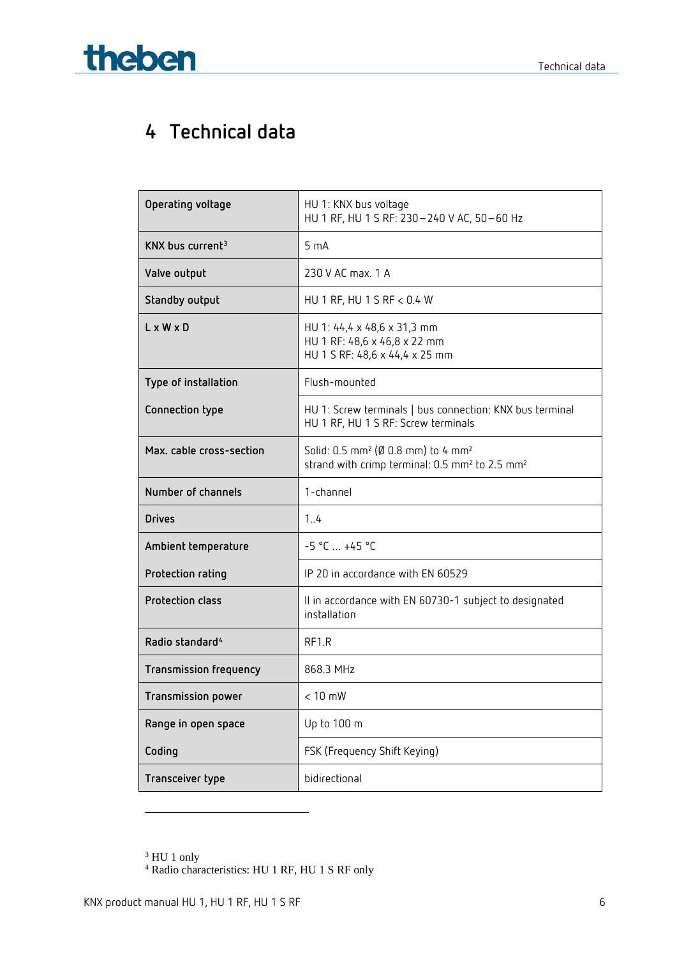

## <span id="page-5-0"></span>**4 Technical data**

| Operating voltage             | HU 1: KNX bus voltage<br>HU 1 RF, HU 1 S RF: 230-240 V AC, 50-60 Hz                                                                  |
|-------------------------------|--------------------------------------------------------------------------------------------------------------------------------------|
| KNX bus current <sup>3</sup>  | 5 <sub>mA</sub>                                                                                                                      |
| Valve output                  | 230 V AC max. 1 A                                                                                                                    |
| Standby output                | HU 1 RF, HU 1 S RF < 0.4 W                                                                                                           |
| L x W x D                     | HU 1: 44,4 x 48,6 x 31,3 mm<br>HU 1 RF: 48,6 x 46,8 x 22 mm<br>HU 1 S RF: 48,6 x 44,4 x 25 mm                                        |
| Type of installation          | Flush-mounted                                                                                                                        |
| Connection type               | HU 1: Screw terminals   bus connection: KNX bus terminal<br>HU 1 RF, HU 1 S RF: Screw terminals                                      |
| Max. cable cross-section      | Solid: 0.5 mm <sup>2</sup> (Ø 0.8 mm) to 4 mm <sup>2</sup><br>strand with crimp terminal: 0.5 mm <sup>2</sup> to 2.5 mm <sup>2</sup> |
| Number of channels            | 1-channel                                                                                                                            |
| <b>Drives</b>                 | 1.4                                                                                                                                  |
| Ambient temperature           | $-5$ °C  +45 °C                                                                                                                      |
| Protection rating             | IP 20 in accordance with EN 60529                                                                                                    |
| <b>Protection class</b>       | II in accordance with EN 60730-1 subject to designated<br>installation                                                               |
| Radio standard <sup>4</sup>   | RF <sub>1</sub> .R                                                                                                                   |
| <b>Transmission frequency</b> | 868.3 MHz                                                                                                                            |
| Transmission power            | < 10 mW                                                                                                                              |
| Range in open space           | Up to 100 m                                                                                                                          |
| Coding                        | FSK (Frequency Shift Keying)                                                                                                         |
| Transceiver type              | bidirectional                                                                                                                        |

<sup>3</sup> HU 1 only

<span id="page-5-2"></span><span id="page-5-1"></span><sup>4</sup> Radio characteristics: HU 1 RF, HU 1 S RF only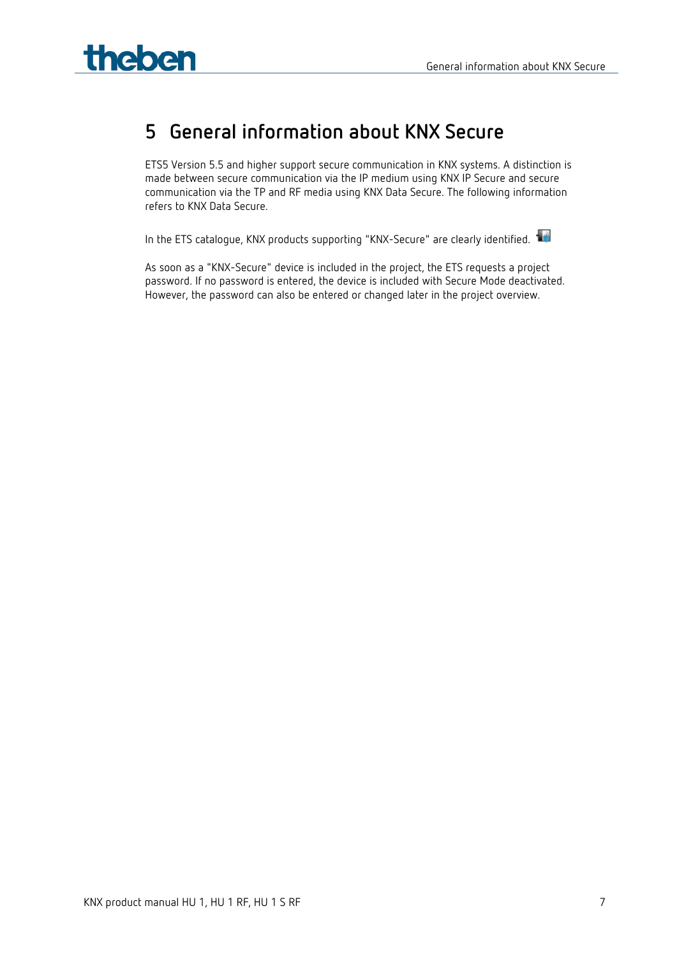

## <span id="page-6-0"></span>**5 General information about KNX Secure**

ETS5 Version 5.5 and higher support secure communication in KNX systems. A distinction is made between secure communication via the IP medium using KNX IP Secure and secure communication via the TP and RF media using KNX Data Secure. The following information refers to KNX Data Secure.

In the ETS catalogue, KNX products supporting "KNX-Secure" are clearly identified.

As soon as a "KNX-Secure" device is included in the project, the ETS requests a project password. If no password is entered, the device is included with Secure Mode deactivated. However, the password can also be entered or changed later in the project overview.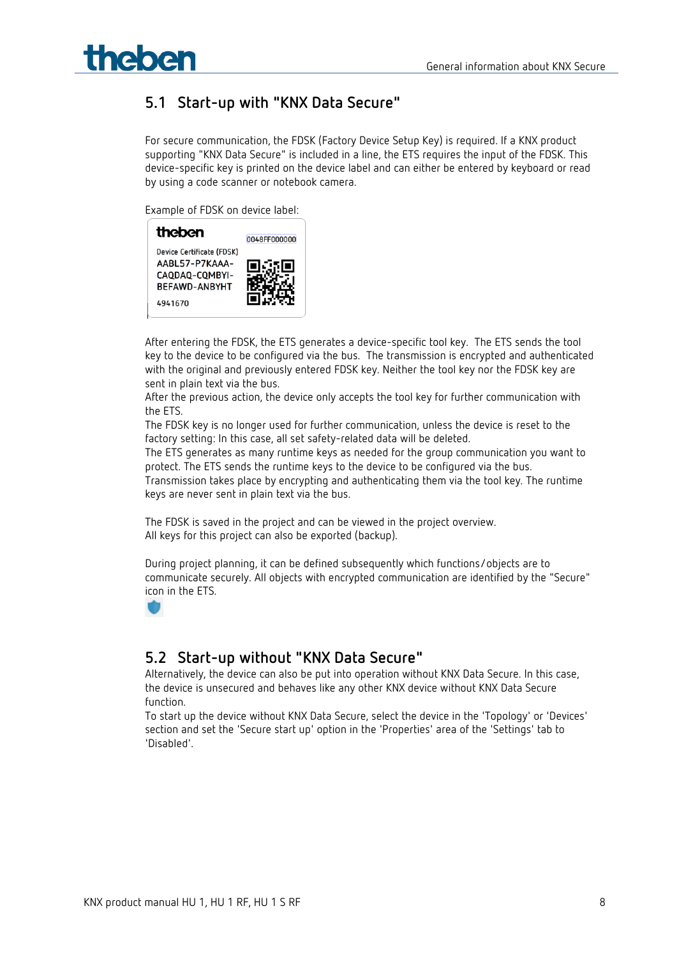

## <span id="page-7-0"></span>**5.1 Start-up with "KNX Data Secure"**

For secure communication, the FDSK (Factory Device Setup Key) is required. If a KNX product supporting "KNX Data Secure" is included in a line, the ETS requires the input of the FDSK. This device-specific key is printed on the device label and can either be entered by keyboard or read by using a code scanner or notebook camera.

Example of FDSK on device label:

| theben                                                                                           | 0048FF000000 |
|--------------------------------------------------------------------------------------------------|--------------|
| Device Certificate (FDSK)<br>AABL57-P7KAAA-<br>CAODAO-COMBYI-<br><b>BEFAWD-ANBYHT</b><br>4941670 |              |

After entering the FDSK, the ETS generates a device-specific tool key. The ETS sends the tool key to the device to be configured via the bus. The transmission is encrypted and authenticated with the original and previously entered FDSK key. Neither the tool key nor the FDSK key are sent in plain text via the bus.

After the previous action, the device only accepts the tool key for further communication with the ETS.

The FDSK key is no longer used for further communication, unless the device is reset to the factory setting: In this case, all set safety-related data will be deleted.

The ETS generates as many runtime keys as needed for the group communication you want to protect. The ETS sends the runtime keys to the device to be configured via the bus.

Transmission takes place by encrypting and authenticating them via the tool key. The runtime keys are never sent in plain text via the bus.

The FDSK is saved in the project and can be viewed in the project overview. All keys for this project can also be exported (backup).

During project planning, it can be defined subsequently which functions/objects are to communicate securely. All objects with encrypted communication are identified by the "Secure" icon in the ETS.



### <span id="page-7-1"></span>**5.2 Start-up without "KNX Data Secure"**

Alternatively, the device can also be put into operation without KNX Data Secure. In this case, the device is unsecured and behaves like any other KNX device without KNX Data Secure function.

To start up the device without KNX Data Secure, select the device in the 'Topology' or 'Devices' section and set the 'Secure start up' option in the 'Properties' area of the 'Settings' tab to 'Disabled'.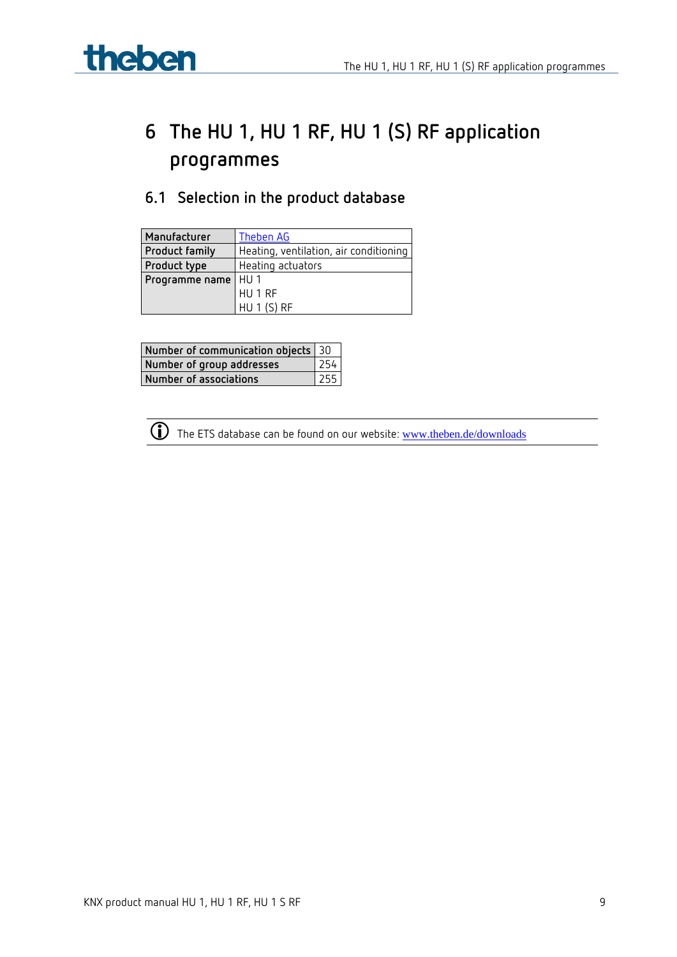

## <span id="page-8-0"></span>**6 The HU 1, HU 1 RF, HU 1 (S) RF application programmes**

## <span id="page-8-1"></span>**6.1 Selection in the product database**

| Manufacturer          | Theben AG                              |
|-----------------------|----------------------------------------|
| <b>Product family</b> | Heating, ventilation, air conditioning |
| Product type          | Heating actuators                      |
| Programme name        | HU 1                                   |
|                       | HU 1 RF                                |
|                       | <b>HU 1 (S) RF</b>                     |

| Number of communication objects 30 |     |
|------------------------------------|-----|
| Number of group addresses          | 254 |
| Number of associations             | 255 |

The ETS database can be found on our website: [www.theben.de/downloads](http://www.theben.de/downloads)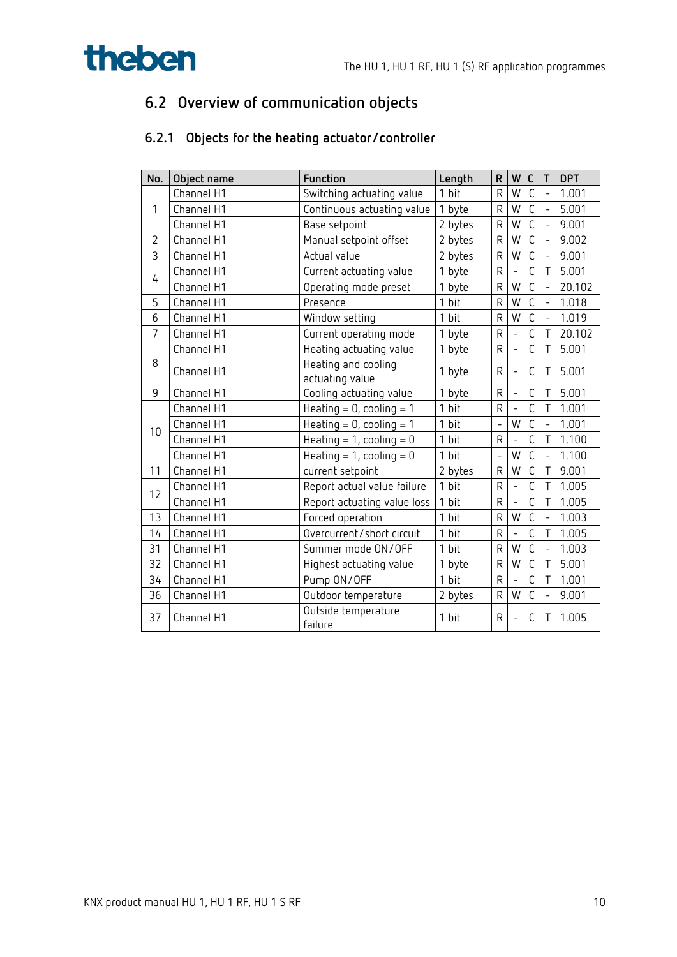

## <span id="page-9-0"></span>**6.2 Overview of communication objects**

## **6.2.1 Objects for the heating actuator/controller**

| No.            | Object name | Function                               | Length  | ${\sf R}$      | W              | $\mathsf C$    | T                 | <b>DPT</b> |
|----------------|-------------|----------------------------------------|---------|----------------|----------------|----------------|-------------------|------------|
|                | Channel H1  | Switching actuating value              | 1 bit   | $\mathsf{R}$   | W              | $\overline{C}$ | $\overline{a}$    | 1.001      |
| 1              | Channel H1  | Continuous actuating value             | 1 byte  | $\mathsf R$    | W              | $\overline{C}$ | $\overline{a}$    | 5.001      |
|                | Channel H1  | Base setpoint                          | 2 bytes | $\mathsf{R}$   | W              | $\overline{C}$ | $\overline{a}$    | 9.001      |
| $\overline{2}$ | Channel H1  | Manual setpoint offset                 | 2 bytes | $\mathsf R$    | W              | C              | $\frac{1}{2}$     | 9.002      |
| 3              | Channel H1  | Actual value                           | 2 bytes | $\mathsf R$    | W              | $\overline{C}$ | $\overline{a}$    | 9.001      |
| 4              | Channel H1  | Current actuating value                | 1 byte  | $\mathsf{R}$   | $\overline{a}$ | C              | T                 | 5.001      |
|                | Channel H1  | Operating mode preset                  | 1 byte  | $\mathsf R$    | W              | $\mathsf{C}$   | $\frac{1}{2}$     | 20.102     |
| 5              | Channel H1  | Presence                               | 1 bit   | $\mathsf R$    | W              | $\overline{C}$ | $\Box$            | 1.018      |
| 6              | Channel H1  | Window setting                         | 1 bit   | $\mathsf R$    | W              | $\overline{C}$ | $\Box$            | 1.019      |
| $\overline{7}$ | Channel H1  | Current operating mode                 | 1 byte  | $\mathsf R$    | $\overline{a}$ | $\overline{C}$ | T                 | 20.102     |
|                | Channel H1  | Heating actuating value                | 1 byte  | $\mathsf R$    |                | $\overline{C}$ | T                 | 5.001      |
| 8              | Channel H1  | Heating and cooling<br>actuating value | 1 byte  | $\mathsf{R}$   |                | C              | T                 | 5.001      |
| 9              | Channel H1  | Cooling actuating value                | 1 byte  | $\mathsf R$    |                | $\mathsf C$    | T                 | 5.001      |
|                | Channel H1  | Heating = $0$ , cooling = $1$          | 1 bit   | $\mathsf R$    |                | $\overline{C}$ | T                 | 1.001      |
| 10             | Channel H1  | Heating = $0$ , cooling = $1$          | 1 bit   | ÷              | W              | C              | $\qquad \qquad -$ | 1.001      |
|                | Channel H1  | Heating = 1, cooling = $0$             | 1 bit   | $\mathsf R$    |                | $\overline{C}$ | T                 | 1.100      |
|                | Channel H1  | Heating = 1, cooling = $0$             | 1 bit   | $\overline{a}$ | W              | C              | $\overline{a}$    | 1.100      |
| 11             | Channel H1  | current setpoint                       | 2 bytes | $\mathsf{R}$   | W              | C              | T                 | 9.001      |
| 12             | Channel H1  | Report actual value failure            | 1 bit   | $\mathsf{R}$   |                | C              | T                 | 1.005      |
|                | Channel H1  | Report actuating value loss            | 1 bit   | $\mathsf{R}$   |                | $\overline{C}$ | T                 | 1.005      |
| 13             | Channel H1  | Forced operation                       | 1 bit   | $\mathsf{R}$   | W              | $\overline{C}$ | $\overline{a}$    | 1.003      |
| 14             | Channel H1  | Overcurrent/short circuit              | 1 bit   | $\mathsf{R}$   |                | C              | T                 | 1.005      |
| 31             | Channel H1  | Summer mode ON/OFF                     | 1 bit   | $\mathsf{R}$   | W              | $\mathsf C$    | $\Box$            | 1.003      |
| 32             | Channel H1  | Highest actuating value                | 1 byte  | $\mathsf{R}$   | W              | $\overline{C}$ | $\top$            | 5.001      |
| 34             | Channel H1  | Pump ON/OFF                            | 1 bit   | $\mathsf R$    |                | $\overline{C}$ | T                 | 1.001      |
| 36             | Channel H1  | Outdoor temperature                    | 2 bytes | $\mathsf R$    | W              | $\mathsf{C}$   | $\blacksquare$    | 9.001      |
| 37             | Channel H1  | Outside temperature<br>failure         | 1 bit   | $\mathsf{R}$   |                | $\mathsf{C}$   | Τ                 | 1.005      |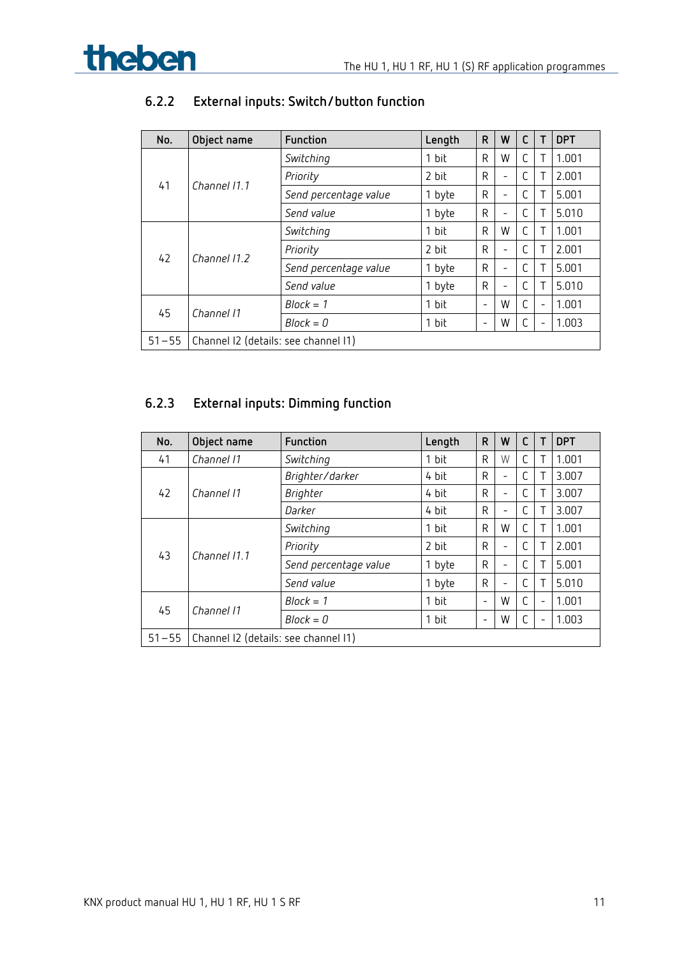| No.       | Object name                          | <b>Function</b>       | Length | R                        | W                        | C |                          | <b>DPT</b> |
|-----------|--------------------------------------|-----------------------|--------|--------------------------|--------------------------|---|--------------------------|------------|
|           | Channel 11.1                         | Switching             | 1 bit  | R                        | W                        | C |                          | 1.001      |
|           |                                      | Priority              | 2 bit  | R                        | $\overline{\phantom{a}}$ | C |                          | 2.001      |
| 41        |                                      | Send percentage value | 1 byte | R                        | $\overline{\phantom{0}}$ | C |                          | 5.001      |
|           |                                      | Send value            | 1 byte | R                        | ۰                        | C |                          | 5.010      |
|           |                                      | Switching             | 1 bit  | R                        | W                        | C |                          | 1.001      |
|           |                                      | Priority              | 2 bit  | R                        |                          | C |                          | 2.001      |
| 42        | Channel 11.2                         | Send percentage value | 1 byte | R                        | ۰                        | C |                          | 5.001      |
|           |                                      | Send value            | 1 byte | R                        | -                        | C |                          | 5.010      |
|           |                                      | $Block = 1$           | 1 bit  | $\qquad \qquad -$        | W                        | C | $\overline{\phantom{0}}$ | 1.001      |
| 45        | Channel 11                           | $Block = 0$           | 1 bit  | $\overline{\phantom{0}}$ | W                        | C | $\overline{\phantom{0}}$ | 1.003      |
| $51 - 55$ | Channel I2 (details: see channel I1) |                       |        |                          |                          |   |                          |            |

## **6.2.2 External inputs: Switch/button function**

## **6.2.3 External inputs: Dimming function**

| No.                   | Object name                          | Function              | Length | R                        | W  | C |                          | <b>DPT</b> |
|-----------------------|--------------------------------------|-----------------------|--------|--------------------------|----|---|--------------------------|------------|
| 41                    | Channel 11                           | Switching             | 1 bit  | R                        | W  | С |                          | 1.001      |
|                       | Channel 11                           | Brighter/darker       | 4 bit  | R                        | ۳  | C |                          | 3.007      |
| 42                    |                                      | <b>Brighter</b>       | 4 bit  | R                        | -  | C |                          | 3.007      |
|                       |                                      | Darker                | 4 bit  | R                        | ۰  | C |                          | 3.007      |
|                       |                                      | Switching             | 1 bit  | R                        | W  | С |                          | 1.001      |
| 43<br>45<br>$51 - 55$ |                                      | Priority              | 2 bit  | R                        | L. | C |                          | 2.001      |
|                       | Channel 11.1                         | Send percentage value | 1 byte | R                        |    | C |                          | 5.001      |
|                       |                                      | Send value            | 1 byte | R                        | ۳  | C |                          | 5.010      |
|                       | Channel 11                           | $Block = 1$           | 1 bit  | $\overline{\phantom{0}}$ | W  | C | $\overline{\phantom{0}}$ | 1.001      |
|                       |                                      | $Block = 0$           | 1 bit  | $\overline{\phantom{0}}$ | W  | C |                          | 1.003      |
|                       | Channel I2 (details: see channel I1) |                       |        |                          |    |   |                          |            |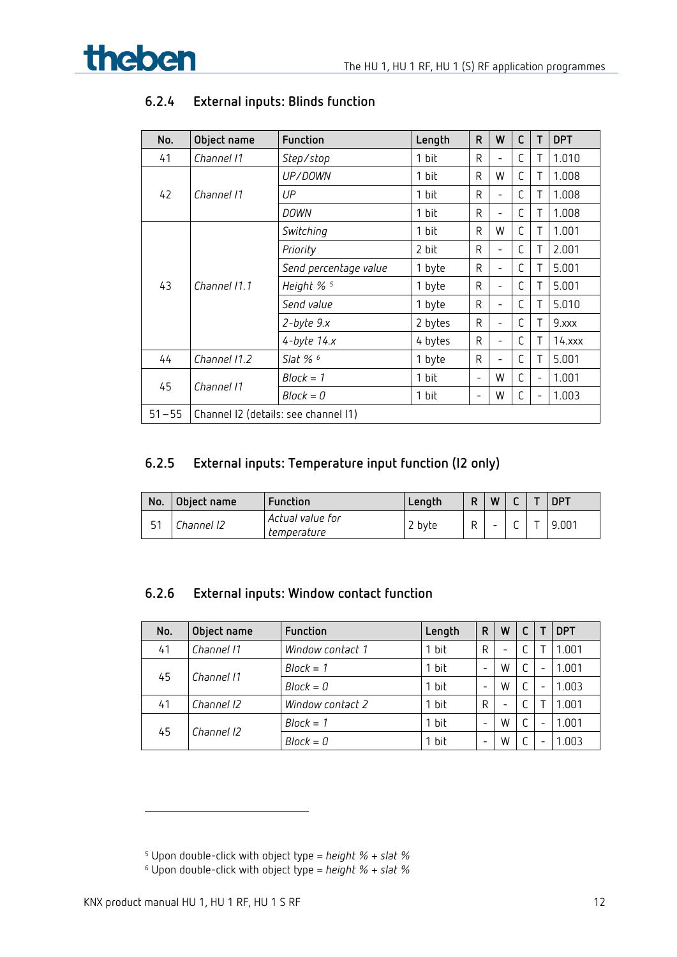

| No.                               | Object name  | Function                             | Length  | $\mathsf{R}$             | W                        | C | T                        | <b>DPT</b> |
|-----------------------------------|--------------|--------------------------------------|---------|--------------------------|--------------------------|---|--------------------------|------------|
| 41                                | Channel 11   | Step/stop                            | 1 bit   | R                        | -                        | С |                          | 1.010      |
| 42<br>43<br>44<br>45<br>$51 - 55$ |              | UP/DOWN                              | 1 bit   | R                        | W                        | C | Τ                        | 1.008      |
|                                   | Channel 11   | UP                                   | 1 bit   | R                        | -                        | C | Τ                        | 1.008      |
|                                   |              | DOWN                                 | 1 bit   | R                        | -                        | С | Τ                        | 1.008      |
|                                   |              | Switching                            | 1 bit   | R                        | W                        | C | Τ                        | 1.001      |
|                                   | Channel 11.1 | Priority                             | 2 bit   | R                        | -                        | С | Т                        | 2.001      |
|                                   |              | Send percentage value                | 1 byte  | R                        | $\qquad \qquad -$        | С | Т                        | 5.001      |
|                                   |              | Height % 5                           | 1 byte  | R                        | $\overline{\phantom{0}}$ | C | Τ                        | 5.001      |
|                                   |              | Send value                           | 1 byte  | R                        | -                        | С | Τ                        | 5.010      |
|                                   |              | $2$ -byte $9.x$                      | 2 bytes | R                        | $\overline{\phantom{0}}$ | С | Т                        | 9.xxx      |
|                                   |              | $4$ -byte $14.x$                     | 4 bytes | R                        | $\overline{\phantom{0}}$ | C | Τ                        | $14.$ xxx  |
|                                   | Channel 11.2 | Slat % $6$                           | 1 byte  | R                        | -                        | С | Τ                        | 5.001      |
|                                   |              | $Block = 1$                          | 1 bit   | $\overline{\phantom{a}}$ | W                        | C | $\overline{\phantom{a}}$ | 1.001      |
|                                   | Channel 11   | $Block = 0$                          | 1 bit   | $\overline{\phantom{a}}$ | W                        | С | $\overline{\phantom{a}}$ | 1.003      |
|                                   |              | Channel I2 (details: see channel I1) |         |                          |                          |   |                          |            |

## **6.2.4 External inputs: Blinds function**

## **6.2.5 External inputs: Temperature input function (I2 only)**

| No. | Obiect name | Function                        | Lenath |   | W |  | <b>DPT</b> |
|-----|-------------|---------------------------------|--------|---|---|--|------------|
|     | Channel 12  | Actual value for<br>temperature | 2 byte | R | - |  | 9.001      |

## **6.2.6 External inputs: Window contact function**

| No. | Object name | Function         | Length | R                        | W                        | C | <b>DPT</b> |
|-----|-------------|------------------|--------|--------------------------|--------------------------|---|------------|
| 41  | Channel 11  | Window contact 1 | bit    | R                        | -                        |   | 1.001      |
|     |             | $Block = 1$      | bit    | $\overline{\phantom{a}}$ | W                        | C | 1.001      |
| 45  | Channel 11  | $Block = 0$      | bit    | $\overline{\phantom{a}}$ | W                        | C | 1.003      |
| 41  | Channel 12  | Window contact 2 | bit    | R                        | $\overline{\phantom{0}}$ |   | 1.001      |
|     |             | $Block = 1$      | bit    | $\overline{\phantom{a}}$ | W                        | C | 1.001      |
| 45  | Channel 12  | $Block = 0$      | bit    |                          | W                        |   | 1.003      |

<sup>5</sup> Upon double-click with object type = *height % + slat %*

<span id="page-11-1"></span><span id="page-11-0"></span><sup>6</sup> Upon double-click with object type = *height % + slat %*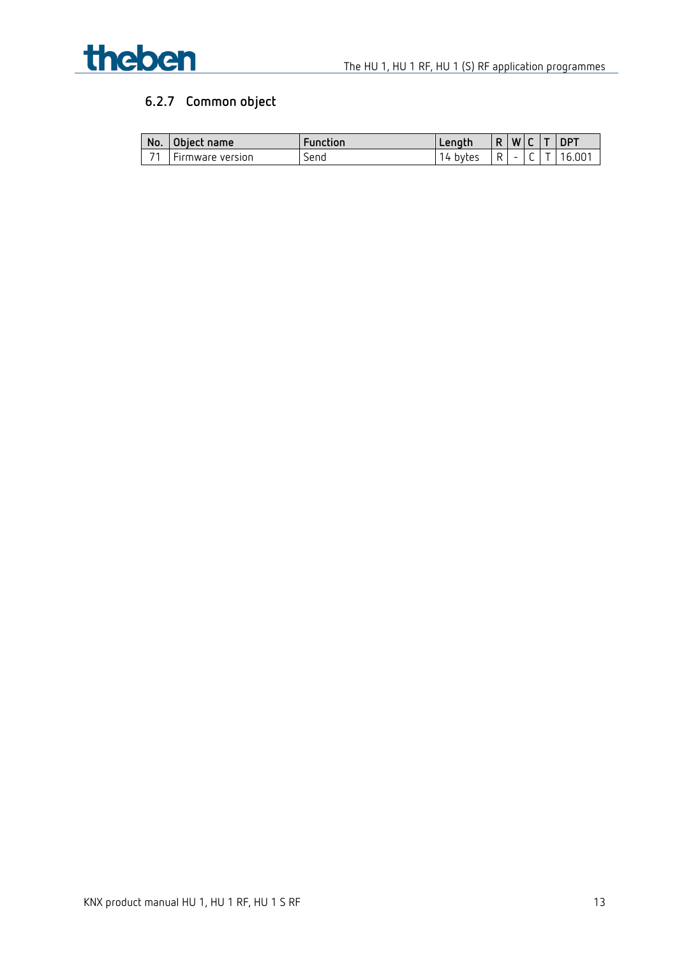

## **6.2.7 Common object**

| No. | Object name                   | ∙unction | Lenath       |                               | W I    |   | DP <sub>1</sub> |
|-----|-------------------------------|----------|--------------|-------------------------------|--------|---|-----------------|
| 74  | $- \cdot$<br>Firmware version | Send     | bytes<br>l 4 | $\overline{\phantom{0}}$<br>к | $\sim$ | ◡ | $16.00^{\circ}$ |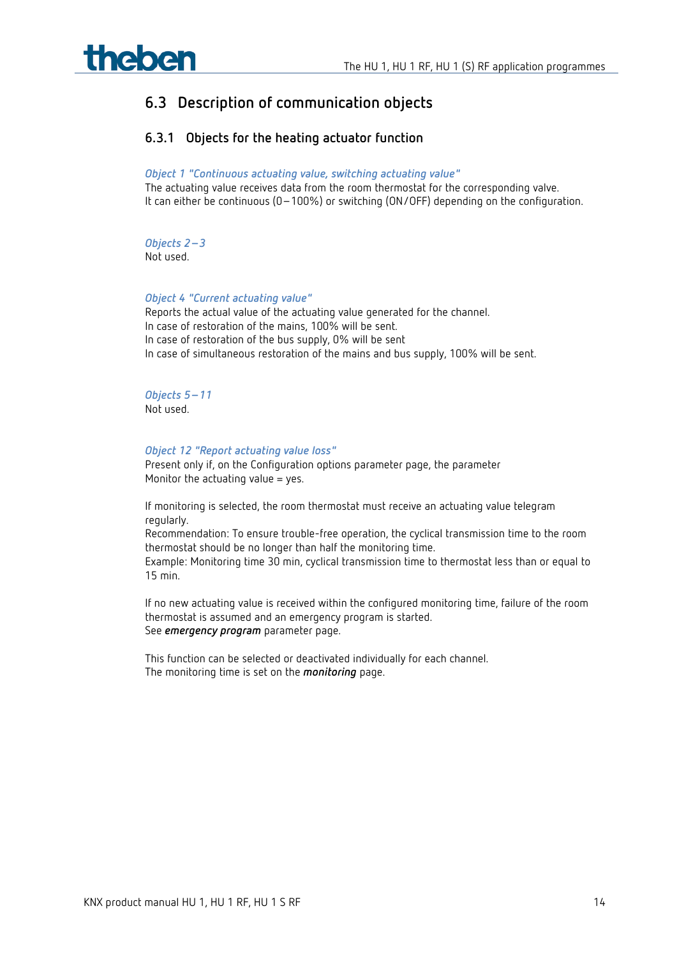

## <span id="page-13-0"></span>**6.3 Description of communication objects**

### **6.3.1 Objects for the heating actuator function**

#### *Object 1 "Continuous actuating value, switching actuating value"*

The actuating value receives data from the room thermostat for the corresponding valve. It can either be continuous (0–100%) or switching (ON/OFF) depending on the configuration.

*Objects 2–3*  Not used.

#### *Object 4 "Current actuating value"*

Reports the actual value of the actuating value generated for the channel. In case of restoration of the mains, 100% will be sent. In case of restoration of the bus supply, 0% will be sent In case of simultaneous restoration of the mains and bus supply, 100% will be sent.

*Objects 5–11* Not used.

#### *Object 12 "Report actuating value loss"*

Present only if, on the Configuration options parameter page, the parameter Monitor the actuating value  $=$  yes.

If monitoring is selected, the room thermostat must receive an actuating value telegram regularly.

Recommendation: To ensure trouble-free operation, the cyclical transmission time to the room thermostat should be no longer than half the monitoring time.

Example: Monitoring time 30 min, cyclical transmission time to thermostat less than or equal to 15 min.

If no new actuating value is received within the configured monitoring time, failure of the room thermostat is assumed and an emergency program is started. See *emergency program* parameter page.

This function can be selected or deactivated individually for each channel. The monitoring time is set on the *monitoring* page.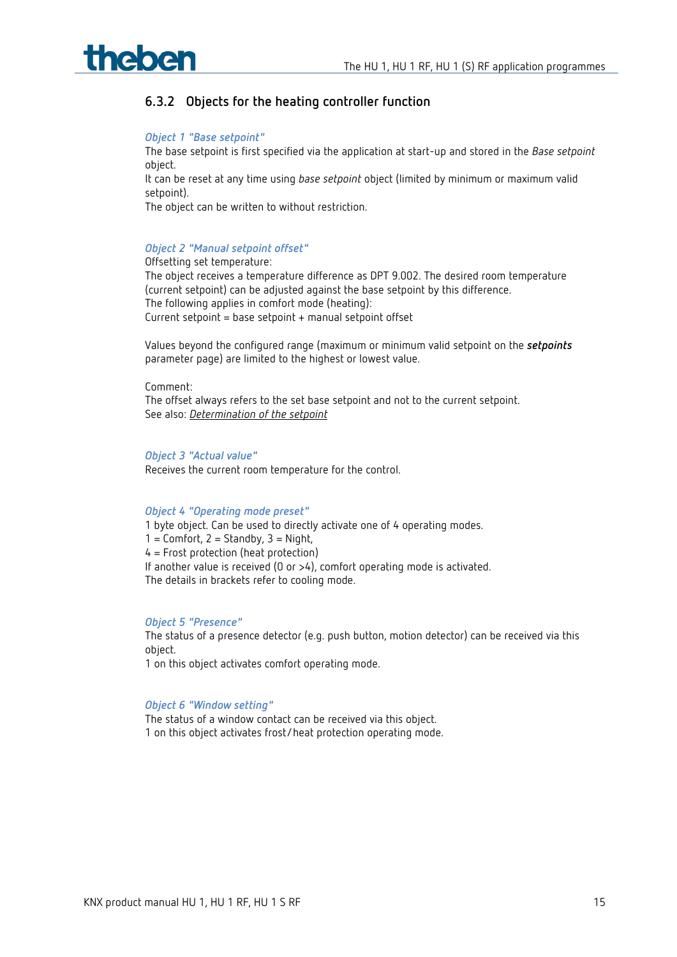

### **6.3.2 Objects for the heating controller function**

#### *Object 1 "Base setpoint"*

The base setpoint is first specified via the application at start-up and stored in the *Base setpoint* object.

It can be reset at any time using *base setpoint* object (limited by minimum or maximum valid setpoint).

The object can be written to without restriction.

#### *Object 2 "Manual setpoint offset"*

Offsetting set temperature:

The object receives a temperature difference as DPT 9.002. The desired room temperature (current setpoint) can be adjusted against the base setpoint by this difference. The following applies in comfort mode (heating): Current setpoint = base setpoint + manual setpoint offset

Values beyond the configured range (maximum or minimum valid setpoint on the *setpoints* parameter page) are limited to the highest or lowest value.

#### Comment:

The offset always refers to the set base setpoint and not to the current setpoint. See also: *Determination of the setpoint*

#### *Object 3 "Actual value"*

Receives the current room temperature for the control.

#### *Object 4 "Operating mode preset"*

1 byte object. Can be used to directly activate one of 4 operating modes.  $1 =$  Comfort,  $2 =$  Standby,  $3 =$  Night, 4 = Frost protection (heat protection) If another value is received (0 or >4), comfort operating mode is activated. The details in brackets refer to cooling mode.

#### *Object 5 "Presence"*

The status of a presence detector (e.g. push button, motion detector) can be received via this object.

1 on this object activates comfort operating mode.

#### *Object 6 "Window setting"*

The status of a window contact can be received via this object. 1 on this object activates frost/heat protection operating mode.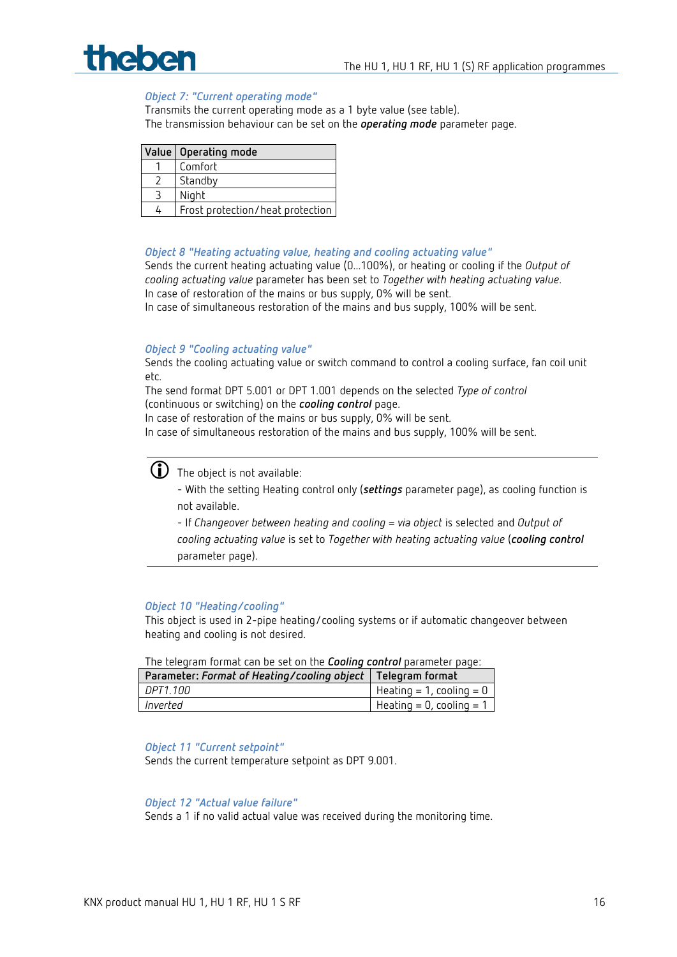

#### *Object 7: "Current operating mode"*

Transmits the current operating mode as a 1 byte value (see table). The transmission behaviour can be set on the *operating mode* parameter page.

| Value   Operating mode           |
|----------------------------------|
| Comfort                          |
| Standby                          |
| Night                            |
| Frost protection/heat protection |

#### *Object 8 "Heating actuating value, heating and cooling actuating value"*

Sends the current heating actuating value (0...100%), or heating or cooling if the *Output of cooling actuating value* parameter has been set to *Together with heating actuating value*. In case of restoration of the mains or bus supply, 0% will be sent.

In case of simultaneous restoration of the mains and bus supply, 100% will be sent.

#### *Object 9 "Cooling actuating value"*

Sends the cooling actuating value or switch command to control a cooling surface, fan coil unit etc.

The send format DPT 5.001 or DPT 1.001 depends on the selected *Type of control* (continuous or switching) on the *cooling control* page.

In case of restoration of the mains or bus supply, 0% will be sent.

In case of simultaneous restoration of the mains and bus supply, 100% will be sent.



 $\bigcirc$  The object is not available:

- With the setting Heating control only (*settings* parameter page), as cooling function is not available.

- If *Changeover between heating and cooling* = *via object* is selected and *Output of cooling actuating value* is set to *Together with heating actuating value* (*cooling control* parameter page).

#### *Object 10 "Heating/cooling"*

This object is used in 2-pipe heating/cooling systems or if automatic changeover between heating and cooling is not desired.

The telegram format can be set on the *Cooling control* parameter page:

| Parameter: Format of Heating/cooling object   Telegram format |                                          |
|---------------------------------------------------------------|------------------------------------------|
| DPT1.100                                                      | $\vert$ Heating = 1, cooling = 0 $\vert$ |
| Inverted                                                      | $\vert$ Heating = 0, cooling = 1 $\vert$ |

#### *Object 11 "Current setpoint"*

Sends the current temperature setpoint as DPT 9.001.

#### *Object 12 "Actual value failure"*

Sends a 1 if no valid actual value was received during the monitoring time.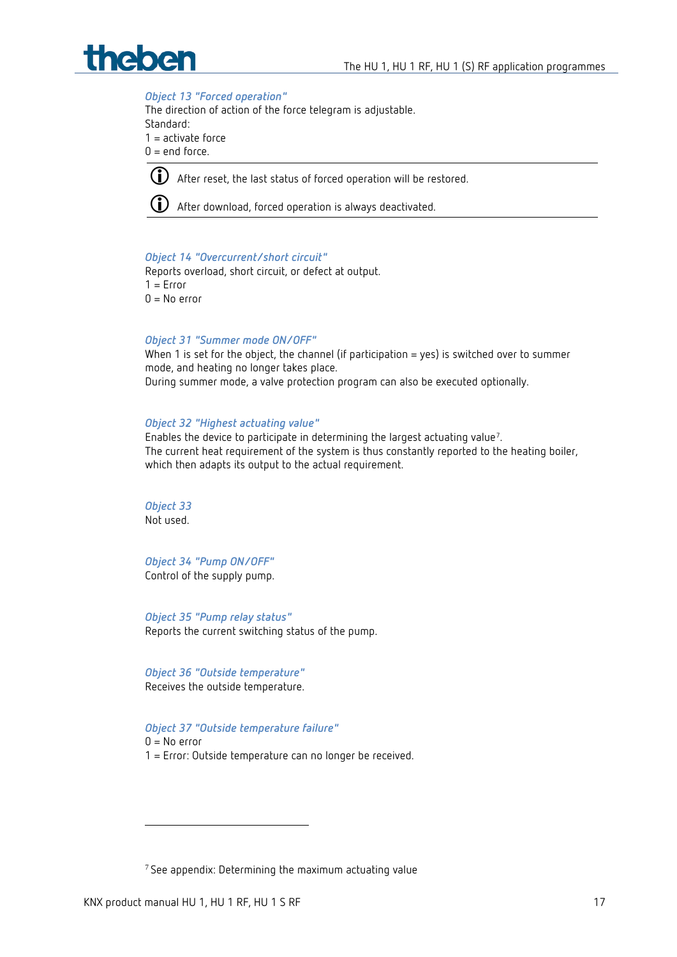

#### *Object 13 "Forced operation"*

The direction of action of the force telegram is adjustable.

Standard:

 $1 =$ activate force

 $0 = end$  force.



 $\bf{(i)}$  After reset, the last status of forced operation will be restored.

After download, forced operation is always deactivated.

#### *Object 14 "Overcurrent/short circuit"*

Reports overload, short circuit, or defect at output.  $1 =$  Frror  $0 = No$  error

#### *Object 31 "Summer mode ON/OFF"*

When 1 is set for the object, the channel (if participation = yes) is switched over to summer mode, and heating no longer takes place. During summer mode, a valve protection program can also be executed optionally.

#### *Object 32 "Highest actuating value"*

Enables the device to participate in determining the largest actuating value<sup>7</sup>. The current heat requirement of the system is thus constantly reported to the heating boiler, which then adapts its output to the actual requirement.

*Object 33* Not used.

*Object 34 "Pump ON/OFF"* Control of the supply pump.

*Object 35 "Pump relay status"* Reports the current switching status of the pump.

*Object 36 "Outside temperature"* Receives the outside temperature.

#### *Object 37 "Outside temperature failure"*

 $0 = No$  error

1 = Error: Outside temperature can no longer be received.

<span id="page-16-0"></span> $7$  See appendix: Determining the maximum actuating value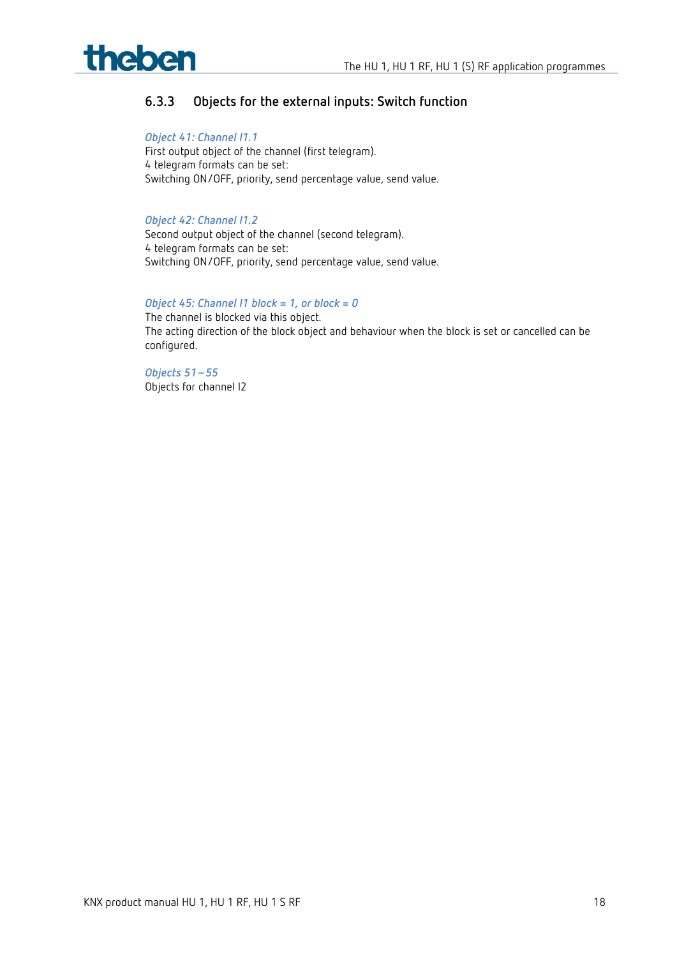

## **6.3.3 Objects for the external inputs: Switch function**

#### *Object 41: Channel I1.1*

First output object of the channel (first telegram). 4 telegram formats can be set: Switching ON/OFF, priority, send percentage value, send value.

#### *Object 42: Channel I1.2*

Second output object of the channel (second telegram). 4 telegram formats can be set: Switching ON/OFF, priority, send percentage value, send value.

#### *Object 45: Channel I1 block = 1, or block = 0*

The channel is blocked via this object. The acting direction of the block object and behaviour when the block is set or cancelled can be configured.

#### *Objects 51–55*

Objects for channel I2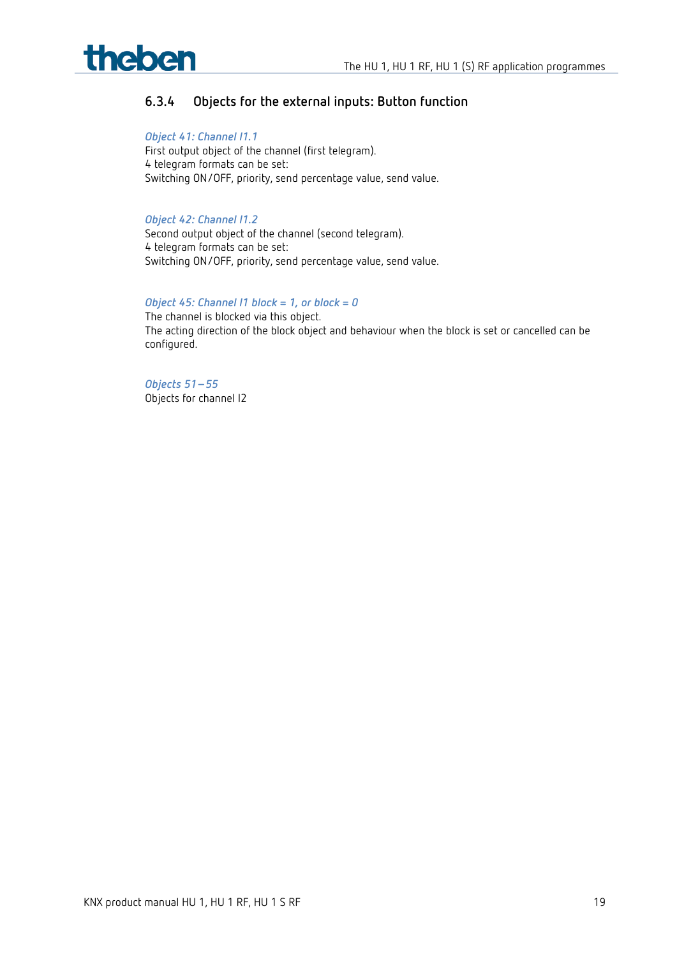

## **6.3.4 Objects for the external inputs: Button function**

#### *Object 41: Channel I1.1*

First output object of the channel (first telegram). 4 telegram formats can be set: Switching ON/OFF, priority, send percentage value, send value.

#### *Object 42: Channel I1.2*

Second output object of the channel (second telegram). 4 telegram formats can be set: Switching ON/OFF, priority, send percentage value, send value.

#### *Object 45: Channel I1 block = 1, or block = 0*

The channel is blocked via this object. The acting direction of the block object and behaviour when the block is set or cancelled can be configured.

*Objects 51–55* Objects for channel I2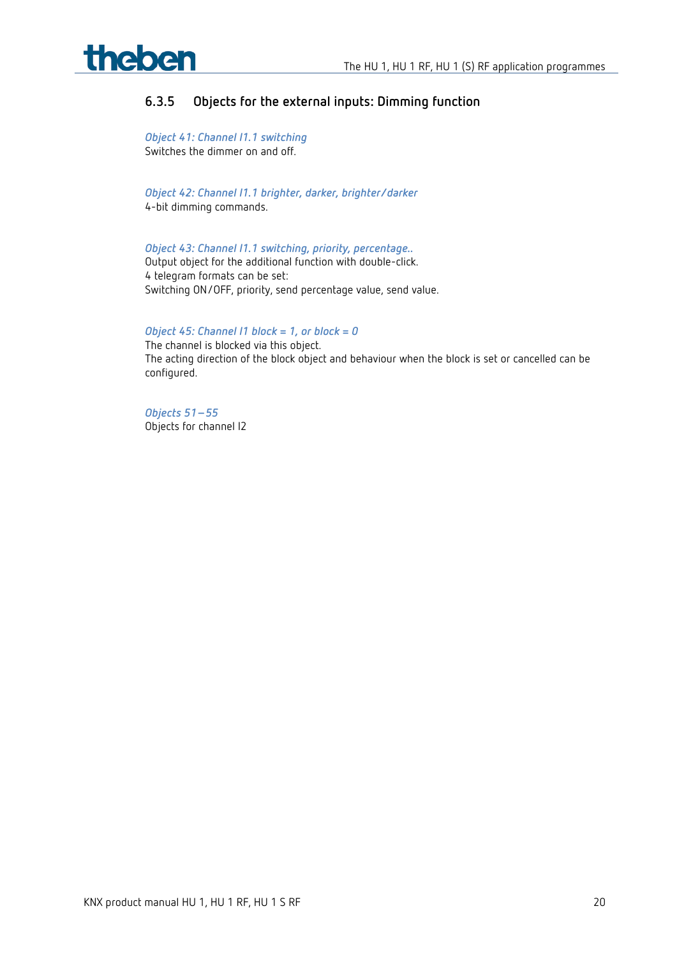

## **6.3.5 Objects for the external inputs: Dimming function**

*Object 41: Channel I1.1 switching* Switches the dimmer on and off.

*Object 42: Channel I1.1 brighter, darker, brighter/darker* 4-bit dimming commands.

*Object 43: Channel I1.1 switching, priority, percentage..* Output object for the additional function with double-click.

4 telegram formats can be set: Switching ON/OFF, priority, send percentage value, send value.

#### *Object 45: Channel I1 block = 1, or block = 0*

The channel is blocked via this object. The acting direction of the block object and behaviour when the block is set or cancelled can be configured.

*Objects 51–55* Objects for channel I2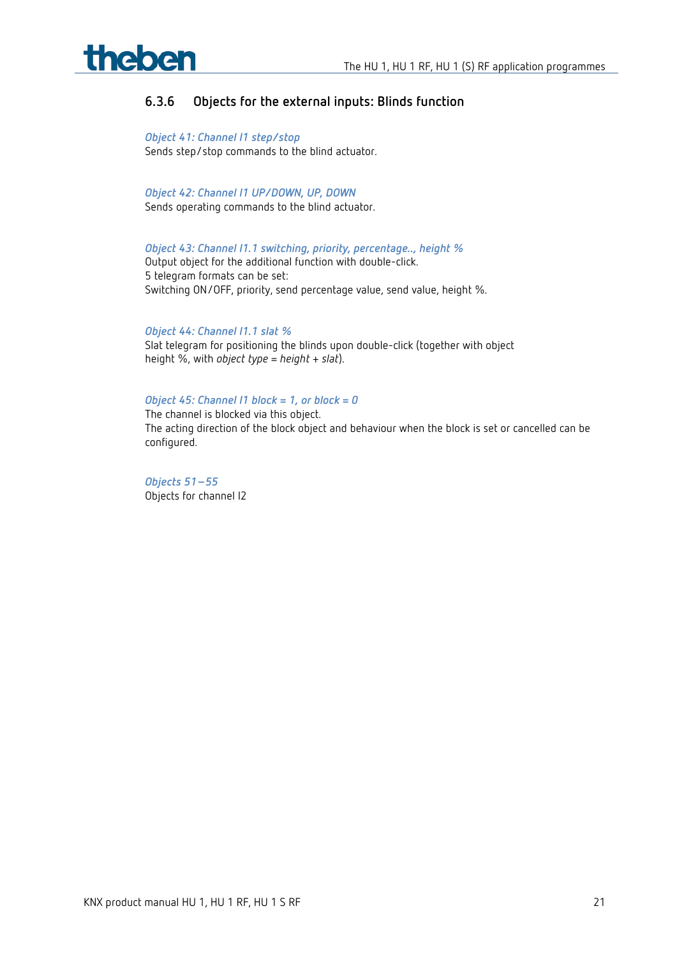

### **6.3.6 Objects for the external inputs: Blinds function**

*Object 41: Channel I1 step/stop*

Sends step/stop commands to the blind actuator.

*Object 42: Channel I1 UP/DOWN, UP, DOWN*

Sends operating commands to the blind actuator.

#### *Object 43: Channel I1.1 switching, priority, percentage.., height %*

Output object for the additional function with double-click. 5 telegram formats can be set: Switching ON/OFF, priority, send percentage value, send value, height %.

#### *Object 44: Channel I1.1 slat %*

Slat telegram for positioning the blinds upon double-click (together with object height %, with *object type* = *height* + *slat*).

#### *Object 45: Channel I1 block = 1, or block = 0*

The channel is blocked via this object. The acting direction of the block object and behaviour when the block is set or cancelled can be configured.

*Objects 51–55* Objects for channel I2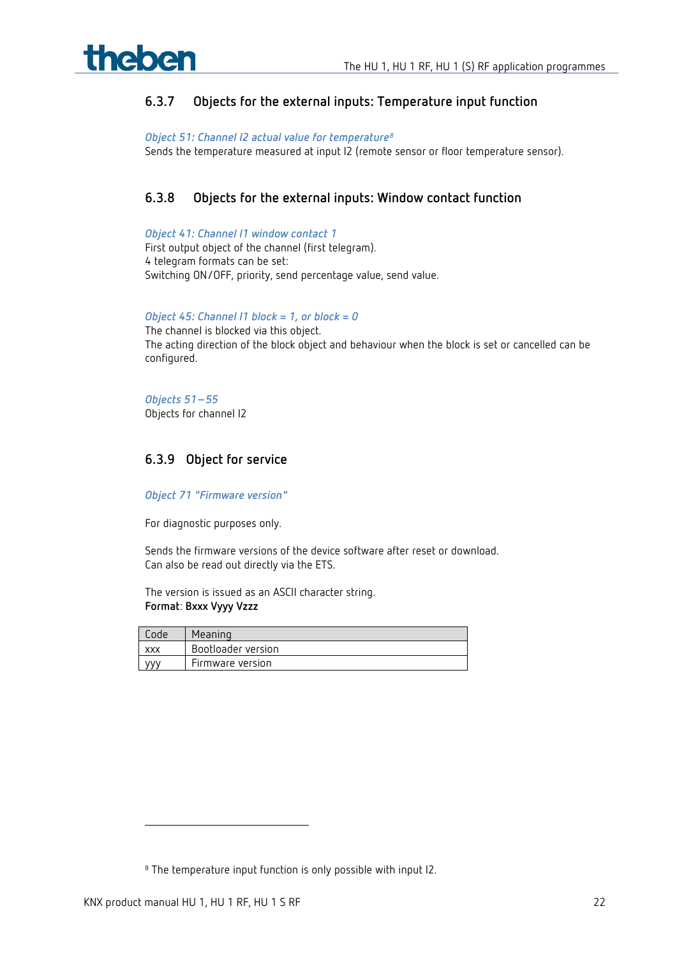

### **6.3.7 Objects for the external inputs: Temperature input function**

*Object 51: Channel I2 actual value for temperature[8](#page-21-0)* Sends the temperature measured at input I2 (remote sensor or floor temperature sensor).

### **6.3.8 Objects for the external inputs: Window contact function**

*Object 41: Channel I1 window contact 1* First output object of the channel (first telegram). 4 telegram formats can be set: Switching ON/OFF, priority, send percentage value, send value.

#### *Object 45: Channel I1 block = 1, or block = 0*

The channel is blocked via this object. The acting direction of the block object and behaviour when the block is set or cancelled can be configured.

#### *Objects 51–55* Objects for channel I2

#### **6.3.9 Object for service**

#### *Object 71 "Firmware version"*

For diagnostic purposes only.

Sends the firmware versions of the device software after reset or download. Can also be read out directly via the ETS.

The version is issued as an ASCII character string. **Format**: **Bxxx Vyyy Vzzz**

| Todel      | Meaning            |
|------------|--------------------|
| <b>XXX</b> | Bootloader version |
| VVV.       | Firmware version   |

<span id="page-21-0"></span><sup>8</sup> The temperature input function is only possible with input I2.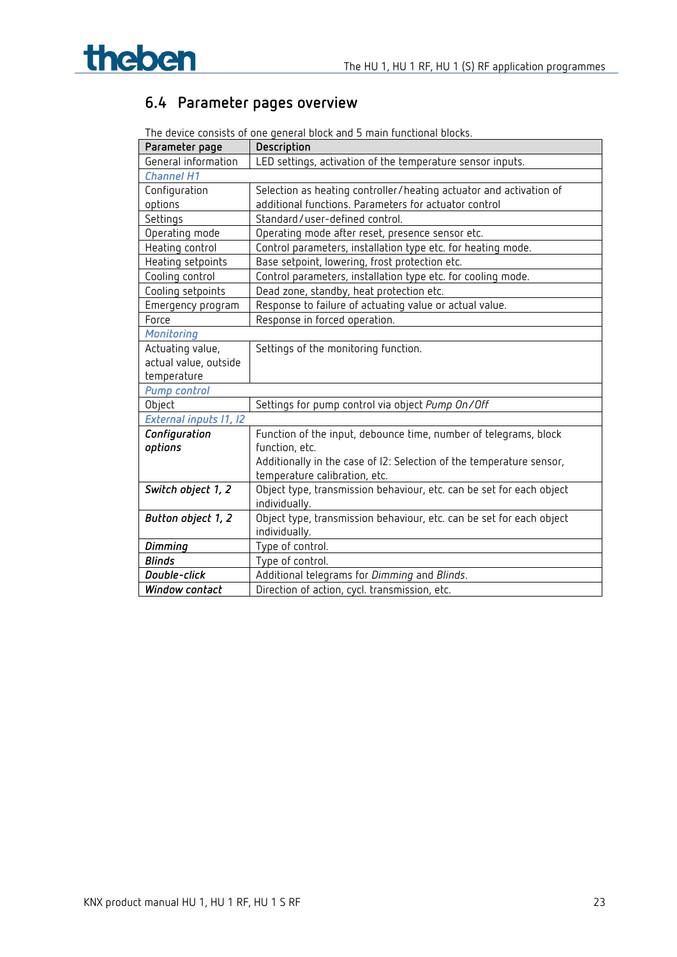

## <span id="page-22-0"></span>**6.4 Parameter pages overview**

| The device consists of one general block and 5 main functional blocks. |  |  |  |  |
|------------------------------------------------------------------------|--|--|--|--|

| Parameter page         | Description                                                          |
|------------------------|----------------------------------------------------------------------|
| General information    | LED settings, activation of the temperature sensor inputs.           |
| <b>Channel H1</b>      |                                                                      |
| Configuration          | Selection as heating controller/heating actuator and activation of   |
| options                | additional functions. Parameters for actuator control                |
| Settings               | Standard/user-defined control.                                       |
| Operating mode         | Operating mode after reset, presence sensor etc.                     |
| Heating control        | Control parameters, installation type etc. for heating mode.         |
| Heating setpoints      | Base setpoint, lowering, frost protection etc.                       |
| Cooling control        | Control parameters, installation type etc. for cooling mode.         |
| Cooling setpoints      | Dead zone, standby, heat protection etc.                             |
| Emergency program      | Response to failure of actuating value or actual value.              |
| Force                  | Response in forced operation.                                        |
| Monitoring             |                                                                      |
| Actuating value,       | Settings of the monitoring function.                                 |
| actual value, outside  |                                                                      |
| temperature            |                                                                      |
| <b>Pump control</b>    |                                                                      |
| Object                 | Settings for pump control via object Pump On/Off                     |
| External inputs 11, 12 |                                                                      |
| Configuration          | Function of the input, debounce time, number of telegrams, block     |
| options                | function, etc.                                                       |
|                        | Additionally in the case of I2: Selection of the temperature sensor, |
|                        | temperature calibration, etc.                                        |
| Switch object 1, 2     | Object type, transmission behaviour, etc. can be set for each object |
|                        | individually.                                                        |
| Button object 1, 2     | Object type, transmission behaviour, etc. can be set for each object |
|                        | individually.                                                        |
| <b>Dimming</b>         | Type of control.                                                     |
| <b>Blinds</b>          | Type of control.                                                     |
| Double-click           | Additional telegrams for Dimming and Blinds.                         |
| Window contact         | Direction of action, cycl. transmission, etc.                        |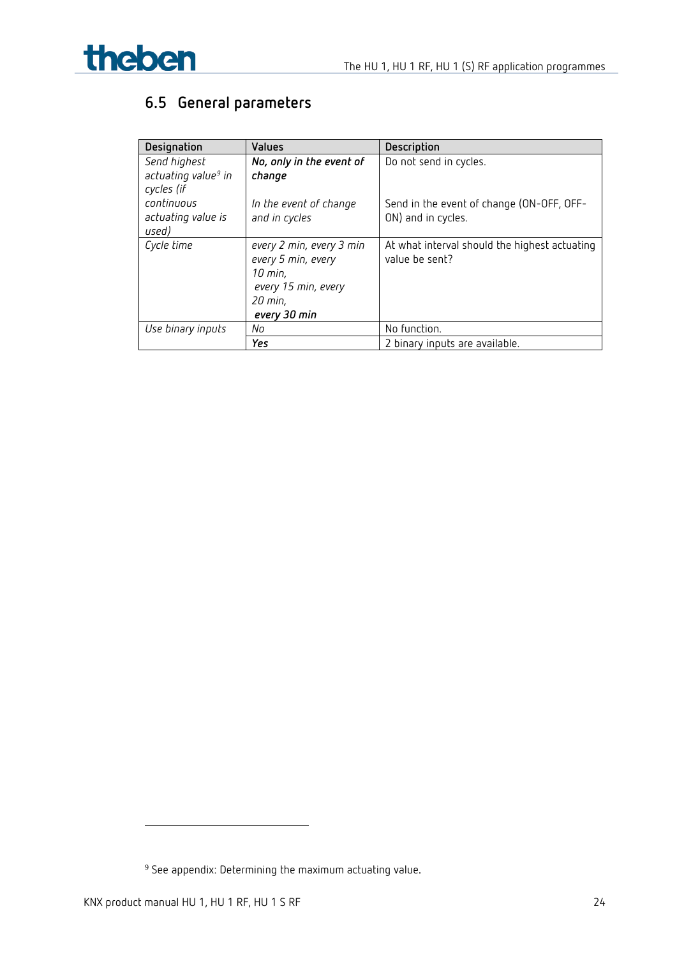

## <span id="page-23-0"></span>**6.5 General parameters**

| Designation                                                   | <b>Values</b>                                                                                               | Description                                                     |
|---------------------------------------------------------------|-------------------------------------------------------------------------------------------------------------|-----------------------------------------------------------------|
| Send highest<br>actuating value <sup>9</sup> in<br>cycles (if | No, only in the event of<br>change                                                                          | Do not send in cycles.                                          |
| continuous<br>actuating value is<br>used)                     | In the event of change<br>and in cycles                                                                     | Send in the event of change (ON-OFF, OFF-<br>ON) and in cycles. |
| Cycle time                                                    | every 2 min, every 3 min<br>every 5 min, every<br>10 min,<br>every 15 min, every<br>20 min,<br>every 30 min | At what interval should the highest actuating<br>value be sent? |
| Use binary inputs                                             | No                                                                                                          | No function.                                                    |
|                                                               | Yes                                                                                                         | 2 binary inputs are available.                                  |

<span id="page-23-1"></span><sup>9</sup> See appendix: Determining the maximum actuating value.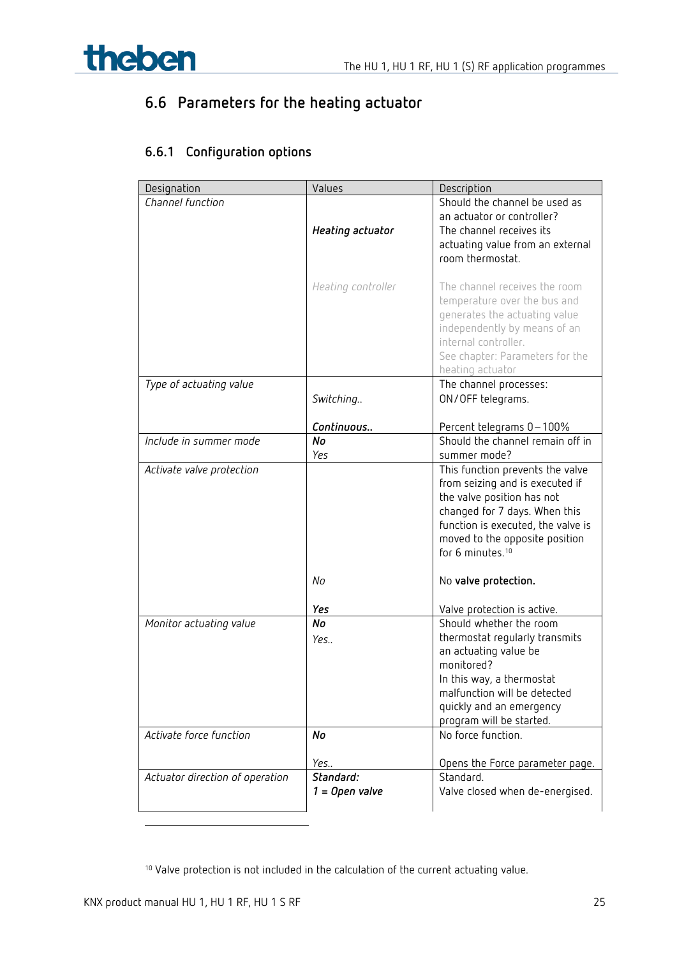

## <span id="page-24-0"></span>**6.6 Parameters for the heating actuator**

## **6.6.1 Configuration options**

| Designation                     | Values                               | Description                                                                                                                                                                                                                                          |
|---------------------------------|--------------------------------------|------------------------------------------------------------------------------------------------------------------------------------------------------------------------------------------------------------------------------------------------------|
| Channel function                | Heating actuator                     | Should the channel be used as<br>an actuator or controller?<br>The channel receives its<br>actuating value from an external<br>room thermostat.                                                                                                      |
|                                 | Heating controller                   | The channel receives the room<br>temperature over the bus and<br>generates the actuating value<br>independently by means of an<br>internal controller.<br>See chapter: Parameters for the<br>heating actuator                                        |
| Type of actuating value         | Switching                            | The channel processes:<br>ON/OFF telegrams.                                                                                                                                                                                                          |
|                                 | Continuous                           | Percent telegrams 0-100%                                                                                                                                                                                                                             |
| Include in summer mode          | No<br>Yes                            | Should the channel remain off in<br>summer mode?                                                                                                                                                                                                     |
| Activate valve protection       |                                      | This function prevents the valve<br>from seizing and is executed if<br>the valve position has not<br>changed for 7 days. When this<br>function is executed, the valve is<br>moved to the opposite position<br>for 6 minutes. <sup>10</sup>           |
|                                 | No                                   | No valve protection.                                                                                                                                                                                                                                 |
| Monitor actuating value         | Yes<br>No<br>Yes                     | Valve protection is active.<br>Should whether the room<br>thermostat regularly transmits<br>an actuating value be<br>monitored?<br>In this way, a thermostat<br>malfunction will be detected<br>quickly and an emergency<br>program will be started. |
| Activate force function         | No                                   | No force function.                                                                                                                                                                                                                                   |
| Actuator direction of operation | Yes<br>Standard:<br>$1 = Open value$ | Opens the Force parameter page.<br>Standard.<br>Valve closed when de-energised.                                                                                                                                                                      |

<span id="page-24-1"></span><sup>&</sup>lt;sup>10</sup> Valve protection is not included in the calculation of the current actuating value.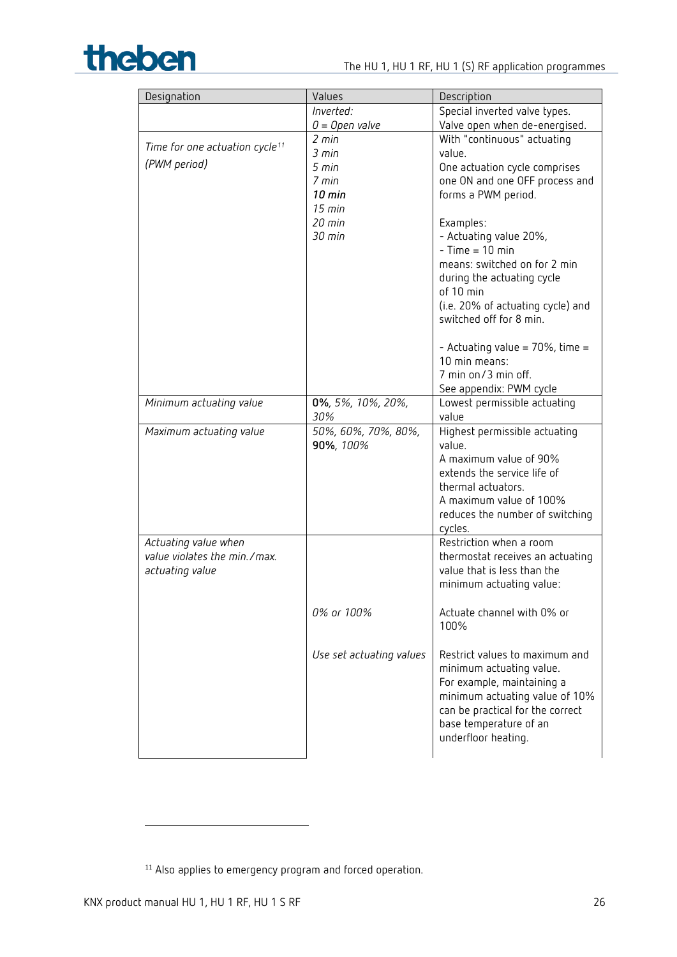

| Designation                                | Values                   | Description                                 |
|--------------------------------------------|--------------------------|---------------------------------------------|
|                                            | Inverted:                | Special inverted valve types.               |
|                                            | $0 = Open value$         | Valve open when de-energised.               |
| Time for one actuation cycle <sup>11</sup> | 2 min                    | With "continuous" actuating                 |
|                                            | 3 min                    | value.                                      |
| (PWM period)                               | 5 min                    | One actuation cycle comprises               |
|                                            | 7 min                    | one ON and one OFF process and              |
|                                            | $10 \text{ min}$         | forms a PWM period.                         |
|                                            | $15$ min<br>$20$ min     |                                             |
|                                            | 30 min                   | Examples:                                   |
|                                            |                          | - Actuating value 20%,<br>$-$ Time = 10 min |
|                                            |                          | means: switched on for 2 min                |
|                                            |                          | during the actuating cycle                  |
|                                            |                          | of 10 min                                   |
|                                            |                          | (i.e. 20% of actuating cycle) and           |
|                                            |                          | switched off for 8 min.                     |
|                                            |                          |                                             |
|                                            |                          | - Actuating value = $70\%$ , time =         |
|                                            |                          | 10 min means:                               |
|                                            |                          | 7 min on/3 min off.                         |
|                                            |                          | See appendix: PWM cycle                     |
| Minimum actuating value                    | 0%, 5%, 10%, 20%,        | Lowest permissible actuating                |
|                                            | 30%                      | value                                       |
| Maximum actuating value                    | 50%, 60%, 70%, 80%,      | Highest permissible actuating               |
|                                            | 90%, 100%                | value.<br>A maximum value of 90%            |
|                                            |                          | extends the service life of                 |
|                                            |                          | thermal actuators.                          |
|                                            |                          | A maximum value of 100%                     |
|                                            |                          | reduces the number of switching             |
|                                            |                          | cycles.                                     |
| Actuating value when                       |                          | Restriction when a room                     |
| value violates the min./max.               |                          | thermostat receives an actuating            |
| actuating value                            |                          | value that is less than the                 |
|                                            |                          | minimum actuating value:                    |
|                                            |                          |                                             |
|                                            | 0% or 100%               | Actuate channel with 0% or                  |
|                                            |                          | 100%                                        |
|                                            | Use set actuating values | Restrict values to maximum and              |
|                                            |                          | minimum actuating value.                    |
|                                            |                          | For example, maintaining a                  |
|                                            |                          | minimum actuating value of 10%              |
|                                            |                          | can be practical for the correct            |
|                                            |                          | base temperature of an                      |
|                                            |                          | underfloor heating.                         |
|                                            |                          |                                             |

<span id="page-25-0"></span><sup>&</sup>lt;sup>11</sup> Also applies to emergency program and forced operation.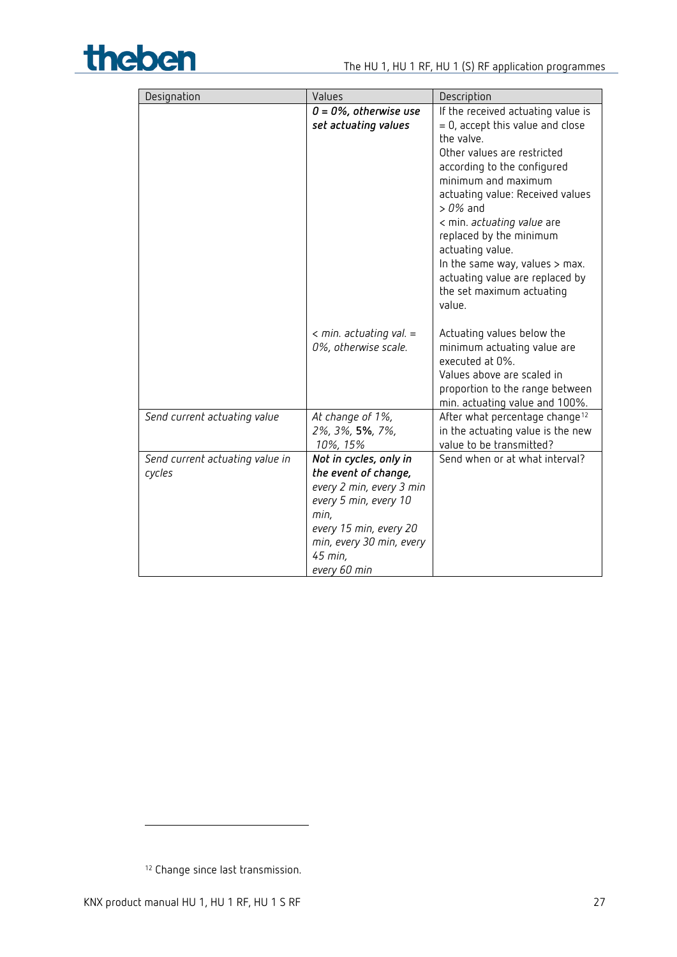

| Designation                               | Values                                                                                                                                                                                       | Description                                                                                                                                                                                                                                                                                                                                                                                                             |
|-------------------------------------------|----------------------------------------------------------------------------------------------------------------------------------------------------------------------------------------------|-------------------------------------------------------------------------------------------------------------------------------------------------------------------------------------------------------------------------------------------------------------------------------------------------------------------------------------------------------------------------------------------------------------------------|
|                                           | $0 = 0\%$ , otherwise use<br>set actuating values                                                                                                                                            | If the received actuating value is<br>$= 0$ , accept this value and close<br>the valve.<br>Other values are restricted<br>according to the configured<br>minimum and maximum<br>actuating value: Received values<br>$>0\%$ and<br>< min. actuating value are<br>replaced by the minimum<br>actuating value.<br>In the same way, values > max.<br>actuating value are replaced by<br>the set maximum actuating<br>value. |
|                                           | $\epsilon$ min. actuating val. $=$<br>0%, otherwise scale.                                                                                                                                   | Actuating values below the<br>minimum actuating value are<br>executed at 0%.<br>Values above are scaled in<br>proportion to the range between<br>min. actuating value and 100%.                                                                                                                                                                                                                                         |
| Send current actuating value              | At change of 1%,<br>2%, 3%, 5%, 7%,<br>10%, 15%                                                                                                                                              | After what percentage change <sup>12</sup><br>in the actuating value is the new<br>value to be transmitted?                                                                                                                                                                                                                                                                                                             |
| Send current actuating value in<br>cycles | Not in cycles, only in<br>the event of change,<br>every 2 min, every 3 min<br>every 5 min, every 10<br>min.<br>every 15 min, every 20<br>min, every 30 min, every<br>45 min,<br>every 60 min | Send when or at what interval?                                                                                                                                                                                                                                                                                                                                                                                          |

<span id="page-26-0"></span><sup>12</sup> Change since last transmission.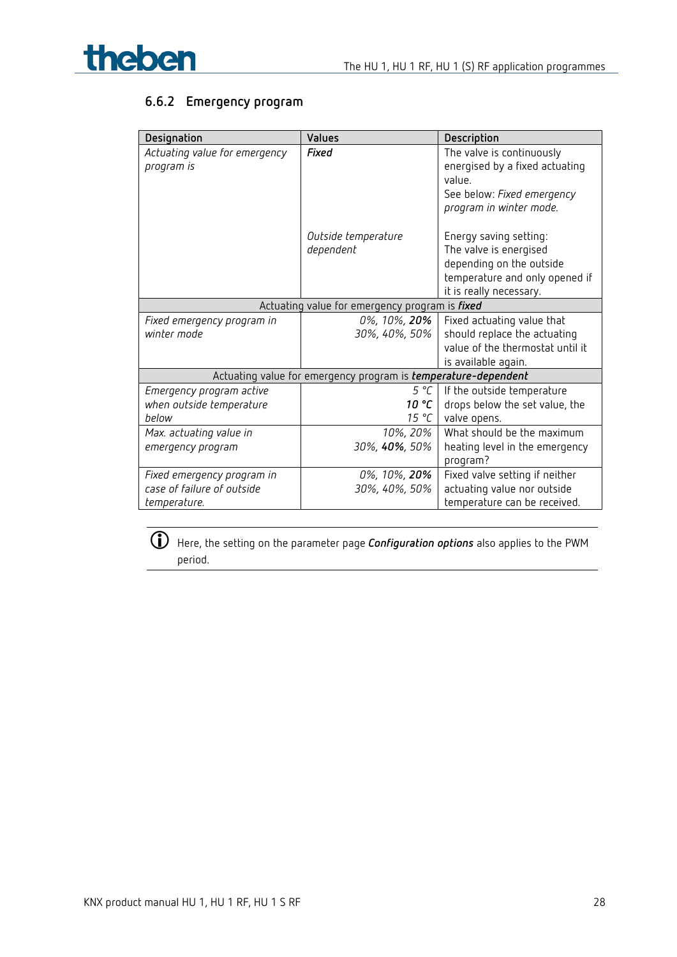

## **6.6.2 Emergency program**

| Designation                   | <b>Values</b>                                                  | Description                      |  |
|-------------------------------|----------------------------------------------------------------|----------------------------------|--|
| Actuating value for emergency | Fixed                                                          | The valve is continuously        |  |
| program is                    |                                                                | energised by a fixed actuating   |  |
|                               |                                                                | value.                           |  |
|                               |                                                                | See below: Fixed emergency       |  |
|                               |                                                                | program in winter mode.          |  |
|                               |                                                                |                                  |  |
|                               | Outside temperature                                            | Energy saving setting:           |  |
|                               | dependent                                                      | The valve is energised           |  |
|                               |                                                                | depending on the outside         |  |
|                               |                                                                | temperature and only opened if   |  |
|                               |                                                                | it is really necessary.          |  |
|                               | Actuating value for emergency program is fixed                 |                                  |  |
| Fixed emergency program in    | 0%, 10%, <b>20%</b>                                            | Fixed actuating value that       |  |
| winter mode                   | 30%, 40%, 50%                                                  | should replace the actuating     |  |
|                               |                                                                | value of the thermostat until it |  |
|                               |                                                                | is available again.              |  |
|                               | Actuating value for emergency program is temperature-dependent |                                  |  |
| Emergency program active      | 5 °C                                                           | If the outside temperature       |  |
| when outside temperature      | 10 °C                                                          | drops below the set value, the   |  |
| below                         | 15 °C                                                          | valve opens.                     |  |
| Max. actuating value in       | 10%, 20%                                                       | What should be the maximum       |  |
| emergency program             | 30%, 40%, 50%                                                  | heating level in the emergency   |  |
|                               |                                                                | program?                         |  |
| Fixed emergency program in    | 0%, 10%, 20%                                                   | Fixed valve setting if neither   |  |
| case of failure of outside    | 30%, 40%, 50%                                                  | actuating value nor outside      |  |
| temperature.                  |                                                                | temperature can be received.     |  |

 Here, the setting on the parameter page *Configuration options* also applies to the PWM period.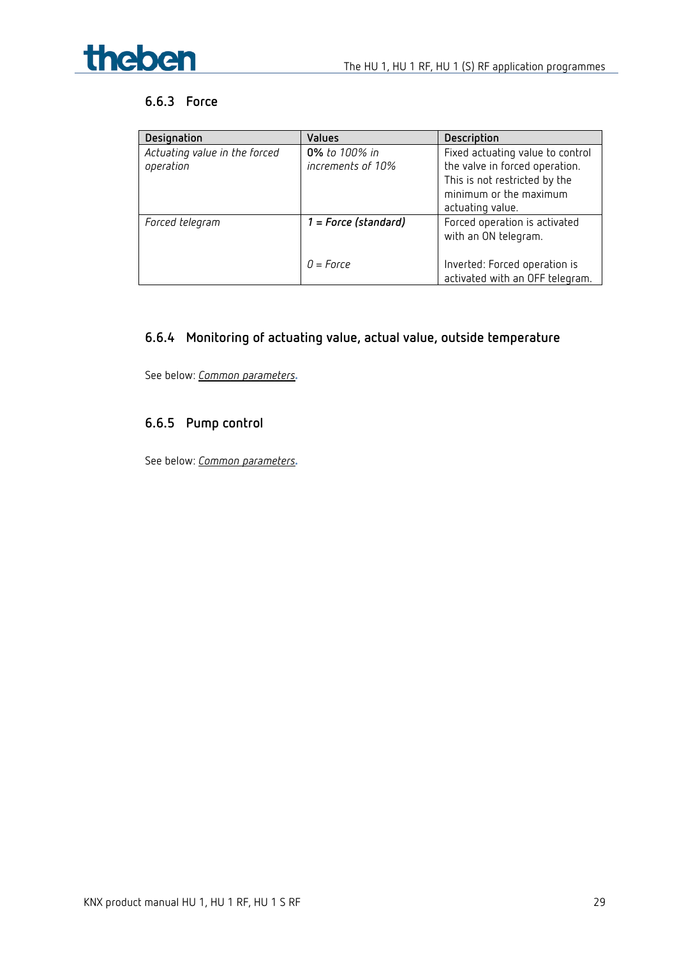

### **6.6.3 Force**

| Designation                                | <b>Values</b>                      | Description                                                                                                                                       |
|--------------------------------------------|------------------------------------|---------------------------------------------------------------------------------------------------------------------------------------------------|
| Actuating value in the forced<br>operation | 0% to 100% in<br>increments of 10% | Fixed actuating value to control<br>the valve in forced operation.<br>This is not restricted by the<br>minimum or the maximum<br>actuating value. |
| Forced telegram                            | $1 = Force (standard)$             | Forced operation is activated<br>with an ON telegram.                                                                                             |
|                                            | $0 =$ Force                        | Inverted: Forced operation is<br>activated with an OFF telegram.                                                                                  |

## **6.6.4 Monitoring of actuating value, actual value, outside temperature**

See below: *Common parameters.*

### **6.6.5 Pump control**

See below: *Common parameters.*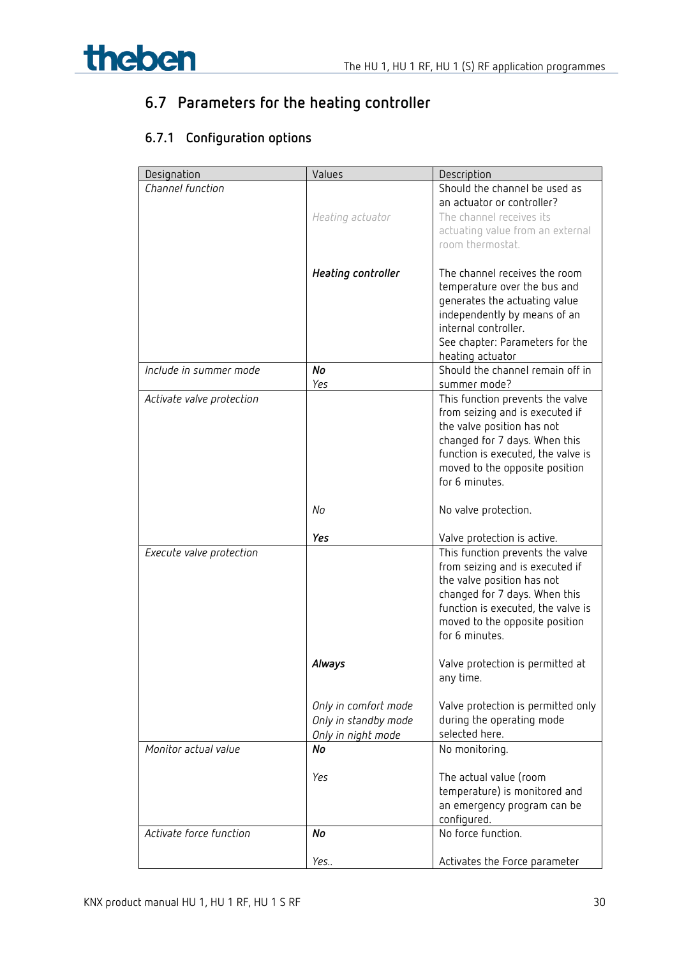

## <span id="page-29-0"></span>**6.7 Parameters for the heating controller**

## **6.7.1 Configuration options**

| Designation               | Values                    | Description                                                   |
|---------------------------|---------------------------|---------------------------------------------------------------|
| Channel function          |                           | Should the channel be used as                                 |
|                           |                           | an actuator or controller?                                    |
|                           | Heating actuator          | The channel receives its                                      |
|                           |                           | actuating value from an external                              |
|                           |                           | room thermostat.                                              |
|                           |                           |                                                               |
|                           | <b>Heating controller</b> | The channel receives the room                                 |
|                           |                           | temperature over the bus and                                  |
|                           |                           | generates the actuating value<br>independently by means of an |
|                           |                           | internal controller.                                          |
|                           |                           | See chapter: Parameters for the                               |
|                           |                           | heating actuator                                              |
| Include in summer mode    | No                        | Should the channel remain off in                              |
|                           | Yes                       | summer mode?                                                  |
| Activate valve protection |                           | This function prevents the valve                              |
|                           |                           | from seizing and is executed if                               |
|                           |                           | the valve position has not                                    |
|                           |                           | changed for 7 days. When this                                 |
|                           |                           | function is executed, the valve is                            |
|                           |                           | moved to the opposite position                                |
|                           |                           | for 6 minutes.                                                |
|                           | No                        | No valve protection.                                          |
|                           |                           |                                                               |
|                           | Yes                       | Valve protection is active.                                   |
| Execute valve protection  |                           | This function prevents the valve                              |
|                           |                           | from seizing and is executed if                               |
|                           |                           | the valve position has not                                    |
|                           |                           | changed for 7 days. When this                                 |
|                           |                           | function is executed, the valve is                            |
|                           |                           | moved to the opposite position                                |
|                           |                           | for 6 minutes.                                                |
|                           |                           |                                                               |
|                           | Always                    | Valve protection is permitted at                              |
|                           |                           | any time.                                                     |
|                           | Only in comfort mode      | Valve protection is permitted only                            |
|                           | Only in standby mode      | during the operating mode                                     |
|                           | Only in night mode        | selected here.                                                |
| Monitor actual value      | No                        | No monitoring.                                                |
|                           |                           |                                                               |
|                           | Yes                       | The actual value (room                                        |
|                           |                           | temperature) is monitored and                                 |
|                           |                           | an emergency program can be                                   |
|                           |                           | configured.                                                   |
| Activate force function   | No                        | No force function.                                            |
|                           |                           |                                                               |
|                           | Yes                       | Activates the Force parameter                                 |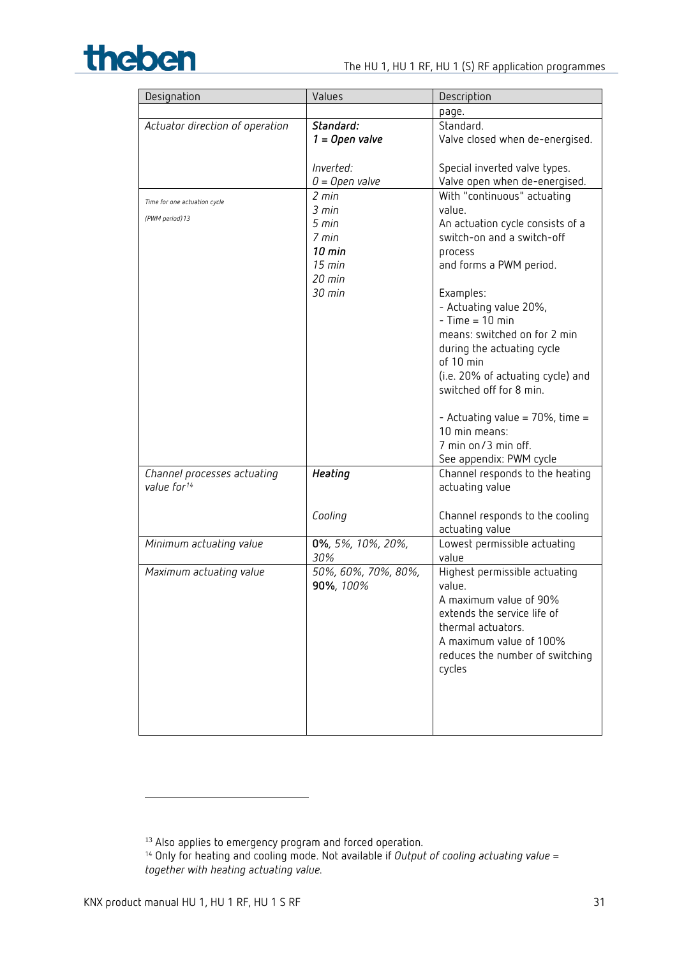

| Designation                     | Values              | Description                                           |
|---------------------------------|---------------------|-------------------------------------------------------|
|                                 |                     | page.                                                 |
| Actuator direction of operation | Standard:           | Standard.                                             |
|                                 | $1 = Open value$    | Valve closed when de-energised.                       |
|                                 |                     |                                                       |
|                                 | Inverted:           | Special inverted valve types.                         |
|                                 | $0 = Open value$    | Valve open when de-energised.                         |
| Time for one actuation cycle    | 2 min               | With "continuous" actuating                           |
| (PWM period) 13                 | 3 min               | value.                                                |
|                                 | 5 min               | An actuation cycle consists of a                      |
|                                 | 7 min               | switch-on and a switch-off                            |
|                                 | $10 \text{ min}$    | process                                               |
|                                 | $15$ min<br>20 min  | and forms a PWM period.                               |
|                                 | 30 min              | Examples:                                             |
|                                 |                     | - Actuating value 20%,                                |
|                                 |                     | $-$ Time = 10 min                                     |
|                                 |                     | means: switched on for 2 min                          |
|                                 |                     | during the actuating cycle                            |
|                                 |                     | of 10 min                                             |
|                                 |                     | (i.e. 20% of actuating cycle) and                     |
|                                 |                     | switched off for 8 min.                               |
|                                 |                     |                                                       |
|                                 |                     | - Actuating value = $70\%$ , time =                   |
|                                 |                     | 10 min means:                                         |
|                                 |                     | 7 min on/3 min off.                                   |
|                                 |                     | See appendix: PWM cycle                               |
| Channel processes actuating     | Heating             | Channel responds to the heating                       |
| value for <sup>14</sup>         |                     | actuating value                                       |
|                                 |                     |                                                       |
|                                 | Cooling             | Channel responds to the cooling                       |
|                                 |                     | actuating value                                       |
| Minimum actuating value         | 0%, 5%, 10%, 20%,   | Lowest permissible actuating                          |
|                                 | 30%                 | value                                                 |
| Maximum actuating value         | 50%, 60%, 70%, 80%, | Highest permissible actuating                         |
|                                 | 90%, 100%           | value.                                                |
|                                 |                     | A maximum value of 90%<br>extends the service life of |
|                                 |                     | thermal actuators.                                    |
|                                 |                     | A maximum value of 100%                               |
|                                 |                     | reduces the number of switching                       |
|                                 |                     | cycles                                                |
|                                 |                     |                                                       |
|                                 |                     |                                                       |
|                                 |                     |                                                       |
|                                 |                     |                                                       |

 $13$  Also applies to emergency program and forced operation.

<span id="page-30-1"></span><span id="page-30-0"></span><sup>14</sup> Only for heating and cooling mode. Not available if *Output of cooling actuating value* = *together with heating actuating value.*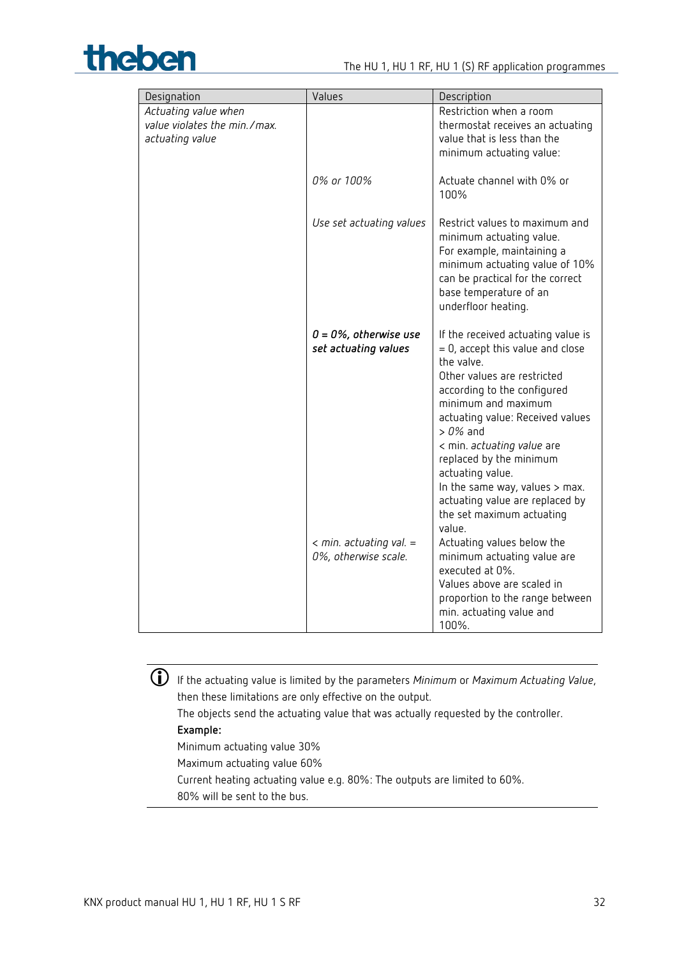

| Designation                                                             | Values                                                     | Description                                                                                                                                                                                                                                                                                                                                                                                                               |
|-------------------------------------------------------------------------|------------------------------------------------------------|---------------------------------------------------------------------------------------------------------------------------------------------------------------------------------------------------------------------------------------------------------------------------------------------------------------------------------------------------------------------------------------------------------------------------|
| Actuating value when<br>value violates the min./max.<br>actuating value |                                                            | Restriction when a room<br>thermostat receives an actuating<br>value that is less than the<br>minimum actuating value:                                                                                                                                                                                                                                                                                                    |
|                                                                         | 0% or 100%                                                 | Actuate channel with 0% or<br>100%                                                                                                                                                                                                                                                                                                                                                                                        |
|                                                                         | Use set actuating values                                   | Restrict values to maximum and<br>minimum actuating value.<br>For example, maintaining a<br>minimum actuating value of 10%<br>can be practical for the correct<br>base temperature of an<br>underfloor heating.                                                                                                                                                                                                           |
|                                                                         | $0 = 0\%$ , otherwise use<br>set actuating values          | If the received actuating value is<br>$= 0$ , accept this value and close<br>the valve.<br>Other values are restricted<br>according to the configured<br>minimum and maximum<br>actuating value: Received values<br>$>0\%$ and<br>< min. actuating value are<br>replaced by the minimum<br>actuating value.<br>In the same way, values $>$ max.<br>actuating value are replaced by<br>the set maximum actuating<br>value. |
|                                                                         | $\epsilon$ min. actuating val. $=$<br>0%, otherwise scale. | Actuating values below the<br>minimum actuating value are<br>executed at 0%.<br>Values above are scaled in<br>proportion to the range between<br>min. actuating value and<br>100%.                                                                                                                                                                                                                                        |

 If the actuating value is limited by the parameters *Minimum* or *Maximum Actuating Value*, then these limitations are only effective on the output.

The objects send the actuating value that was actually requested by the controller. **Example:**

Minimum actuating value 30%

Maximum actuating value 60%

Current heating actuating value e.g. 80%: The outputs are limited to 60%.

80% will be sent to the bus.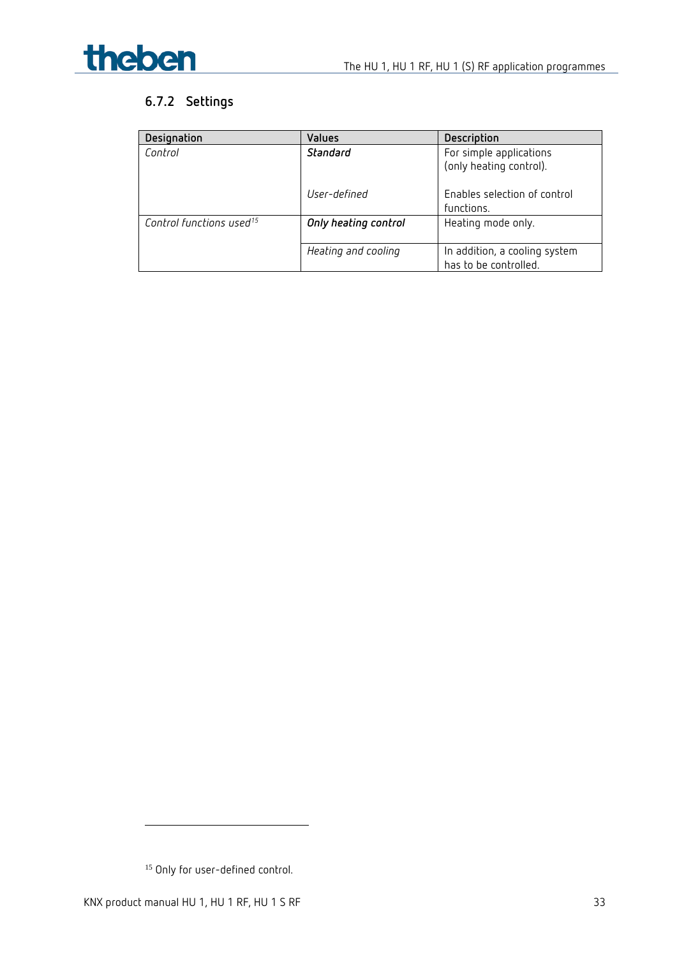

## **6.7.2 Settings**

| Designation                          | Values               | Description                                            |
|--------------------------------------|----------------------|--------------------------------------------------------|
| Control                              | Standard             | For simple applications<br>(only heating control).     |
|                                      | User-defined         | Enables selection of control<br>functions.             |
| Control functions used <sup>15</sup> | Only heating control | Heating mode only.                                     |
|                                      | Heating and cooling  | In addition, a cooling system<br>has to be controlled. |

<span id="page-32-0"></span><sup>&</sup>lt;sup>15</sup> Only for user-defined control.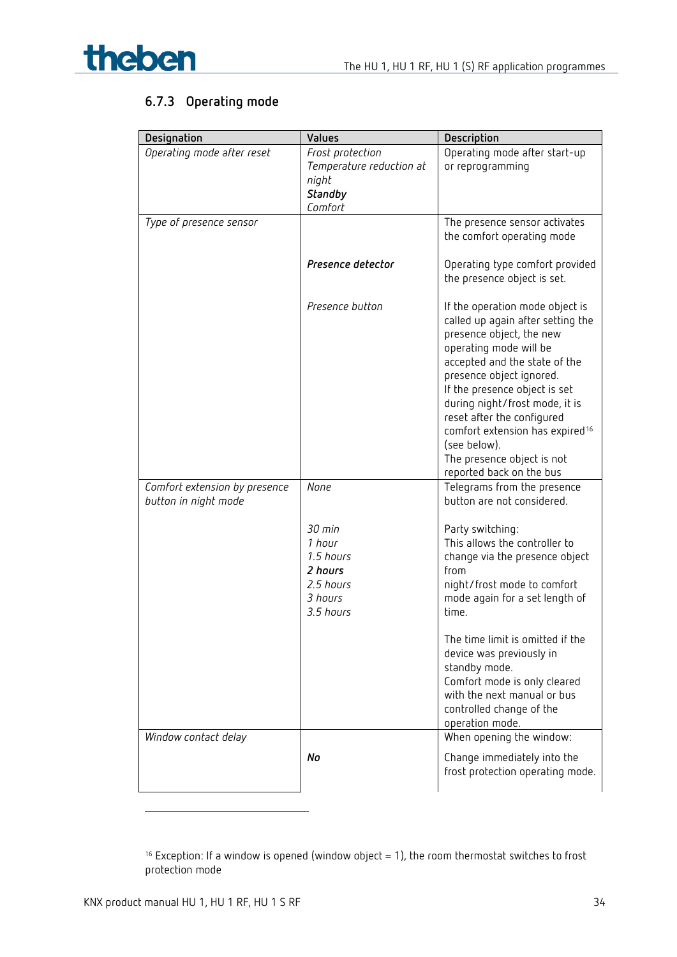

## **6.7.3 Operating mode**

| Designation                                           | Values                                                                        | Description                                                                                                                                                                                                                                                                                                                                                                                                       |
|-------------------------------------------------------|-------------------------------------------------------------------------------|-------------------------------------------------------------------------------------------------------------------------------------------------------------------------------------------------------------------------------------------------------------------------------------------------------------------------------------------------------------------------------------------------------------------|
| Operating mode after reset                            | Frost protection<br>Temperature reduction at<br>night<br>Standby<br>Comfort   | Operating mode after start-up<br>or reprogramming                                                                                                                                                                                                                                                                                                                                                                 |
| Type of presence sensor                               |                                                                               | The presence sensor activates<br>the comfort operating mode                                                                                                                                                                                                                                                                                                                                                       |
|                                                       | Presence detector                                                             | Operating type comfort provided<br>the presence object is set.                                                                                                                                                                                                                                                                                                                                                    |
|                                                       | Presence button                                                               | If the operation mode object is<br>called up again after setting the<br>presence object, the new<br>operating mode will be<br>accepted and the state of the<br>presence object ignored.<br>If the presence object is set<br>during night/frost mode, it is<br>reset after the configured<br>comfort extension has expired <sup>16</sup><br>(see below).<br>The presence object is not<br>reported back on the bus |
| Comfort extension by presence<br>button in night mode | None                                                                          | Telegrams from the presence<br>button are not considered.                                                                                                                                                                                                                                                                                                                                                         |
|                                                       | 30 min<br>1 hour<br>1.5 hours<br>2 hours<br>2.5 hours<br>3 hours<br>3.5 hours | Party switching:<br>This allows the controller to<br>change via the presence object<br>from<br>night/frost mode to comfort<br>mode again for a set length of<br>time.                                                                                                                                                                                                                                             |
|                                                       |                                                                               | The time limit is omitted if the<br>device was previously in<br>standby mode.<br>Comfort mode is only cleared<br>with the next manual or bus<br>controlled change of the<br>operation mode.                                                                                                                                                                                                                       |
| Window contact delay                                  | No                                                                            | When opening the window:<br>Change immediately into the<br>frost protection operating mode.                                                                                                                                                                                                                                                                                                                       |

<span id="page-33-0"></span><sup>&</sup>lt;sup>16</sup> Exception: If a window is opened (window object = 1), the room thermostat switches to frost protection mode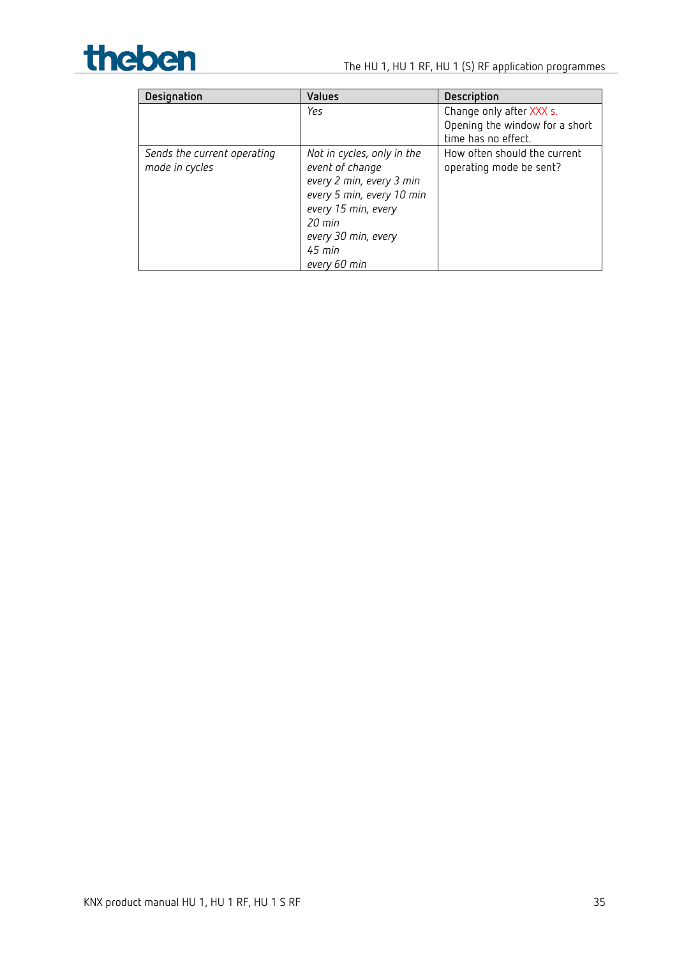

## The HU 1, HU 1 RF, HU 1 (S) RF application programmes

| Designation                 | <b>Values</b>              | Description                    |
|-----------------------------|----------------------------|--------------------------------|
|                             | Yes                        | Change only after XXX s.       |
|                             |                            | Opening the window for a short |
|                             |                            | time has no effect.            |
| Sends the current operating | Not in cycles, only in the | How often should the current   |
| mode in cycles              | event of change            | operating mode be sent?        |
|                             | every 2 min, every 3 min   |                                |
|                             | every 5 min, every 10 min  |                                |
|                             | every 15 min, every        |                                |
|                             | 20 min                     |                                |
|                             | every 30 min, every        |                                |
|                             | 45 min                     |                                |
|                             | every 60 min               |                                |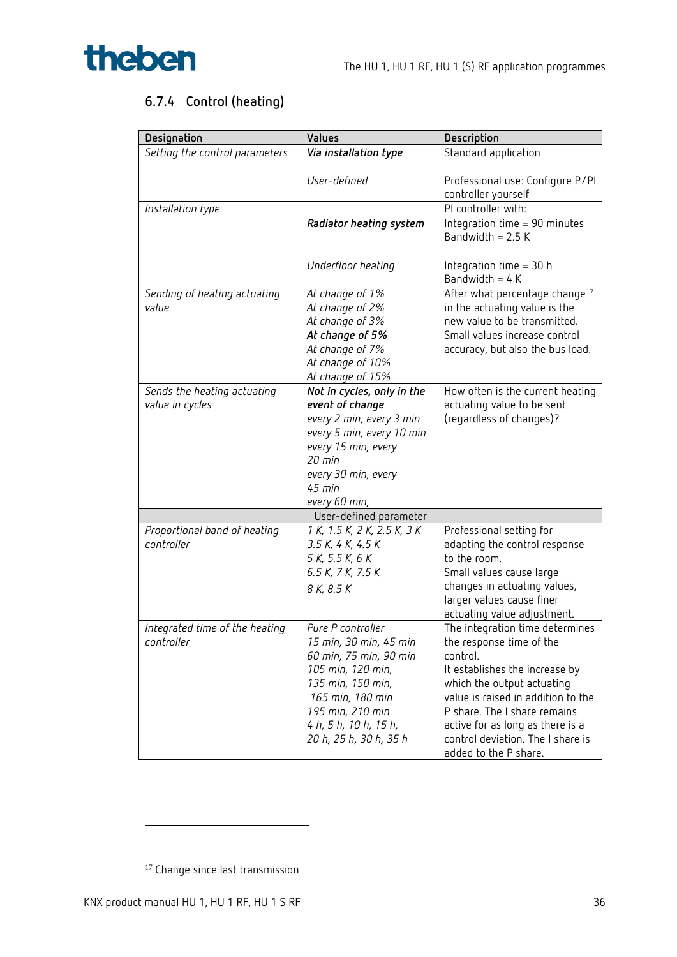

## **6.7.4 Control (heating)**

| Designation                                    | Values                                                                                                                                                                                                     | Description                                                                                                                                                                                                                                                                                                     |
|------------------------------------------------|------------------------------------------------------------------------------------------------------------------------------------------------------------------------------------------------------------|-----------------------------------------------------------------------------------------------------------------------------------------------------------------------------------------------------------------------------------------------------------------------------------------------------------------|
| Setting the control parameters                 | Via installation type                                                                                                                                                                                      | Standard application                                                                                                                                                                                                                                                                                            |
|                                                | User-defined                                                                                                                                                                                               | Professional use: Configure P/PI<br>controller yourself                                                                                                                                                                                                                                                         |
| Installation type                              | Radiator heating system                                                                                                                                                                                    | PI controller with:<br>Integration time = 90 minutes<br>Bandwidth = $2.5 K$                                                                                                                                                                                                                                     |
|                                                | Underfloor heating                                                                                                                                                                                         | Integration time $=$ 30 h<br>Bandwidth = $4 K$                                                                                                                                                                                                                                                                  |
| Sending of heating actuating<br>value          | At change of 1%<br>At change of 2%<br>At change of 3%<br>At change of 5%<br>At change of 7%<br>At change of 10%<br>At change of 15%                                                                        | After what percentage change <sup>17</sup><br>in the actuating value is the<br>new value to be transmitted.<br>Small values increase control<br>accuracy, but also the bus load.                                                                                                                                |
| Sends the heating actuating<br>value in cycles | Not in cycles, only in the<br>event of change<br>every 2 min, every 3 min<br>every 5 min, every 10 min<br>every 15 min, every<br>20 min<br>every 30 min, every<br>45 min<br>every 60 min,                  | How often is the current heating<br>actuating value to be sent<br>(regardless of changes)?                                                                                                                                                                                                                      |
|                                                | User-defined parameter                                                                                                                                                                                     |                                                                                                                                                                                                                                                                                                                 |
| Proportional band of heating<br>controller     | 1 K, 1.5 K, 2 K, 2.5 K, 3 K<br>$3.5 K$ , 4 K, 4.5 K<br>5 K, 5.5 K, 6 K<br>6.5 K, 7 K, 7.5 K<br>8 K, 8.5 K                                                                                                  | Professional setting for<br>adapting the control response<br>to the room.<br>Small values cause large<br>changes in actuating values,<br>larger values cause finer<br>actuating value adjustment.                                                                                                               |
| Integrated time of the heating<br>controller   | Pure P controller<br>15 min, 30 min, 45 min<br>60 min, 75 min, 90 min<br>105 min, 120 min,<br>135 min, 150 min,<br>165 min, 180 min<br>195 min, 210 min<br>4 h, 5 h, 10 h, 15 h,<br>20 h, 25 h, 30 h, 35 h | The integration time determines<br>the response time of the<br>control.<br>It establishes the increase by<br>which the output actuating<br>value is raised in addition to the<br>P share. The I share remains<br>active for as long as there is a<br>control deviation. The I share is<br>added to the P share. |

<span id="page-35-0"></span><sup>&</sup>lt;sup>17</sup> Change since last transmission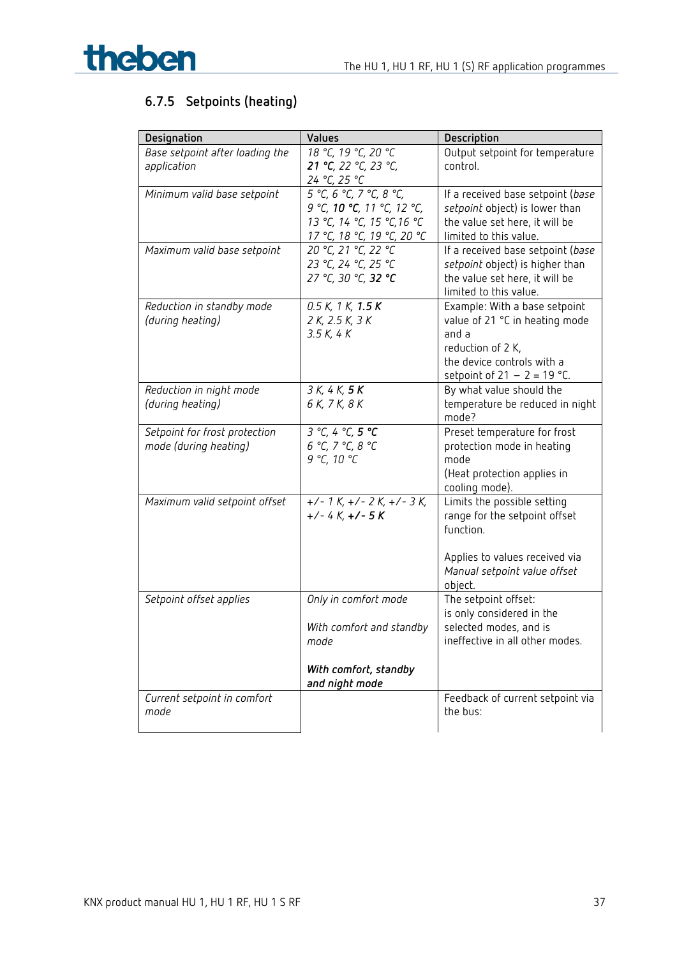

# **6.7.5 Setpoints (heating)**

| Designation                     | Values                       | Description                        |
|---------------------------------|------------------------------|------------------------------------|
| Base setpoint after loading the | 18 °C, 19 °C, 20 °C          | Output setpoint for temperature    |
| application                     | 21 °C, 22 °C, 23 °C,         | control.                           |
|                                 | 24 °C, 25 °C                 |                                    |
| Minimum valid base setpoint     | 5 °C, 6 °C, 7 °C, 8 °C,      | If a received base setpoint (base  |
|                                 | 9 °C, 10 °C, 11 °C, 12 °C,   | setpoint object) is lower than     |
|                                 | 13 °C, 14 °C, 15 °C, 16 °C   | the value set here, it will be     |
|                                 | 17 °C, 18 °C, 19 °C, 20 °C   | limited to this value.             |
| Maximum valid base setpoint     | 20 °C, 21 °C, 22 °C          | If a received base setpoint (base  |
|                                 | 23 °C, 24 °C, 25 °C          | setpoint object) is higher than    |
|                                 | 27 °C, 30 °C, 32 °C          | the value set here, it will be     |
|                                 |                              | limited to this value.             |
| Reduction in standby mode       | $0.5 K$ , 1 K, 1.5 K         | Example: With a base setpoint      |
| (during heating)                | 2 K, 2.5 K, 3 K              | value of 21 °C in heating mode     |
|                                 | 3.5 K, 4 K                   | and a                              |
|                                 |                              | reduction of 2 K,                  |
|                                 |                              | the device controls with a         |
|                                 |                              | setpoint of $21 - 2 = 19$ °C.      |
| Reduction in night mode         | 3K, 4K, 5K                   | By what value should the           |
| (during heating)                | 6 K, 7 K, 8 K                | temperature be reduced in night    |
|                                 | 3 °C, 4 °C, 5 °C             | mode?                              |
| Setpoint for frost protection   | 6 °C, 7 °C, 8 °C             | Preset temperature for frost       |
| mode (during heating)           | 9 °C, 10 °C                  | protection mode in heating<br>mode |
|                                 |                              | (Heat protection applies in        |
|                                 |                              | cooling mode).                     |
| Maximum valid setpoint offset   | $+/- 1 K, +/- 2 K, +/- 3 K,$ | Limits the possible setting        |
|                                 | $+/- 4 K, +/- 5 K$           | range for the setpoint offset      |
|                                 |                              | function.                          |
|                                 |                              |                                    |
|                                 |                              | Applies to values received via     |
|                                 |                              | Manual setpoint value offset       |
|                                 |                              | object.                            |
| Setpoint offset applies         | Only in comfort mode         | The setpoint offset:               |
|                                 |                              | is only considered in the          |
|                                 | With comfort and standby     | selected modes, and is             |
|                                 | mode                         | ineffective in all other modes.    |
|                                 |                              |                                    |
|                                 | With comfort, standby        |                                    |
|                                 | and night mode               |                                    |
| Current setpoint in comfort     |                              | Feedback of current setpoint via   |
| mode                            |                              | the bus:                           |
|                                 |                              |                                    |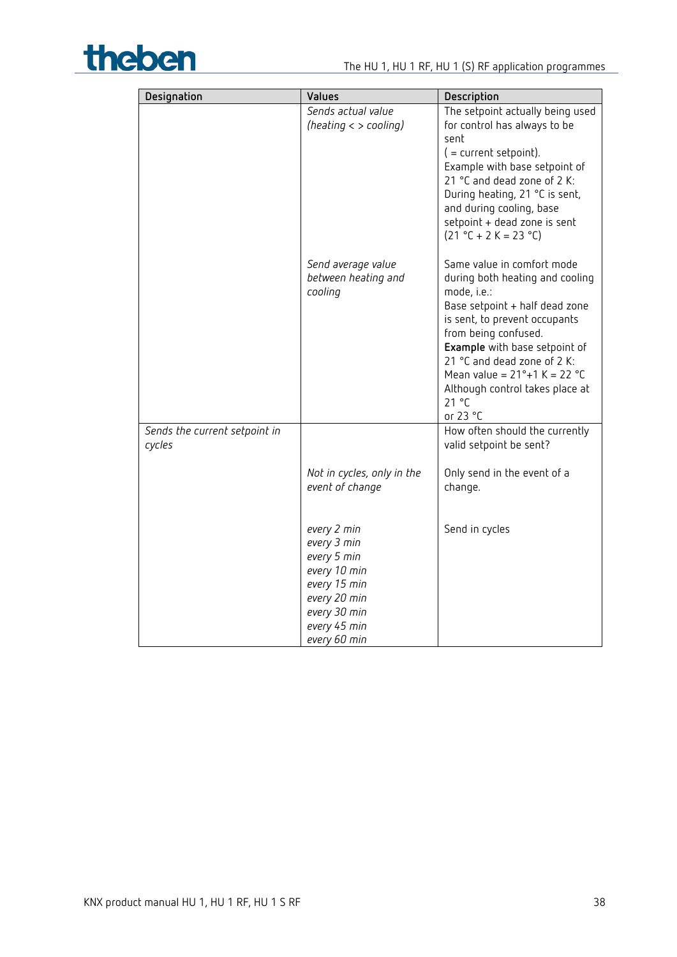

| Designation                             | Values                                                                                                                                    | Description                                                                                                                                                                                                                                                                                                                                        |
|-----------------------------------------|-------------------------------------------------------------------------------------------------------------------------------------------|----------------------------------------------------------------------------------------------------------------------------------------------------------------------------------------------------------------------------------------------------------------------------------------------------------------------------------------------------|
|                                         | Sends actual value<br>(heating $\langle$ > cooling)                                                                                       | The setpoint actually being used<br>for control has always to be<br>sent<br>$($ = current setpoint).<br>Example with base setpoint of<br>21 °C and dead zone of 2 K:<br>During heating, 21 °C is sent,<br>and during cooling, base<br>setpoint + dead zone is sent<br>$(21 °C + 2 K = 23 °C)$                                                      |
|                                         | Send average value<br>between heating and<br>cooling                                                                                      | Same value in comfort mode<br>during both heating and cooling<br>mode, i.e.:<br>Base setpoint + half dead zone<br>is sent, to prevent occupants<br>from being confused.<br>Example with base setpoint of<br>21 °C and dead zone of 2 K:<br>Mean value = $21^{\circ}+1$ K = 22 $^{\circ}$ C<br>Although control takes place at<br>21 °C<br>or 23 °C |
| Sends the current setpoint in<br>cycles |                                                                                                                                           | How often should the currently<br>valid setpoint be sent?                                                                                                                                                                                                                                                                                          |
|                                         | Not in cycles, only in the<br>event of change                                                                                             | Only send in the event of a<br>change.                                                                                                                                                                                                                                                                                                             |
|                                         | every 2 min<br>every 3 min<br>every 5 min<br>every 10 min<br>every 15 min<br>every 20 min<br>every 30 min<br>every 45 min<br>every 60 min | Send in cycles                                                                                                                                                                                                                                                                                                                                     |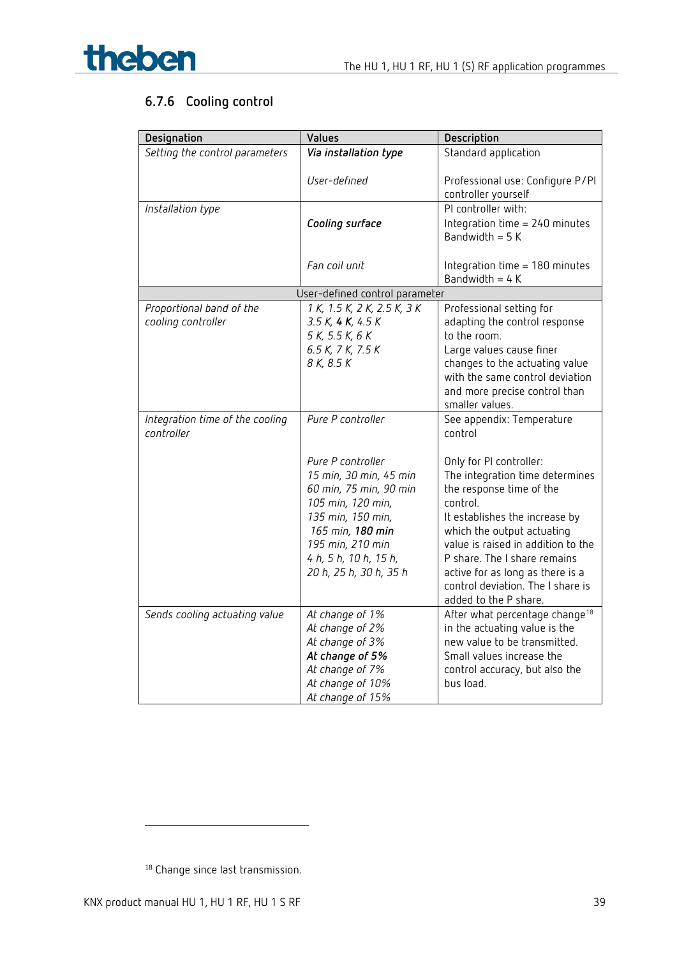

# **6.7.6 Cooling control**

| Designation                                    | Values                                                                                                                                                                                                     | Description                                                                                                                                                                                                                                                                                                                                |
|------------------------------------------------|------------------------------------------------------------------------------------------------------------------------------------------------------------------------------------------------------------|--------------------------------------------------------------------------------------------------------------------------------------------------------------------------------------------------------------------------------------------------------------------------------------------------------------------------------------------|
| Setting the control parameters                 | Via installation type                                                                                                                                                                                      | Standard application                                                                                                                                                                                                                                                                                                                       |
|                                                | User-defined                                                                                                                                                                                               | Professional use: Configure P/PI<br>controller yourself                                                                                                                                                                                                                                                                                    |
| Installation type                              | Cooling surface<br>Fan coil unit                                                                                                                                                                           | PI controller with:<br>Integration time = 240 minutes<br>Bandwidth = $5 K$<br>Integration time = 180 minutes                                                                                                                                                                                                                               |
|                                                |                                                                                                                                                                                                            | Bandwidth = $4 K$                                                                                                                                                                                                                                                                                                                          |
|                                                | User-defined control parameter                                                                                                                                                                             |                                                                                                                                                                                                                                                                                                                                            |
| Proportional band of the<br>cooling controller | 1 K, 1.5 K, 2 K, 2.5 K, 3 K<br>$3.5 K$ , 4 K, 4.5 K<br>5 K, 5.5 K, 6 K<br>6.5 K, 7 K, 7.5 K<br>8 K, 8.5 K                                                                                                  | Professional setting for<br>adapting the control response<br>to the room.<br>Large values cause finer<br>changes to the actuating value<br>with the same control deviation<br>and more precise control than<br>smaller values.                                                                                                             |
| Integration time of the cooling<br>controller  | Pure P controller                                                                                                                                                                                          | See appendix: Temperature<br>control                                                                                                                                                                                                                                                                                                       |
|                                                | Pure P controller<br>15 min, 30 min, 45 min<br>60 min, 75 min, 90 min<br>105 min, 120 min,<br>135 min, 150 min,<br>165 min, 180 min<br>195 min, 210 min<br>4 h, 5 h, 10 h, 15 h,<br>20 h, 25 h, 30 h, 35 h | Only for PI controller:<br>The integration time determines<br>the response time of the<br>control.<br>It establishes the increase by<br>which the output actuating<br>value is raised in addition to the<br>P share. The I share remains<br>active for as long as there is a<br>control deviation. The I share is<br>added to the P share. |
| Sends cooling actuating value                  | At change of 1%<br>At change of 2%<br>At change of 3%<br>At change of 5%<br>At change of 7%<br>At change of 10%<br>At change of 15%                                                                        | After what percentage change <sup>18</sup><br>in the actuating value is the<br>new value to be transmitted.<br>Small values increase the<br>control accuracy, but also the<br>bus load.                                                                                                                                                    |

<span id="page-38-0"></span><sup>18</sup> Change since last transmission.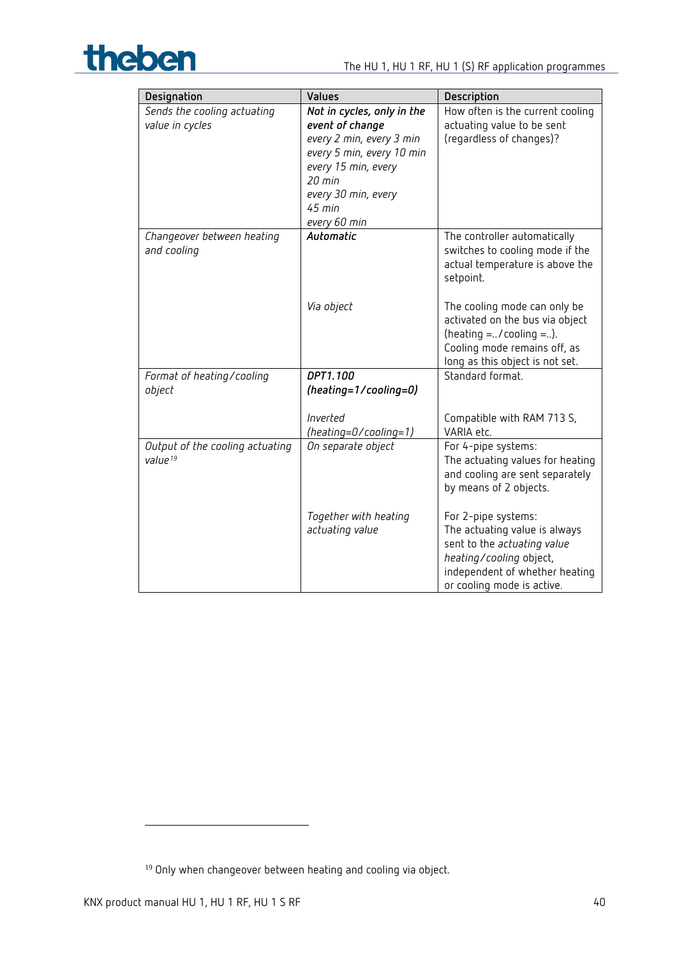# theben

| Designation                                            | Values                                           | Description                                                                                                                                                                    |
|--------------------------------------------------------|--------------------------------------------------|--------------------------------------------------------------------------------------------------------------------------------------------------------------------------------|
| Sends the cooling actuating<br>value in cycles         | Not in cycles, only in the<br>event of change    | How often is the current cooling<br>actuating value to be sent                                                                                                                 |
|                                                        | every 2 min, every 3 min                         | (regardless of changes)?                                                                                                                                                       |
|                                                        | every 5 min, every 10 min<br>every 15 min, every |                                                                                                                                                                                |
|                                                        | 20 min                                           |                                                                                                                                                                                |
|                                                        | every 30 min, every                              |                                                                                                                                                                                |
|                                                        | $45$ min                                         |                                                                                                                                                                                |
|                                                        | every 60 min                                     |                                                                                                                                                                                |
| Changeover between heating<br>and cooling              | Automatic                                        | The controller automatically<br>switches to cooling mode if the<br>actual temperature is above the<br>setpoint.                                                                |
|                                                        | Via object                                       | The cooling mode can only be<br>activated on the bus via object<br>(heating $=$ /cooling $=$ ).<br>Cooling mode remains off, as<br>long as this object is not set.             |
| Format of heating/cooling                              | DPT1.100                                         | Standard format.                                                                                                                                                               |
| object                                                 | (heating=1/cooling=0)                            |                                                                                                                                                                                |
|                                                        |                                                  |                                                                                                                                                                                |
|                                                        | Inverted<br>(heating=0/cooling=1)                | Compatible with RAM 713 S,<br>VARIA etc.                                                                                                                                       |
| Output of the cooling actuating<br>value <sup>19</sup> | On separate object                               | For 4-pipe systems:<br>The actuating values for heating<br>and cooling are sent separately<br>by means of 2 objects.                                                           |
|                                                        | Together with heating<br>actuating value         | For 2-pipe systems:<br>The actuating value is always<br>sent to the actuating value<br>heating/cooling object,<br>independent of whether heating<br>or cooling mode is active. |

<span id="page-39-0"></span><sup>&</sup>lt;sup>19</sup> Only when changeover between heating and cooling via object.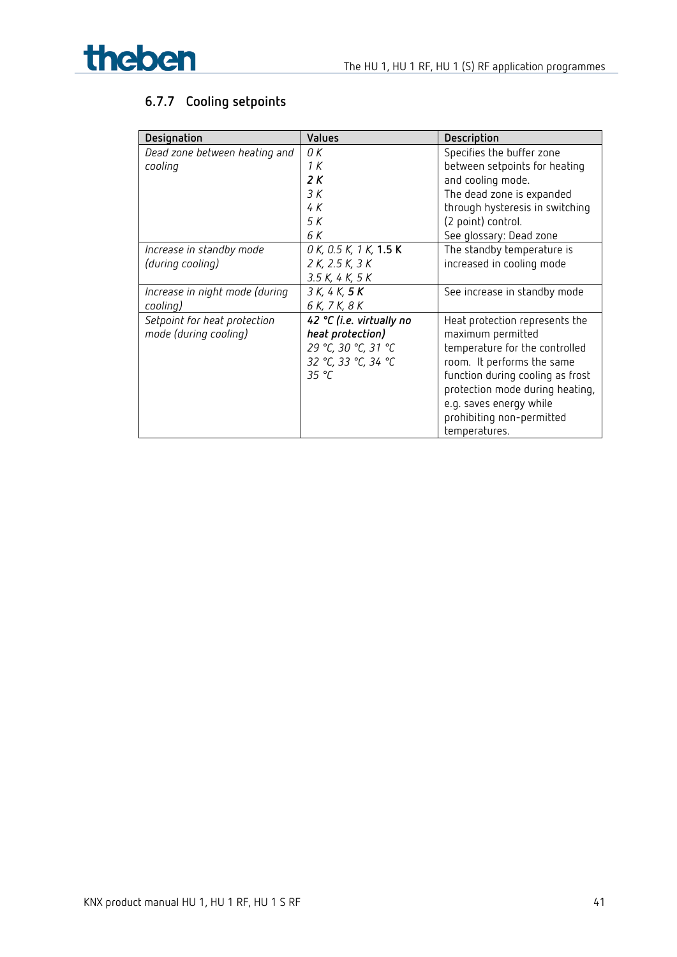

# **6.7.7 Cooling setpoints**

| Designation                    | Values                   | Description                      |
|--------------------------------|--------------------------|----------------------------------|
| Dead zone between heating and  | 0 K                      | Specifies the buffer zone        |
| cooling                        | 1 K                      | between setpoints for heating    |
|                                | 2 K                      | and cooling mode.                |
|                                | 3 K                      | The dead zone is expanded        |
|                                | 4 K                      | through hysteresis in switching  |
|                                | 5K                       | (2 point) control.               |
|                                | 6 K                      | See glossary: Dead zone          |
| Increase in standby mode       | 0 K, 0.5 K, 1 K, 1.5 K   | The standby temperature is       |
| (during cooling)               | 2 K, 2.5 K, 3 K          | increased in cooling mode        |
|                                | 3.5 K, 4 K, 5 K          |                                  |
| Increase in night mode (during | 3K, 4K, 5K               | See increase in standby mode     |
| cooling)                       | 6 K, 7 K, 8 K            |                                  |
| Setpoint for heat protection   | 42 °C (i.e. virtually no | Heat protection represents the   |
| mode (during cooling)          | heat protection)         | maximum permitted                |
|                                | 29 °C, 30 °C, 31 °C      | temperature for the controlled   |
|                                | 32 °C, 33 °C, 34 °C      | room. It performs the same       |
|                                | 35 °C                    | function during cooling as frost |
|                                |                          | protection mode during heating,  |
|                                |                          | e.g. saves energy while          |
|                                |                          | prohibiting non-permitted        |
|                                |                          | temperatures.                    |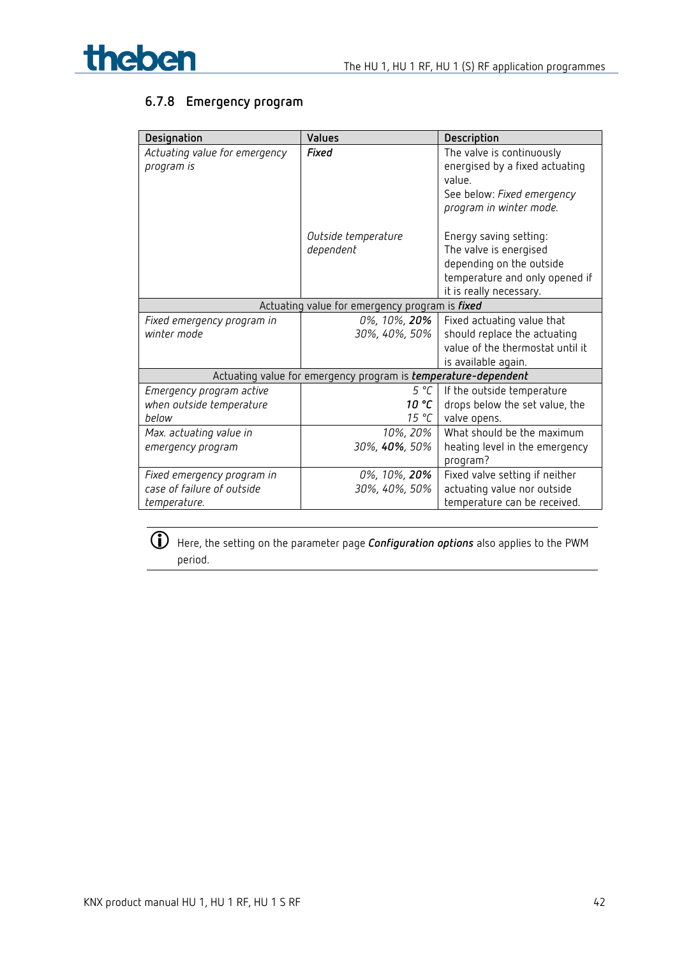

#### **6.7.8 Emergency program**

| Designation                                    | <b>Values</b>                                                  | Description                                                      |
|------------------------------------------------|----------------------------------------------------------------|------------------------------------------------------------------|
| Actuating value for emergency                  | <b>Fixed</b>                                                   | The valve is continuously                                        |
| program is                                     |                                                                | energised by a fixed actuating                                   |
|                                                |                                                                | value.                                                           |
|                                                |                                                                | See below: Fixed emergency                                       |
|                                                |                                                                | program in winter mode.                                          |
|                                                |                                                                |                                                                  |
|                                                | Outside temperature                                            | Energy saving setting:                                           |
|                                                | dependent                                                      | The valve is energised                                           |
|                                                |                                                                | depending on the outside                                         |
|                                                |                                                                | temperature and only opened if<br>it is really necessary.        |
| Actuating value for emergency program is fixed |                                                                |                                                                  |
|                                                |                                                                |                                                                  |
| Fixed emergency program in<br>winter mode      | 0%, 10%, <b>20%</b><br>30%, 40%, 50%                           | Fixed actuating value that                                       |
|                                                |                                                                | should replace the actuating<br>value of the thermostat until it |
|                                                |                                                                |                                                                  |
|                                                | Actuating value for emergency program is temperature-dependent | is available again.                                              |
| Emergency program active                       | 5 °C                                                           | If the outside temperature                                       |
|                                                | 10 °C                                                          | drops below the set value, the                                   |
| when outside temperature<br>below              | 15 °C                                                          |                                                                  |
|                                                |                                                                | valve opens.                                                     |
| Max. actuating value in                        | 10%, 20%                                                       | What should be the maximum                                       |
| emergency program                              | 30%, 40%, 50%                                                  | heating level in the emergency                                   |
|                                                |                                                                | program?                                                         |
| Fixed emergency program in                     | 0%, 10%, 20%                                                   | Fixed valve setting if neither                                   |
| case of failure of outside                     | 30%, 40%, 50%                                                  | actuating value nor outside                                      |
| temperature.                                   |                                                                | temperature can be received.                                     |

 Here, the setting on the parameter page *Configuration options* also applies to the PWM period.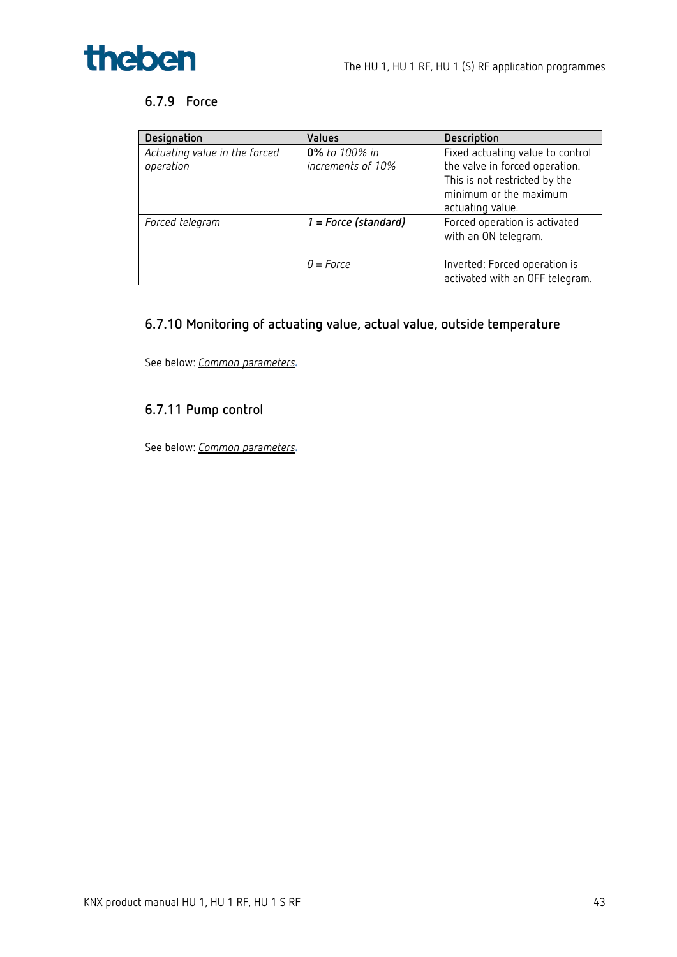

#### **6.7.9 Force**

| Designation                                | Values                             | Description                                                                                                                                       |
|--------------------------------------------|------------------------------------|---------------------------------------------------------------------------------------------------------------------------------------------------|
| Actuating value in the forced<br>operation | 0% to 100% in<br>increments of 10% | Fixed actuating value to control<br>the valve in forced operation.<br>This is not restricted by the<br>minimum or the maximum<br>actuating value. |
| Forced telegram                            | $1 = Force$ (standard)             | Forced operation is activated<br>with an ON telegram.                                                                                             |
|                                            | $0 =$ Force                        | Inverted: Forced operation is<br>activated with an OFF telegram.                                                                                  |

#### **6.7.10 Monitoring of actuating value, actual value, outside temperature**

See below: *Common parameters.*

#### **6.7.11 Pump control**

See below: *Common parameters.*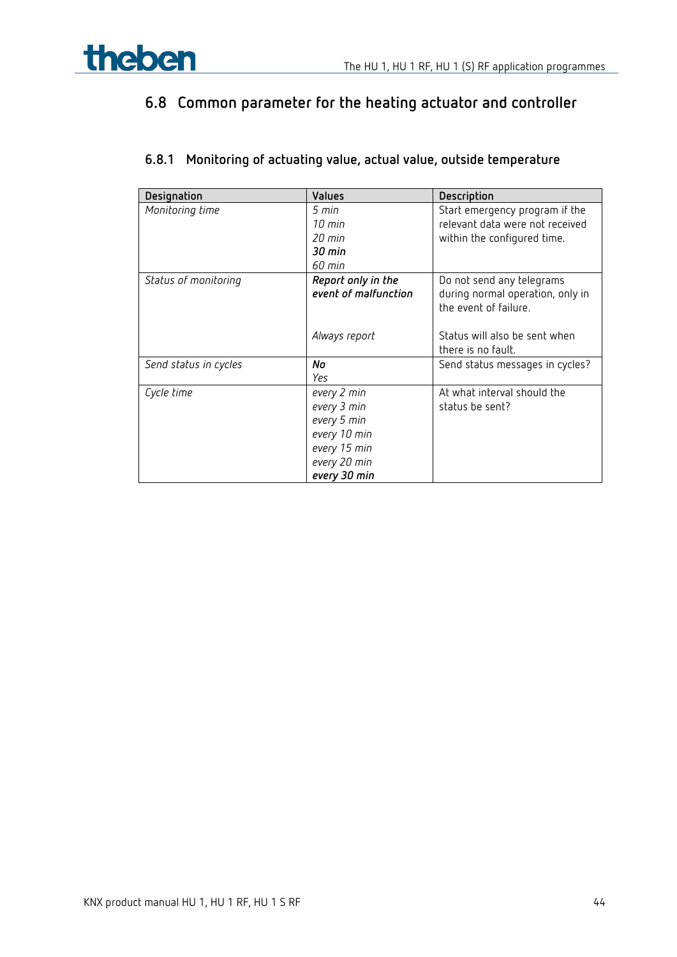

# **6.8 Common parameter for the heating actuator and controller**

#### **6.8.1 Monitoring of actuating value, actual value, outside temperature**

| Designation           | Values                                                                                                    | Description                                                                                                             |
|-----------------------|-----------------------------------------------------------------------------------------------------------|-------------------------------------------------------------------------------------------------------------------------|
| Monitoring time       | 5 min<br>$10 \text{ min}$<br>$20$ min<br>30 min<br>60 min                                                 | Start emergency program if the<br>relevant data were not received<br>within the configured time.                        |
| Status of monitoring  | Report only in the<br>event of malfunction<br>Always report                                               | Do not send any telegrams<br>during normal operation, only in<br>the event of failure.<br>Status will also be sent when |
|                       |                                                                                                           | there is no fault.                                                                                                      |
| Send status in cycles | No<br>Yes                                                                                                 | Send status messages in cycles?                                                                                         |
| Cycle time            | every 2 min<br>every 3 min<br>every 5 min<br>every 10 min<br>every 15 min<br>every 20 min<br>every 30 min | At what interval should the<br>status be sent?                                                                          |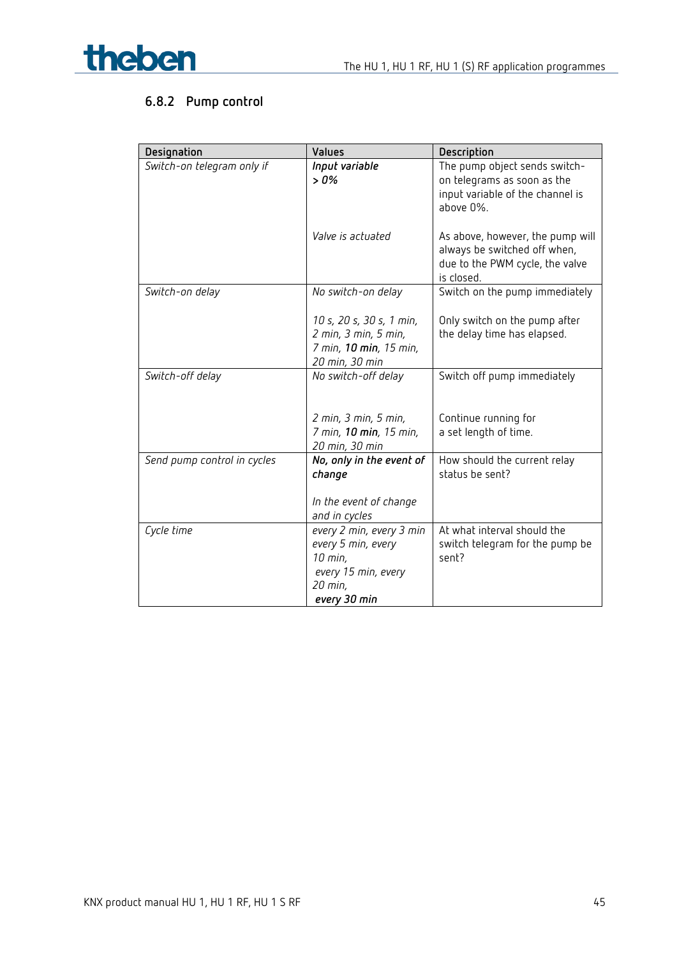

# **6.8.2 Pump control**

| Designation                 | <b>Values</b>                                                                                | Description                                                                                                       |
|-----------------------------|----------------------------------------------------------------------------------------------|-------------------------------------------------------------------------------------------------------------------|
| Switch-on telegram only if  | Input variable<br>$> 0\%$                                                                    | The pump object sends switch-<br>on telegrams as soon as the<br>input variable of the channel is<br>above 0%.     |
|                             | Valve is actuated                                                                            | As above, however, the pump will<br>always be switched off when,<br>due to the PWM cycle, the valve<br>is closed. |
| Switch-on delay             | No switch-on delay                                                                           | Switch on the pump immediately                                                                                    |
|                             | 10 s, 20 s, 30 s, 1 min,<br>2 min, 3 min, 5 min,<br>7 min, 10 min, 15 min,<br>20 min, 30 min | Only switch on the pump after<br>the delay time has elapsed.                                                      |
| Switch-off delay            | No switch-off delay                                                                          | Switch off pump immediately                                                                                       |
|                             | 2 min, 3 min, 5 min,<br>7 min, 10 min, 15 min,<br>20 min, 30 min                             | Continue running for<br>a set length of time.                                                                     |
| Send pump control in cycles | No, only in the event of                                                                     | How should the current relay                                                                                      |
|                             | change<br>In the event of change<br>and in cycles                                            | status be sent?                                                                                                   |
| Cycle time                  | every 2 min, every 3 min                                                                     | At what interval should the                                                                                       |
|                             | every 5 min, every<br>10 min,                                                                | switch telegram for the pump be<br>sent?                                                                          |
|                             | every 15 min, every                                                                          |                                                                                                                   |
|                             | 20 min,                                                                                      |                                                                                                                   |
|                             | every 30 min                                                                                 |                                                                                                                   |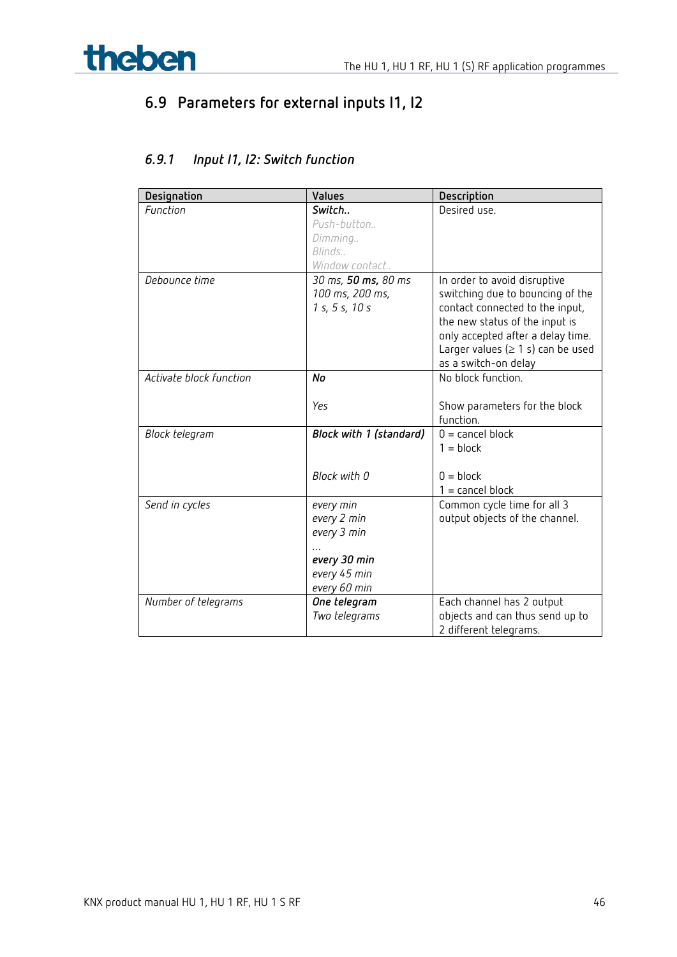

# **6.9 Parameters for external inputs I1, I2**

# *6.9.1 Input I1, I2: Switch function*

| Designation             | <b>Values</b>            | Description                             |
|-------------------------|--------------------------|-----------------------------------------|
| Function                | Switch                   | Desired use.                            |
|                         | Push-button              |                                         |
|                         | Dimming                  |                                         |
|                         | Blinds                   |                                         |
|                         | Window contact           |                                         |
| Debounce time           | 30 ms, 50 ms, 80 ms      | In order to avoid disruptive            |
|                         | 100 ms, 200 ms,          | switching due to bouncing of the        |
|                         | 1 s, 5 s, 10 s           | contact connected to the input,         |
|                         |                          | the new status of the input is          |
|                         |                          | only accepted after a delay time.       |
|                         |                          | Larger values $( \geq 1 s)$ can be used |
|                         |                          | as a switch-on delay                    |
| Activate block function | No                       | No block function.                      |
|                         |                          |                                         |
|                         | Yes                      | Show parameters for the block           |
|                         |                          | function.                               |
| Block telegram          | Block with 1 (standard)  | $0 =$ cancel block                      |
|                         |                          | $1 = block$                             |
|                         | Block with 0             | $0 = block$                             |
|                         |                          | $1 =$ cancel block                      |
| Send in cycles          |                          | Common cycle time for all 3             |
|                         | every min<br>every 2 min | output objects of the channel.          |
|                         | every 3 min              |                                         |
|                         |                          |                                         |
|                         | every 30 min             |                                         |
|                         | every 45 min             |                                         |
|                         | every 60 min             |                                         |
| Number of telegrams     | One telegram             | Each channel has 2 output               |
|                         | Two telegrams            | objects and can thus send up to         |
|                         |                          | 2 different telegrams.                  |
|                         |                          |                                         |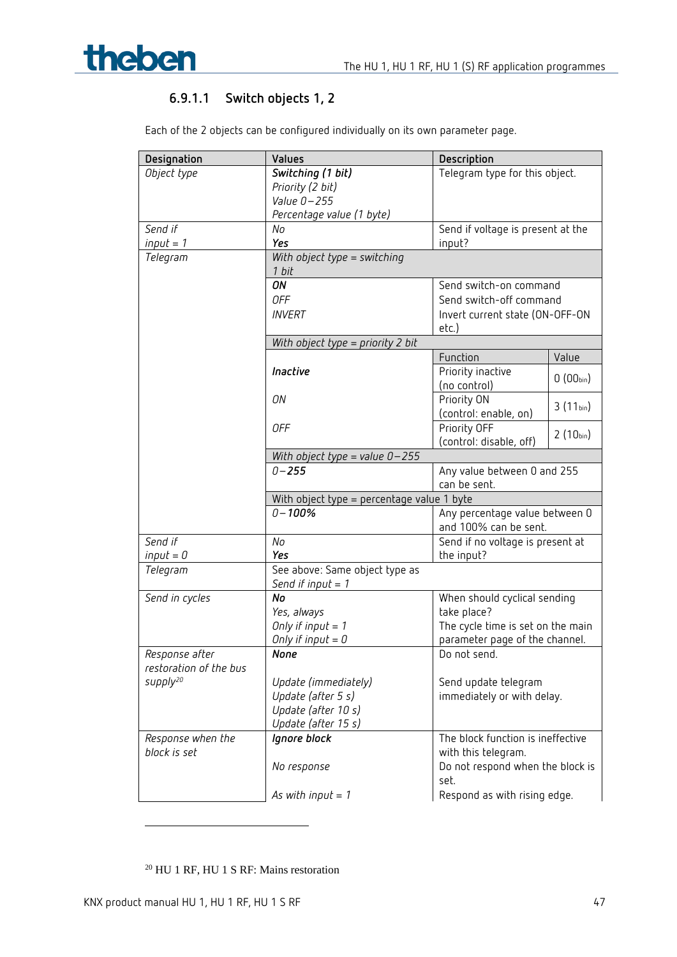### **6.9.1.1 Switch objects 1, 2**

| Designation                              | Values                                                | Description                       |               |
|------------------------------------------|-------------------------------------------------------|-----------------------------------|---------------|
| Object type                              | Switching (1 bit)                                     | Telegram type for this object.    |               |
|                                          | Priority (2 bit)                                      |                                   |               |
|                                          | Value 0-255                                           |                                   |               |
|                                          | Percentage value (1 byte)                             |                                   |               |
| Send if                                  | No                                                    | Send if voltage is present at the |               |
| $input = 1$                              | Yes                                                   | input?                            |               |
| Telegram                                 | With object type = switching<br>1 bit                 |                                   |               |
|                                          | ON                                                    | Send switch-on command            |               |
|                                          | <b>OFF</b>                                            | Send switch-off command           |               |
|                                          | <b>INVERT</b>                                         | Invert current state (ON-OFF-ON   |               |
|                                          |                                                       | etc.)                             |               |
|                                          | With object type = priority 2 bit                     |                                   |               |
|                                          |                                                       | Function                          | Value         |
|                                          | Inactive                                              | Priority inactive                 |               |
|                                          |                                                       | (no control)                      | $0(00_{bin})$ |
|                                          | ON                                                    | Priority ON                       |               |
|                                          |                                                       | (control: enable, on)             | $3(11_{bin})$ |
|                                          | 0FF                                                   | Priority OFF                      |               |
|                                          |                                                       | (control: disable, off)           | $2(10_{bin})$ |
|                                          | With object type = value $0-255$                      |                                   |               |
|                                          | $0 - 255$                                             | Any value between 0 and 255       |               |
|                                          |                                                       | can be sent.                      |               |
|                                          | With object type = percentage value 1 byte            |                                   |               |
|                                          | $0 - 100\%$                                           | Any percentage value between 0    |               |
|                                          |                                                       | and 100% can be sent.             |               |
| Send if                                  | No                                                    | Send if no voltage is present at  |               |
| $input = 0$                              | Yes                                                   | the input?                        |               |
| Telegram                                 | See above: Same object type as<br>Send if input $= 1$ |                                   |               |
| Send in cycles                           | No                                                    | When should cyclical sending      |               |
|                                          | Yes, always                                           | take place?                       |               |
|                                          | Only if input = $1$                                   | The cycle time is set on the main |               |
|                                          | Only if input $= 0$                                   | parameter page of the channel.    |               |
| Response after<br>restoration of the bus | None                                                  | Do not send.                      |               |
| supply <sup>20</sup>                     | Update (immediately)                                  | Send update telegram              |               |
|                                          | Update (after 5 s)                                    | immediately or with delay.        |               |
|                                          | Update (after 10 s)                                   |                                   |               |
|                                          | Update (after 15 s)                                   |                                   |               |
| Response when the                        | Ignore block                                          | The block function is ineffective |               |
| block is set                             |                                                       | with this telegram.               |               |
|                                          | No response                                           | Do not respond when the block is  |               |
|                                          |                                                       | set.                              |               |
|                                          |                                                       |                                   |               |
|                                          | As with input = $1$                                   | Respond as with rising edge.      |               |

Each of the 2 objects can be configured individually on its own parameter page.

<span id="page-46-0"></span><sup>20</sup> HU 1 RF, HU 1 S RF: Mains restoration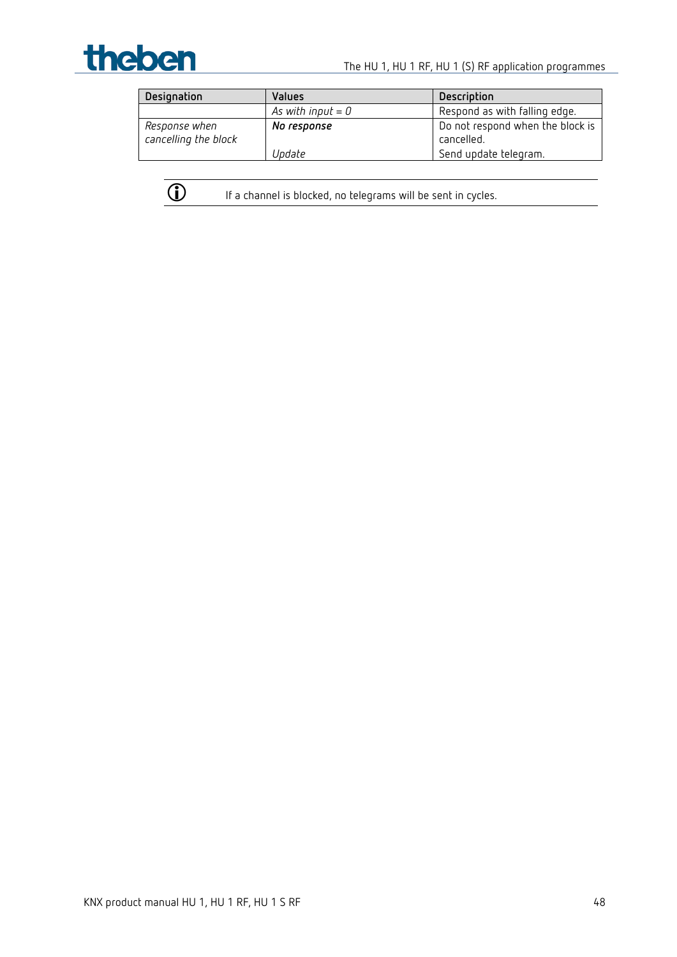

| Designation          | Values              | Description                      |
|----------------------|---------------------|----------------------------------|
|                      | As with input $= 0$ | Respond as with falling edge.    |
| Response when        | No response         | Do not respond when the block is |
| cancelling the block |                     | cancelled.                       |
|                      | Update              | Send update telegram.            |



 $\overline{\mathbb{O}}$  If a channel is blocked, no telegrams will be sent in cycles.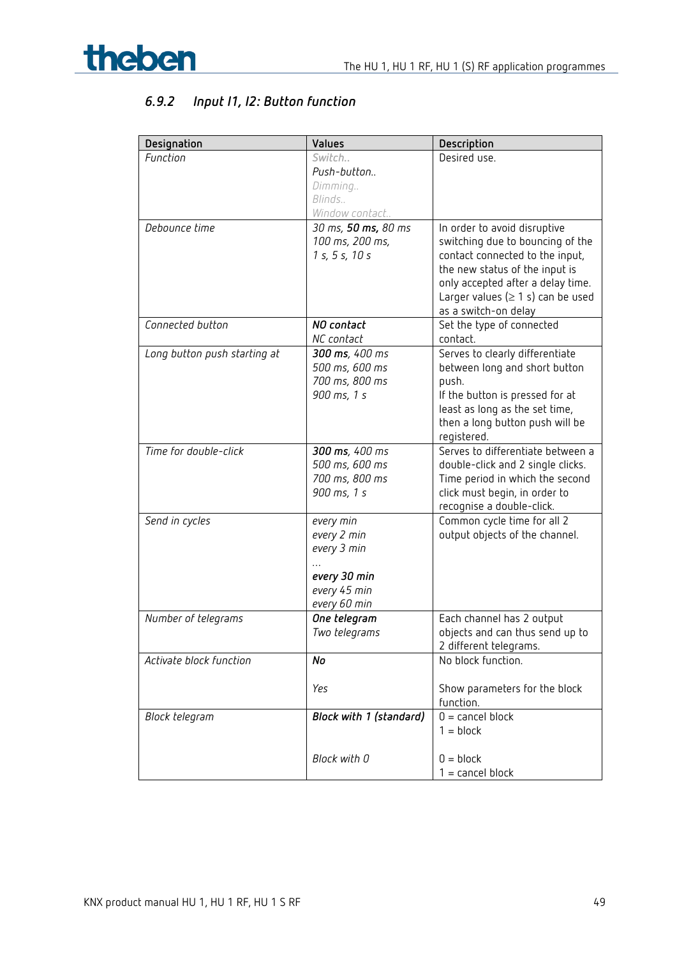

# *6.9.2 Input I1, I2: Button function*

| Designation                  | Values                                 | Description                                                      |
|------------------------------|----------------------------------------|------------------------------------------------------------------|
| Function                     | Switch                                 | Desired use.                                                     |
|                              | Push-button                            |                                                                  |
|                              | Dimming                                |                                                                  |
|                              | Blinds                                 |                                                                  |
|                              | Window contact                         |                                                                  |
| Debounce time                | 30 ms, 50 ms, 80 ms<br>100 ms, 200 ms, | In order to avoid disruptive<br>switching due to bouncing of the |
|                              | 1 s, 5 s, 10 s                         | contact connected to the input,                                  |
|                              |                                        | the new status of the input is                                   |
|                              |                                        | only accepted after a delay time.                                |
|                              |                                        | Larger values $(\geq 1 s)$ can be used                           |
|                              |                                        | as a switch-on delay                                             |
| Connected button             | NO contact                             | Set the type of connected                                        |
|                              | NC contact                             | contact.                                                         |
| Long button push starting at | 300 ms, 400 ms                         | Serves to clearly differentiate                                  |
|                              | 500 ms, 600 ms                         | between long and short button                                    |
|                              | 700 ms, 800 ms                         | push.                                                            |
|                              | 900 ms, 1 s                            | If the button is pressed for at                                  |
|                              |                                        | least as long as the set time,                                   |
|                              |                                        | then a long button push will be<br>registered.                   |
| Time for double-click        | 300 ms, 400 ms                         | Serves to differentiate between a                                |
|                              | 500 ms, 600 ms                         | double-click and 2 single clicks.                                |
|                              | 700 ms, 800 ms                         | Time period in which the second                                  |
|                              | 900 ms, 1 s                            | click must begin, in order to                                    |
|                              |                                        | recognise a double-click.                                        |
| Send in cycles               | every min                              | Common cycle time for all 2                                      |
|                              | every 2 min                            | output objects of the channel.                                   |
|                              | every 3 min                            |                                                                  |
|                              |                                        |                                                                  |
|                              | every 30 min                           |                                                                  |
|                              | every 45 min<br>every 60 min           |                                                                  |
| Number of telegrams          | One telegram                           | Each channel has 2 output                                        |
|                              | Two telegrams                          | objects and can thus send up to                                  |
|                              |                                        | 2 different telegrams.                                           |
| Activate block function      | No                                     | No block function.                                               |
|                              |                                        |                                                                  |
|                              | Yes                                    | Show parameters for the block                                    |
|                              |                                        | function.                                                        |
| Block telegram               | Block with 1 (standard)                | $0 =$ cancel block                                               |
|                              |                                        | $1 = block$                                                      |
|                              |                                        |                                                                  |
|                              | Block with 0                           | $0 = block$                                                      |
|                              |                                        | $1 =$ cancel block                                               |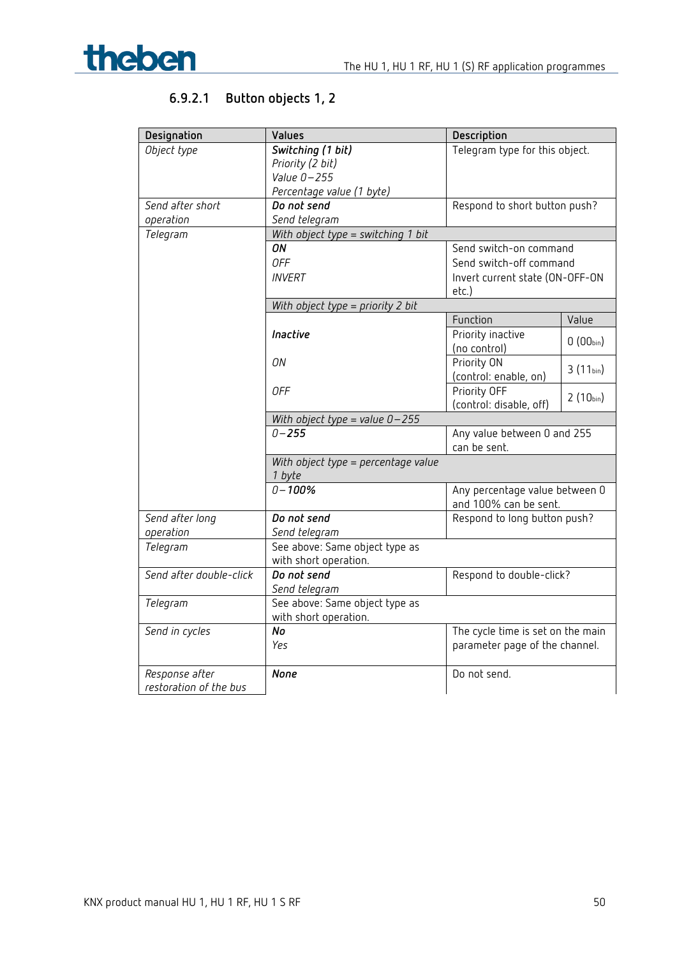

# **6.9.2.1 Button objects 1, 2**

| Designation             | Values                              | Description                              |  |
|-------------------------|-------------------------------------|------------------------------------------|--|
| Object type             | Switching (1 bit)                   | Telegram type for this object.           |  |
|                         | Priority (2 bit)                    |                                          |  |
|                         | Value 0-255                         |                                          |  |
|                         | Percentage value (1 byte)           |                                          |  |
| Send after short        | Do not send                         | Respond to short button push?            |  |
| operation               | Send telegram                       |                                          |  |
| Telegram                | With object type = switching 1 bit  |                                          |  |
|                         | ON                                  | Send switch-on command                   |  |
|                         | <b>OFF</b>                          | Send switch-off command                  |  |
|                         | <b>INVERT</b>                       | Invert current state (ON-OFF-ON          |  |
|                         |                                     | $etc.$ )                                 |  |
|                         | With object type = priority 2 bit   |                                          |  |
|                         |                                     | Function<br>Value                        |  |
|                         | Inactive                            | Priority inactive                        |  |
|                         |                                     | $0(00_{bin})$<br>(no control)            |  |
|                         | ΟN                                  | Priority ON                              |  |
|                         |                                     | $3(11_{bin})$<br>(control: enable, on)   |  |
|                         | <b>OFF</b>                          | Priority OFF                             |  |
|                         |                                     | $2(10_{bin})$<br>(control: disable, off) |  |
|                         | With object type = value $0-255$    |                                          |  |
|                         | $0 - 255$                           | Any value between 0 and 255              |  |
|                         |                                     | can be sent.                             |  |
|                         | With object type = percentage value |                                          |  |
|                         | 1 byte                              |                                          |  |
|                         | $0 - 100%$                          | Any percentage value between 0           |  |
|                         |                                     | and 100% can be sent.                    |  |
| Send after long         | Do not send                         | Respond to long button push?             |  |
| operation               | Send telegram                       |                                          |  |
| Telegram                | See above: Same object type as      |                                          |  |
|                         | with short operation.               |                                          |  |
| Send after double-click | Do not send                         | Respond to double-click?                 |  |
|                         | Send telegram                       |                                          |  |
| Telegram                | See above: Same object type as      |                                          |  |
|                         | with short operation.               |                                          |  |
| Send in cycles          | No                                  | The cycle time is set on the main        |  |
|                         | Yes                                 | parameter page of the channel.           |  |
|                         |                                     |                                          |  |
| Response after          | <b>None</b>                         | Do not send.                             |  |
| restoration of the bus  |                                     |                                          |  |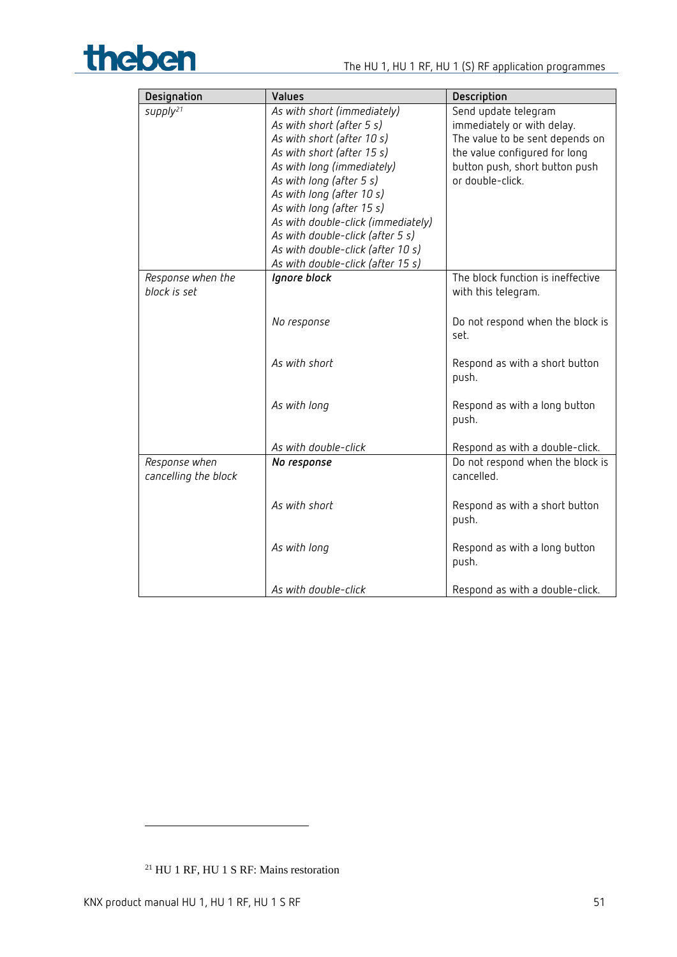# theben

| Designation          | <b>Values</b>                      | Description                             |
|----------------------|------------------------------------|-----------------------------------------|
| supply <sup>21</sup> | As with short (immediately)        | Send update telegram                    |
|                      | As with short (after 5 s)          | immediately or with delay.              |
|                      | As with short (after 10 s)         | The value to be sent depends on         |
|                      | As with short (after 15 s)         | the value configured for long           |
|                      | As with long (immediately)         | button push, short button push          |
|                      | As with long (after 5 s)           | or double-click.                        |
|                      | As with long (after 10 s)          |                                         |
|                      | As with long (after 15 s)          |                                         |
|                      | As with double-click (immediately) |                                         |
|                      | As with double-click (after 5 s)   |                                         |
|                      | As with double-click (after 10 s)  |                                         |
|                      | As with double-click (after 15 s)  |                                         |
| Response when the    | Ignore block                       | The block function is ineffective       |
| block is set         |                                    | with this telegram.                     |
|                      |                                    |                                         |
|                      | No response                        | Do not respond when the block is        |
|                      |                                    | set.                                    |
|                      | As with short                      |                                         |
|                      |                                    | Respond as with a short button<br>push. |
|                      |                                    |                                         |
|                      | As with long                       | Respond as with a long button           |
|                      |                                    | push.                                   |
|                      |                                    |                                         |
|                      | As with double-click               | Respond as with a double-click.         |
| Response when        | No response                        | Do not respond when the block is        |
| cancelling the block |                                    | cancelled.                              |
|                      |                                    |                                         |
|                      | As with short                      | Respond as with a short button          |
|                      |                                    | push.                                   |
|                      |                                    |                                         |
|                      | As with long                       | Respond as with a long button           |
|                      |                                    | push.                                   |
|                      |                                    |                                         |
|                      | As with double-click               | Respond as with a double-click.         |

<span id="page-50-0"></span><sup>21</sup> HU 1 RF, HU 1 S RF: Mains restoration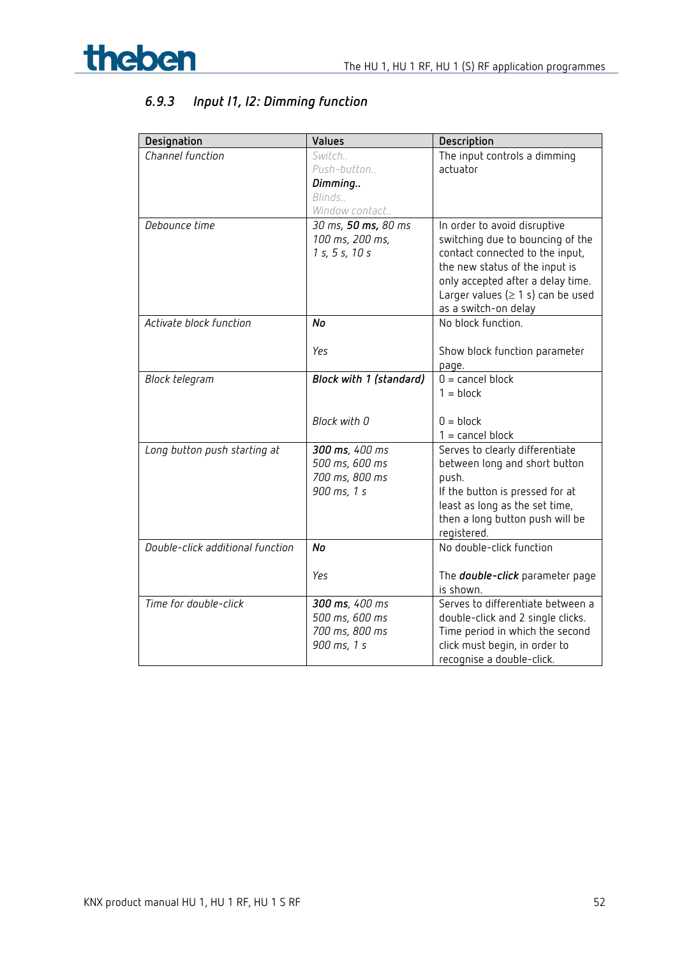| Designation                      | <b>Values</b>           | Description                            |
|----------------------------------|-------------------------|----------------------------------------|
| Channel function                 | Switch                  | The input controls a dimming           |
|                                  | Push-button             | actuator                               |
|                                  | Dimming                 |                                        |
|                                  | Blinds                  |                                        |
|                                  | Window contact          |                                        |
| Debounce time                    | 30 ms, 50 ms, 80 ms     | In order to avoid disruptive           |
|                                  | 100 ms, 200 ms,         | switching due to bouncing of the       |
|                                  | 1 s, 5 s, 10 s          | contact connected to the input,        |
|                                  |                         | the new status of the input is         |
|                                  |                         | only accepted after a delay time.      |
|                                  |                         | Larger values $(\geq 1 s)$ can be used |
|                                  |                         | as a switch-on delay                   |
| Activate block function          | No                      | No block function.                     |
|                                  |                         |                                        |
|                                  | Yes                     | Show block function parameter          |
|                                  |                         | page.                                  |
| Block telegram                   | Block with 1 (standard) | $0 =$ cancel block                     |
|                                  |                         | $1 = block$                            |
|                                  |                         |                                        |
|                                  | Block with 0            | $0 = block$                            |
|                                  |                         | $1 =$ cancel block                     |
| Long button push starting at     | 300 ms, 400 ms          | Serves to clearly differentiate        |
|                                  | 500 ms, 600 ms          | between long and short button          |
|                                  | 700 ms, 800 ms          | push.                                  |
|                                  | 900 ms, 1 s             | If the button is pressed for at        |
|                                  |                         | least as long as the set time,         |
|                                  |                         | then a long button push will be        |
|                                  |                         | registered.                            |
| Double-click additional function | <b>No</b>               | No double-click function               |
|                                  |                         |                                        |
|                                  | Yes                     | The <i>double-click</i> parameter page |
|                                  |                         | is shown.                              |
| Time for double-click            | 300 ms, 400 ms          | Serves to differentiate between a      |
|                                  | 500 ms, 600 ms          | double-click and 2 single clicks.      |
|                                  | 700 ms, 800 ms          | Time period in which the second        |
|                                  | 900 ms, 1 s             | click must begin, in order to          |
|                                  |                         | recognise a double-click.              |

# *6.9.3 Input I1, I2: Dimming function*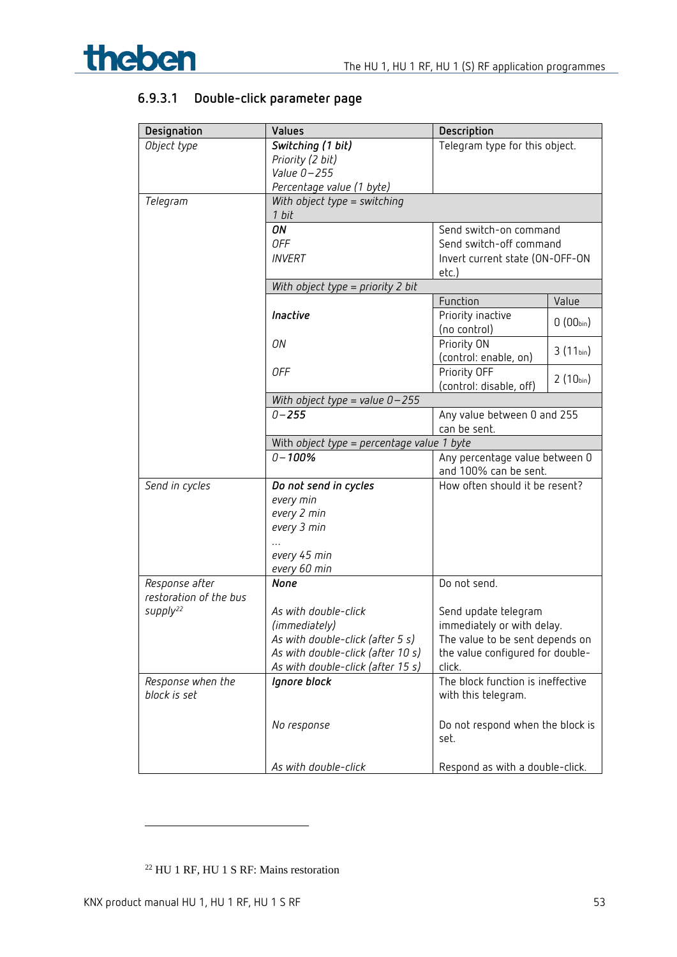

# **6.9.3.1 Double-click parameter page**

| Designation            | Values                                     | Description                       |               |
|------------------------|--------------------------------------------|-----------------------------------|---------------|
| Object type            | Switching (1 bit)                          | Telegram type for this object.    |               |
|                        | Priority (2 bit)                           |                                   |               |
|                        | Value 0-255                                |                                   |               |
|                        | Percentage value (1 byte)                  |                                   |               |
| Telegram               | With object type = switching               |                                   |               |
|                        | 1 bit                                      |                                   |               |
|                        | ON                                         | Send switch-on command            |               |
|                        | <b>OFF</b>                                 | Send switch-off command           |               |
|                        | <b>INVERT</b>                              | Invert current state (ON-OFF-ON   |               |
|                        |                                            | etc.)                             |               |
|                        | With object type = priority 2 bit          |                                   |               |
|                        |                                            | Function                          | Value         |
|                        | Inactive                                   | Priority inactive                 |               |
|                        |                                            | (no control)                      | $0(00_{bin})$ |
|                        | ON                                         | Priority ON                       |               |
|                        |                                            | (control: enable, on)             | $3(11_{bin})$ |
|                        | 0FF                                        | Priority OFF                      |               |
|                        |                                            | (control: disable, off)           | $2(10_{bin})$ |
|                        | With object type = value $0-255$           |                                   |               |
|                        | $0 - 255$                                  | Any value between 0 and 255       |               |
|                        |                                            | can be sent.                      |               |
|                        | With object type = percentage value 1 byte |                                   |               |
|                        | $0 - 100\%$                                | Any percentage value between 0    |               |
|                        |                                            | and 100% can be sent.             |               |
| Send in cycles         | Do not send in cycles                      | How often should it be resent?    |               |
|                        | every min                                  |                                   |               |
|                        | every 2 min                                |                                   |               |
|                        | every 3 min                                |                                   |               |
|                        |                                            |                                   |               |
|                        | every 45 min                               |                                   |               |
|                        | every 60 min                               |                                   |               |
| Response after         | None                                       | Do not send.                      |               |
| restoration of the bus |                                            |                                   |               |
| supply <sup>22</sup>   | As with double-click                       | Send update telegram              |               |
|                        | (immediately)                              | immediately or with delay.        |               |
|                        | As with double-click (after 5 s)           | The value to be sent depends on   |               |
|                        | As with double-click (after 10 s)          | the value configured for double-  |               |
|                        | As with double-click (after 15 s)          | click.                            |               |
| Response when the      | Ignore block                               | The block function is ineffective |               |
| block is set           |                                            | with this telegram.               |               |
|                        |                                            |                                   |               |
|                        | No response                                | Do not respond when the block is  |               |
|                        |                                            | set.                              |               |
|                        |                                            |                                   |               |
|                        | As with double-click                       | Respond as with a double-click.   |               |

<span id="page-52-0"></span><sup>22</sup> HU 1 RF, HU 1 S RF: Mains restoration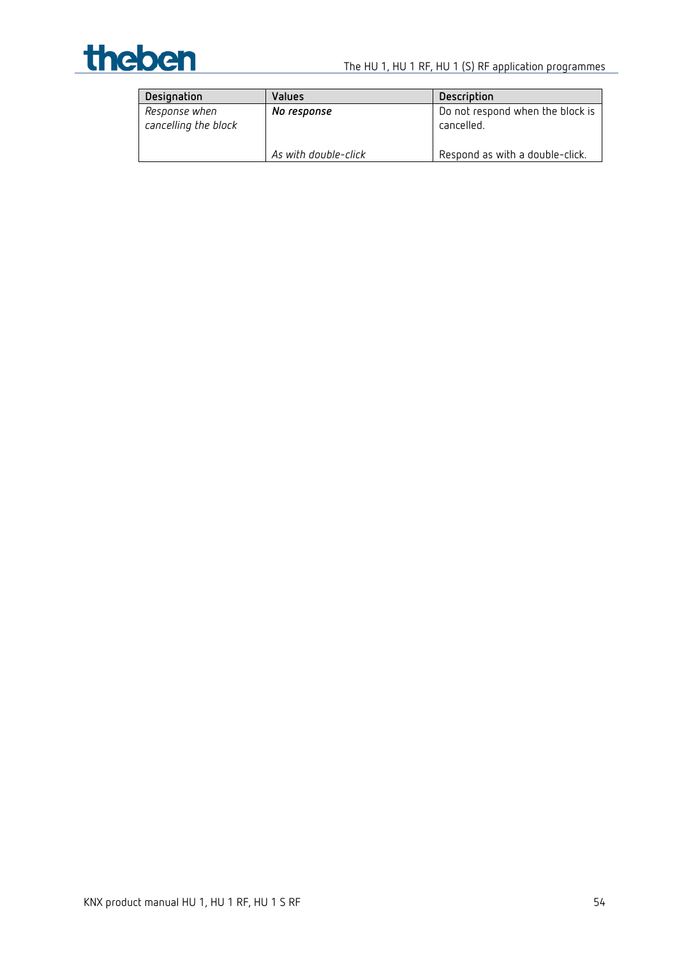

| Designation                           | <b>Values</b>        | Description                                    |
|---------------------------------------|----------------------|------------------------------------------------|
| Response when<br>cancelling the block | No response          | Do not respond when the block is<br>cancelled. |
|                                       | As with double-click | Respond as with a double-click.                |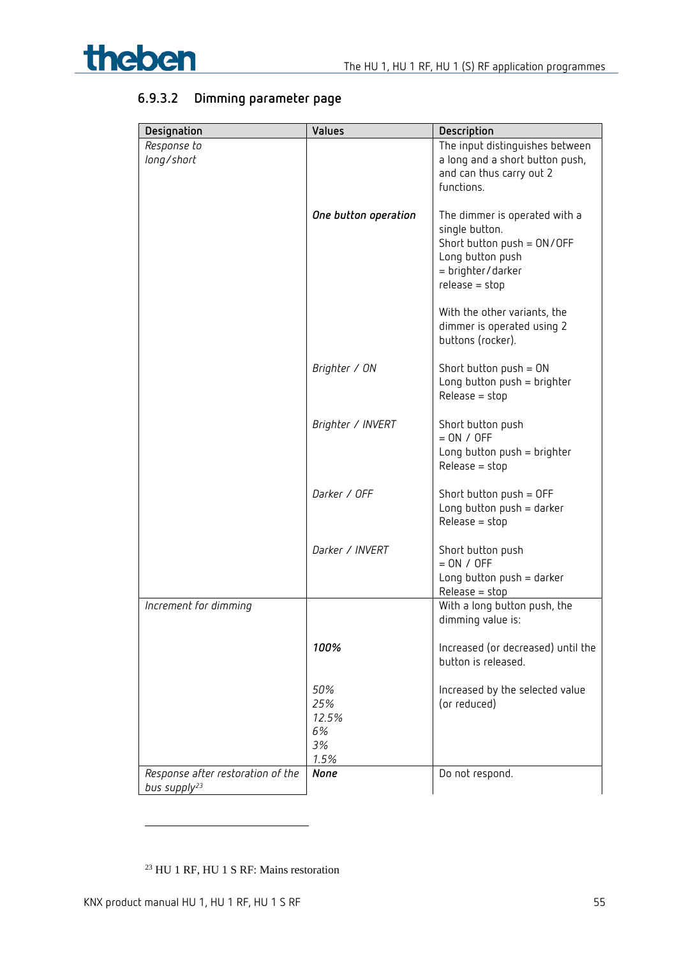



# **6.9.3.2 Dimming parameter page**

| Designation                       | Values               | Description                                                 |
|-----------------------------------|----------------------|-------------------------------------------------------------|
| Response to                       |                      | The input distinguishes between                             |
| long/short                        |                      | a long and a short button push,<br>and can thus carry out 2 |
|                                   |                      | functions.                                                  |
|                                   |                      |                                                             |
|                                   | One button operation | The dimmer is operated with a                               |
|                                   |                      | single button.                                              |
|                                   |                      | Short button push = ON/OFF<br>Long button push              |
|                                   |                      | = brighter/darker                                           |
|                                   |                      | $release = stop$                                            |
|                                   |                      |                                                             |
|                                   |                      | With the other variants, the<br>dimmer is operated using 2  |
|                                   |                      | buttons (rocker).                                           |
|                                   |                      |                                                             |
|                                   | Brighter / ON        | Short button $push = ON$                                    |
|                                   |                      | Long button push = brighter<br>$Release = stop$             |
|                                   |                      |                                                             |
|                                   | Brighter / INVERT    | Short button push                                           |
|                                   |                      | $= ON / OFF$                                                |
|                                   |                      | Long button push = brighter<br>$Release = stop$             |
|                                   |                      |                                                             |
|                                   | Darker / OFF         | Short button $push = OFF$                                   |
|                                   |                      | Long button $push = darker$                                 |
|                                   |                      | $Release = stop$                                            |
|                                   | Darker / INVERT      | Short button push                                           |
|                                   |                      | $= ON / OFF$                                                |
|                                   |                      | Long button $push = darker$                                 |
|                                   |                      | $Release = stop$                                            |
| Increment for dimming             |                      | With a long button push, the<br>dimming value is:           |
|                                   |                      |                                                             |
|                                   | 100%                 | Increased (or decreased) until the                          |
|                                   |                      | button is released.                                         |
|                                   | 50%                  | Increased by the selected value                             |
|                                   | 25%                  | (or reduced)                                                |
|                                   | 12.5%                |                                                             |
|                                   | 6%                   |                                                             |
|                                   | 3%<br>1.5%           |                                                             |
| Response after restoration of the | None                 | Do not respond.                                             |
| bus supply <sup>23</sup>          |                      |                                                             |

<span id="page-54-0"></span><sup>23</sup> HU 1 RF, HU 1 S RF: Mains restoration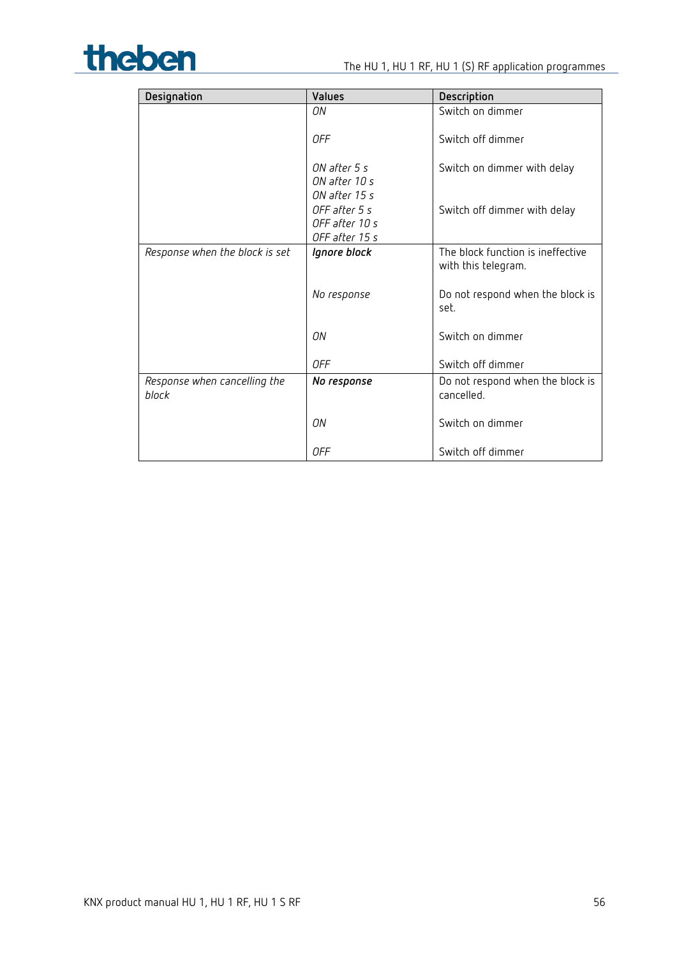

| Designation                           | Values                                                             | Description                                              |
|---------------------------------------|--------------------------------------------------------------------|----------------------------------------------------------|
|                                       | ΟN                                                                 | Switch on dimmer                                         |
|                                       | <b>OFF</b>                                                         | Switch off dimmer                                        |
|                                       | ON after 5 s<br>ON after 10 s                                      | Switch on dimmer with delay                              |
|                                       | ON after 15 s<br>OFF after 5 s<br>OFF after 10 s<br>OFF after 15 s | Switch off dimmer with delay                             |
| Response when the block is set        | Ignore block                                                       | The block function is ineffective<br>with this telegram. |
|                                       | No response                                                        | Do not respond when the block is<br>set.                 |
|                                       | ON                                                                 | Switch on dimmer                                         |
|                                       | 0FF                                                                | Switch off dimmer                                        |
| Response when cancelling the<br>block | No response                                                        | Do not respond when the block is<br>cancelled.           |
|                                       | ON                                                                 | Switch on dimmer                                         |
|                                       | 0FF                                                                | Switch off dimmer                                        |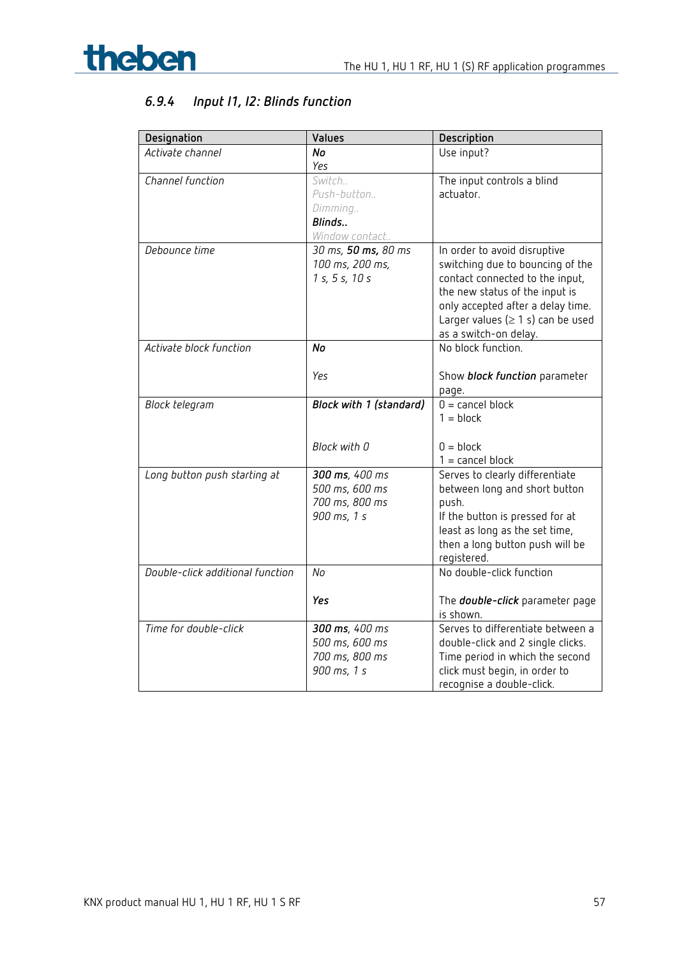

| Designation                      | <b>Values</b>                    | Description                              |
|----------------------------------|----------------------------------|------------------------------------------|
| Activate channel                 | No                               | Use input?                               |
|                                  | Yes                              |                                          |
| Channel function                 | Switch                           | The input controls a blind               |
|                                  | Push-button                      | actuator.                                |
|                                  | Dimming                          |                                          |
|                                  | Blinds                           |                                          |
|                                  | Window contact                   |                                          |
| Debounce time                    | 30 ms, 50 ms, 80 ms              | In order to avoid disruptive             |
|                                  | 100 ms, 200 ms,                  | switching due to bouncing of the         |
|                                  | 1 s, 5 s, 10 s                   | contact connected to the input,          |
|                                  |                                  | the new status of the input is           |
|                                  |                                  | only accepted after a delay time.        |
|                                  |                                  | Larger values $( \geq 1 s)$ can be used  |
|                                  |                                  | as a switch-on delay.                    |
| Activate block function          | No                               | No block function.                       |
|                                  |                                  |                                          |
|                                  | Yes                              | Show block function parameter            |
|                                  |                                  | page.                                    |
| Block telegram                   | Block with 1 (standard)          | $0 =$ cancel block                       |
|                                  |                                  | $1 = block$                              |
|                                  |                                  |                                          |
|                                  | Block with 0                     | $0 = block$                              |
|                                  |                                  | $1 =$ cancel block                       |
| Long button push starting at     | 300 ms, 400 ms<br>500 ms, 600 ms | Serves to clearly differentiate          |
|                                  | 700 ms, 800 ms                   | between long and short button            |
|                                  | 900 ms, 1 s                      | push.<br>If the button is pressed for at |
|                                  |                                  | least as long as the set time,           |
|                                  |                                  | then a long button push will be          |
|                                  |                                  | registered.                              |
| Double-click additional function | No                               | No double-click function                 |
|                                  |                                  |                                          |
|                                  | Yes                              | The <i>double-click</i> parameter page   |
|                                  |                                  | is shown.                                |
| Time for double-click            | 300 ms, 400 ms                   | Serves to differentiate between a        |
|                                  | 500 ms, 600 ms                   | double-click and 2 single clicks.        |
|                                  | 700 ms, 800 ms                   | Time period in which the second          |
|                                  | 900 ms, 1 s                      | click must begin, in order to            |
|                                  |                                  | recognise a double-click.                |

# *6.9.4 Input I1, I2: Blinds function*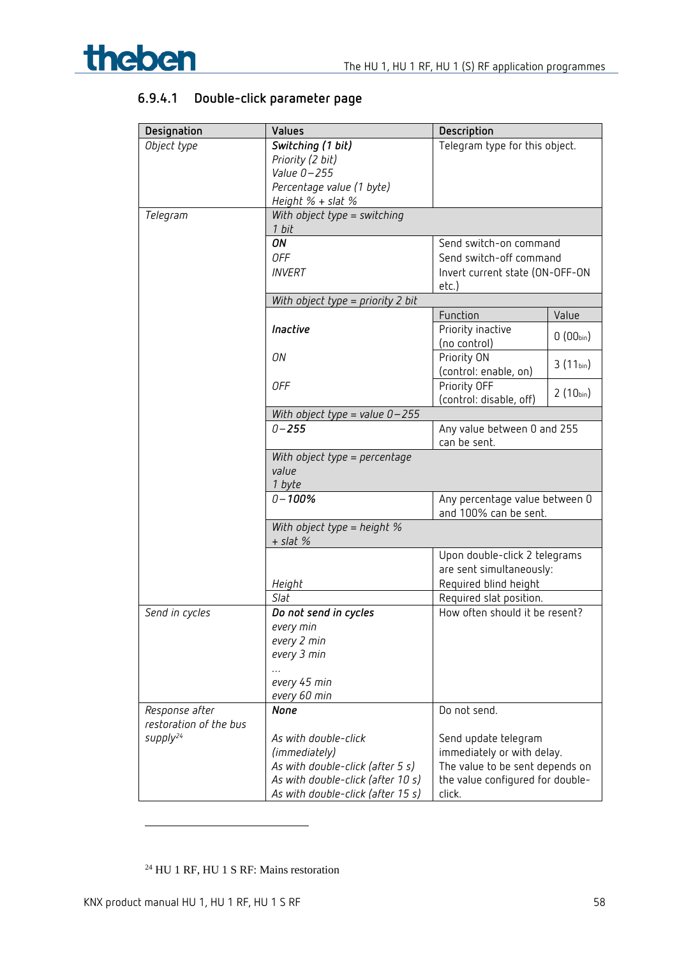

# **6.9.4.1 Double-click parameter page**

| Designation                              | Values                                        | Description                                             |               |
|------------------------------------------|-----------------------------------------------|---------------------------------------------------------|---------------|
| Object type                              | Switching (1 bit)                             | Telegram type for this object.                          |               |
|                                          | Priority (2 bit)                              |                                                         |               |
|                                          | Value 0-255                                   |                                                         |               |
|                                          | Percentage value (1 byte)                     |                                                         |               |
|                                          | Height $%$ + slat $%$                         |                                                         |               |
| Telegram                                 | With object type = switching<br>1 bit         |                                                         |               |
|                                          | ON                                            | Send switch-on command                                  |               |
|                                          | <b>OFF</b>                                    | Send switch-off command                                 |               |
|                                          | <b>INVERT</b>                                 | Invert current state (ON-OFF-ON<br>etc.)                |               |
|                                          | With object type = priority 2 bit             |                                                         |               |
|                                          |                                               | Function                                                | Value         |
|                                          | Inactive                                      | Priority inactive<br>(no control)                       | $0(00_{bin})$ |
|                                          | ON                                            | Priority ON<br>(control: enable, on)                    | $3(11_{bin})$ |
|                                          | 0FF                                           | Priority OFF<br>(control: disable, off)                 | $2(10_{bin})$ |
|                                          | With object type = value $0-255$              |                                                         |               |
|                                          | $0 - 255$                                     | Any value between 0 and 255                             |               |
|                                          |                                               | can be sent.                                            |               |
|                                          | With object type = percentage<br>value        |                                                         |               |
|                                          | 1 byte                                        |                                                         |               |
|                                          | $0 - 100\%$                                   | Any percentage value between 0<br>and 100% can be sent. |               |
|                                          | With object type = height $%$<br>$+$ slat $%$ |                                                         |               |
|                                          |                                               | Upon double-click 2 telegrams                           |               |
|                                          |                                               | are sent simultaneously:                                |               |
|                                          | Height                                        | Required blind height                                   |               |
|                                          | Slat                                          | Required slat position.                                 |               |
| Send in cycles                           | Do not send in cycles                         | How often should it be resent?                          |               |
|                                          | every min                                     |                                                         |               |
|                                          | every 2 min                                   |                                                         |               |
|                                          | every 3 min                                   |                                                         |               |
|                                          |                                               |                                                         |               |
|                                          | every 45 min                                  |                                                         |               |
|                                          | every 60 min                                  |                                                         |               |
| Response after<br>restoration of the bus | None                                          | Do not send.                                            |               |
| supply <sup>24</sup>                     | As with double-click                          | Send update telegram                                    |               |
|                                          | (immediately)                                 | immediately or with delay.                              |               |
|                                          | As with double-click (after 5 s)              | The value to be sent depends on                         |               |
|                                          | As with double-click (after 10 s)             | the value configured for double-                        |               |
|                                          | As with double-click (after 15 s)             | click.                                                  |               |

<span id="page-57-0"></span><sup>24</sup> HU 1 RF, HU 1 S RF: Mains restoration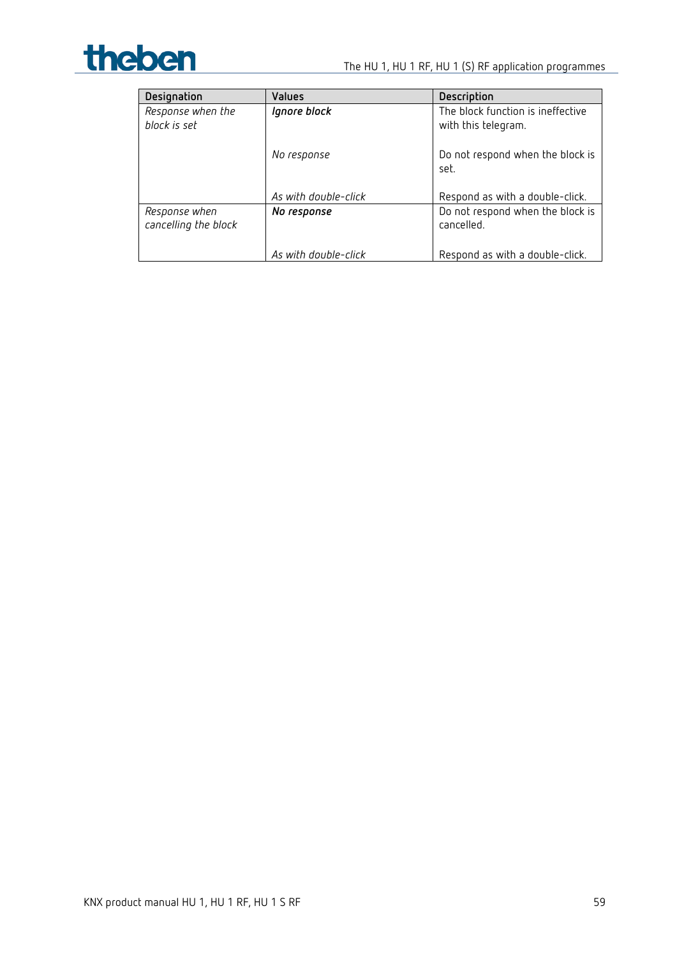

| Designation                           | <b>Values</b>        | <b>Description</b>                                       |
|---------------------------------------|----------------------|----------------------------------------------------------|
| Response when the<br>block is set     | Ignore block         | The block function is ineffective<br>with this telegram. |
|                                       | No response          | Do not respond when the block is<br>set.                 |
|                                       | As with double-click | Respond as with a double-click.                          |
| Response when<br>cancelling the block | No response          | Do not respond when the block is<br>cancelled.           |
|                                       | As with double-click | Respond as with a double-click.                          |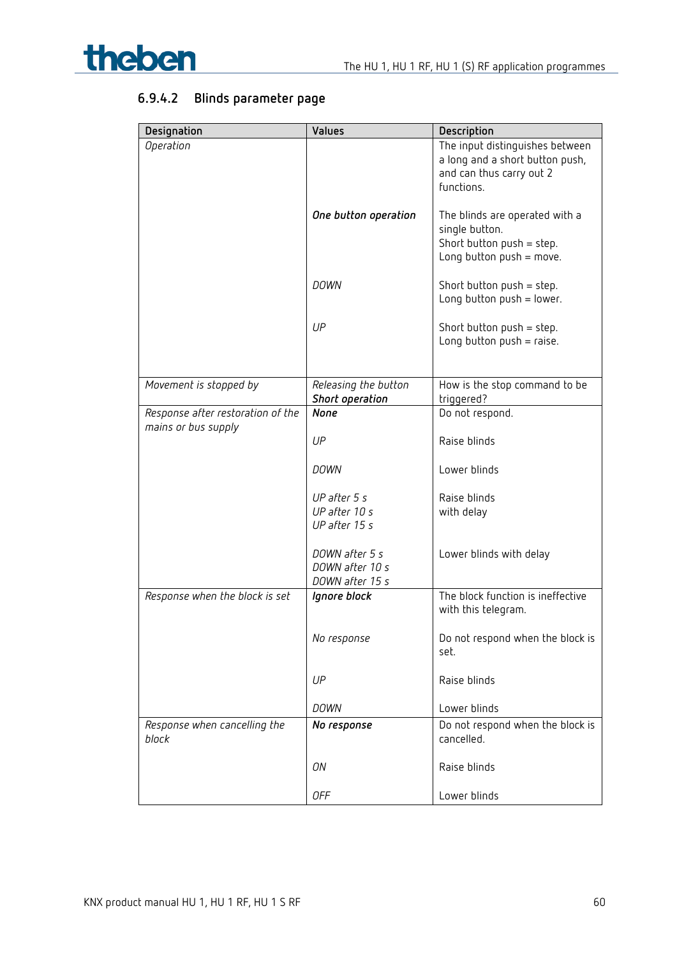



# **6.9.4.2 Blinds parameter page**

| Designation                           | Values                                               | Description                                                                                                     |
|---------------------------------------|------------------------------------------------------|-----------------------------------------------------------------------------------------------------------------|
| Operation                             |                                                      | The input distinguishes between<br>a long and a short button push,<br>and can thus carry out 2<br>functions.    |
|                                       | One button operation                                 | The blinds are operated with a<br>single button.<br>Short button $push = step$ .<br>Long button $push = move$ . |
|                                       | <b>DOWN</b>                                          | Short button $push = step$ .<br>Long button push = lower.                                                       |
|                                       | UP                                                   | Short button $push = step$ .<br>Long button $push = raise$ .                                                    |
| Movement is stopped by                | Releasing the button<br>Short operation              | How is the stop command to be<br>triggered?                                                                     |
| Response after restoration of the     | <b>None</b>                                          | Do not respond.                                                                                                 |
| mains or bus supply                   | UP                                                   | Raise blinds                                                                                                    |
|                                       | <b>DOWN</b>                                          | Lower blinds                                                                                                    |
|                                       | UP after 5 s<br>UP after 10 s<br>UP after 15 s       | Raise blinds<br>with delay                                                                                      |
|                                       | DOWN after 5 s<br>DOWN after 10 s<br>DOWN after 15 s | Lower blinds with delay                                                                                         |
| Response when the block is set        | Ignore block                                         | The block function is ineffective<br>with this telegram.                                                        |
|                                       | No response                                          | Do not respond when the block is<br>set.                                                                        |
|                                       | UP                                                   | Raise blinds                                                                                                    |
|                                       | <b>DOWN</b>                                          | Lower blinds                                                                                                    |
| Response when cancelling the<br>block | No response                                          | Do not respond when the block is<br>cancelled.                                                                  |
|                                       | ON                                                   | Raise blinds                                                                                                    |
|                                       | <b>OFF</b>                                           | Lower blinds                                                                                                    |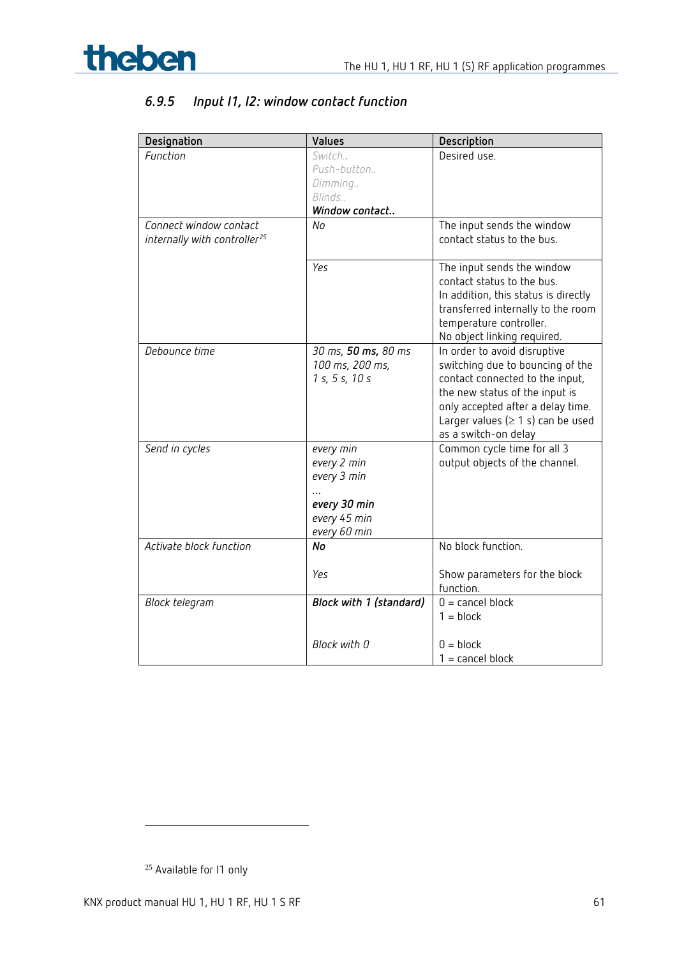

| Designation                                                        | Values                                                                                  | Description                                                                                                                                                                                                                                  |
|--------------------------------------------------------------------|-----------------------------------------------------------------------------------------|----------------------------------------------------------------------------------------------------------------------------------------------------------------------------------------------------------------------------------------------|
| Function                                                           | Switch<br>Push-button<br>Dimming<br>Blinds<br>Window contact                            | Desired use.                                                                                                                                                                                                                                 |
| Connect window contact<br>internally with controller <sup>25</sup> | Nο                                                                                      | The input sends the window<br>contact status to the bus.                                                                                                                                                                                     |
|                                                                    | Yes                                                                                     | The input sends the window<br>contact status to the bus.<br>In addition, this status is directly<br>transferred internally to the room<br>temperature controller.<br>No object linking required.                                             |
| Debounce time                                                      | 30 ms, 50 ms, 80 ms<br>100 ms, 200 ms,<br>1 s, 5 s, 10 s                                | In order to avoid disruptive<br>switching due to bouncing of the<br>contact connected to the input,<br>the new status of the input is<br>only accepted after a delay time.<br>Larger values $(\geq 1 s)$ can be used<br>as a switch-on delay |
| Send in cycles                                                     | every min<br>every 2 min<br>every 3 min<br>every 30 min<br>every 45 min<br>every 60 min | Common cycle time for all 3<br>output objects of the channel.                                                                                                                                                                                |
| Activate block function                                            | No<br>Yes                                                                               | No block function.<br>Show parameters for the block<br>function.                                                                                                                                                                             |
| Block telegram                                                     | Block with 1 (standard)                                                                 | $0 =$ cancel block<br>$1 = block$                                                                                                                                                                                                            |
|                                                                    | Block with 0                                                                            | $0 = block$<br>$1 =$ cancel block                                                                                                                                                                                                            |

# *6.9.5 Input I1, I2: window contact function*

<span id="page-60-0"></span><sup>&</sup>lt;sup>25</sup> Available for I1 only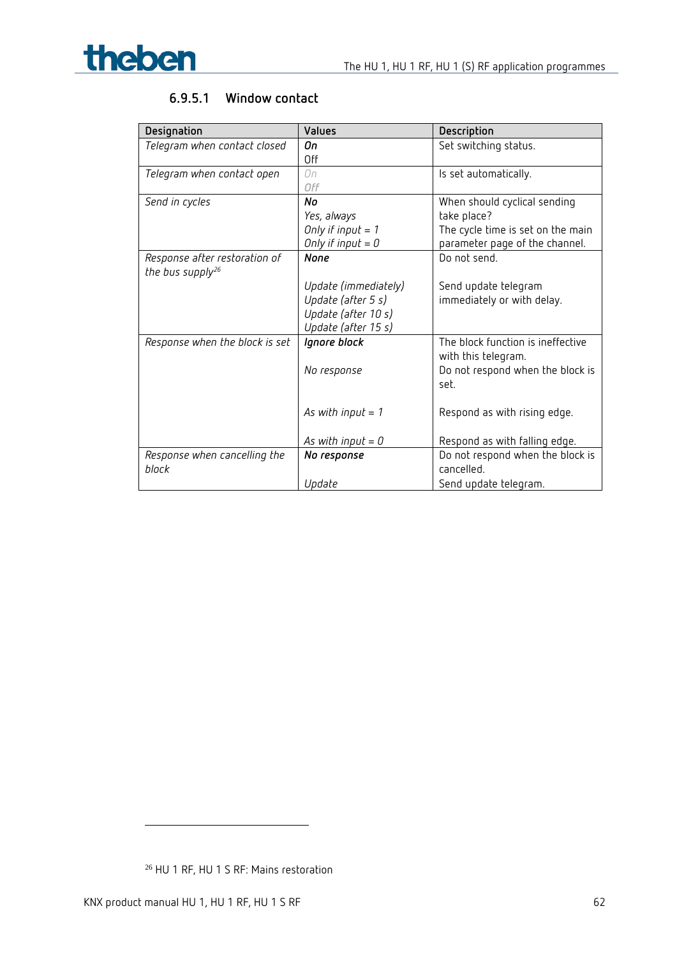

| Designation                                                   | <b>Values</b>        | Description                       |
|---------------------------------------------------------------|----------------------|-----------------------------------|
| Telegram when contact closed                                  | Оn                   | Set switching status.             |
|                                                               | Off                  |                                   |
| Telegram when contact open                                    | On                   | Is set automatically.             |
|                                                               | Off                  |                                   |
| Send in cycles                                                | No                   | When should cyclical sending      |
|                                                               | Yes, always          | take place?                       |
|                                                               | Only if input $= 1$  | The cycle time is set on the main |
|                                                               | Only if input $= 0$  | parameter page of the channel.    |
| Response after restoration of<br>the bus supply <sup>26</sup> | None                 | Do not send.                      |
|                                                               | Update (immediately) | Send update telegram              |
|                                                               | Update (after 5 s)   | immediately or with delay.        |
|                                                               | Update (after 10 s)  |                                   |
|                                                               | Update (after 15 s)  |                                   |
| Response when the block is set                                | Ignore block         | The block function is ineffective |
|                                                               |                      | with this telegram.               |
|                                                               | No response          | Do not respond when the block is  |
|                                                               |                      | set.                              |
|                                                               |                      |                                   |
|                                                               | As with input $= 1$  | Respond as with rising edge.      |
|                                                               |                      |                                   |
|                                                               | As with input = $0$  | Respond as with falling edge.     |
| Response when cancelling the                                  | No response          | Do not respond when the block is  |
| block                                                         |                      | cancelled.                        |
|                                                               | Update               | Send update telegram.             |

#### **6.9.5.1 Window contact**

<span id="page-61-0"></span><sup>26</sup> HU 1 RF, HU 1 S RF: Mains restoration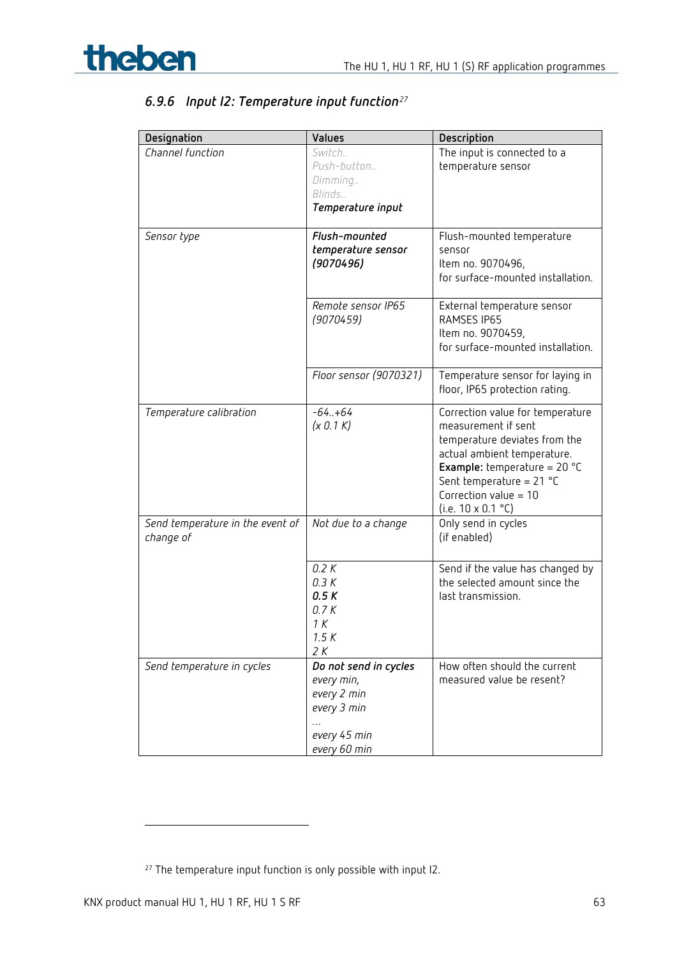| Designation                      | Values                 | Description                                           |
|----------------------------------|------------------------|-------------------------------------------------------|
| Channel function                 | Switch                 | The input is connected to a                           |
|                                  | Push-button            | temperature sensor                                    |
|                                  | Dimming                |                                                       |
|                                  | Blinds                 |                                                       |
|                                  | Temperature input      |                                                       |
| Sensor type                      | Flush-mounted          | Flush-mounted temperature                             |
|                                  | temperature sensor     | sensor                                                |
|                                  | (9070496)              | Item no. 9070496,                                     |
|                                  |                        | for surface-mounted installation.                     |
|                                  | Remote sensor IP65     | External temperature sensor                           |
|                                  | (9070459)              | RAMSES IP65                                           |
|                                  |                        | Item no. 9070459,                                     |
|                                  |                        | for surface-mounted installation.                     |
|                                  | Floor sensor (9070321) | Temperature sensor for laying in                      |
|                                  |                        | floor, IP65 protection rating.                        |
| Temperature calibration          | $-64. + 64$            | Correction value for temperature                      |
|                                  | (x 0.1 K)              | measurement if sent                                   |
|                                  |                        | temperature deviates from the                         |
|                                  |                        | actual ambient temperature.                           |
|                                  |                        | <b>Example:</b> temperature = 20 $^{\circ}$ C         |
|                                  |                        | Sent temperature = $21 °C$<br>Correction value = $10$ |
|                                  |                        | (i.e. $10 \times 0.1$ °C)                             |
| Send temperature in the event of | Not due to a change    | Only send in cycles                                   |
| change of                        |                        | (if enabled)                                          |
|                                  |                        |                                                       |
|                                  | 0.2K                   | Send if the value has changed by                      |
|                                  | 0.3K                   | the selected amount since the                         |
|                                  | 0.5K                   | last transmission.                                    |
|                                  | 0.7K                   |                                                       |
|                                  | 1K                     |                                                       |
|                                  | 1.5K<br>2 K            |                                                       |
| Send temperature in cycles       | Do not send in cycles  | How often should the current                          |
|                                  | every min,             | measured value be resent?                             |
|                                  | every 2 min            |                                                       |
|                                  | every 3 min            |                                                       |
|                                  |                        |                                                       |
|                                  | every 45 min           |                                                       |
|                                  | every 60 min           |                                                       |

# *6.9.6 Input I2: Temperature input function[27](#page-62-0)*

<span id="page-62-0"></span><sup>&</sup>lt;sup>27</sup> The temperature input function is only possible with input I2.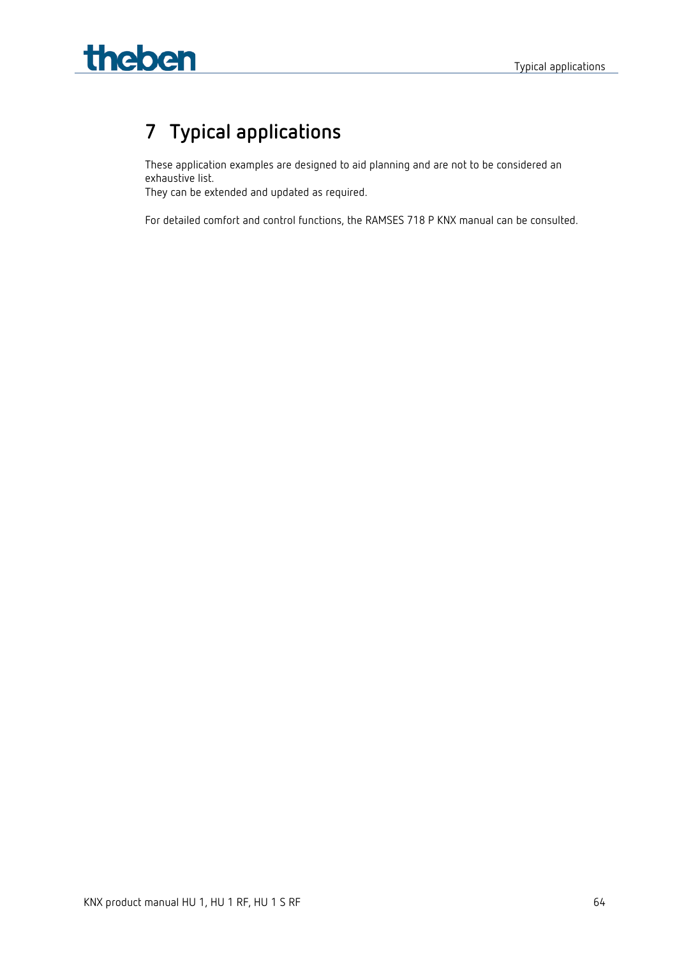# theben

# **7 Typical applications**

These application examples are designed to aid planning and are not to be considered an exhaustive list. They can be extended and updated as required.

For detailed comfort and control functions, the RAMSES 718 P KNX manual can be consulted.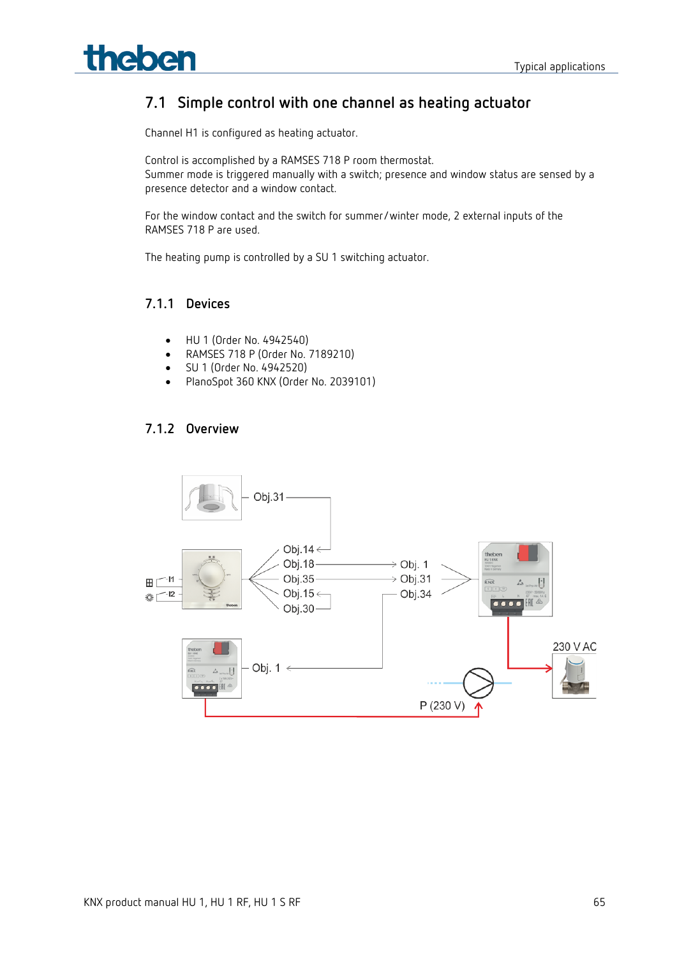theben

# **7.1 Simple control with one channel as heating actuator**

Channel H1 is configured as heating actuator.

Control is accomplished by a RAMSES 718 P room thermostat. Summer mode is triggered manually with a switch; presence and window status are sensed by a presence detector and a window contact.

For the window contact and the switch for summer/winter mode, 2 external inputs of the RAMSES 718 P are used.

The heating pump is controlled by a SU 1 switching actuator.

#### **7.1.1 Devices**

- HU 1 (Order No. 4942540)
- RAMSES 718 P (Order No. 7189210)
- SU 1 (Order No. 4942520)
- PlanoSpot 360 KNX (Order No. 2039101)

#### **7.1.2 Overview**

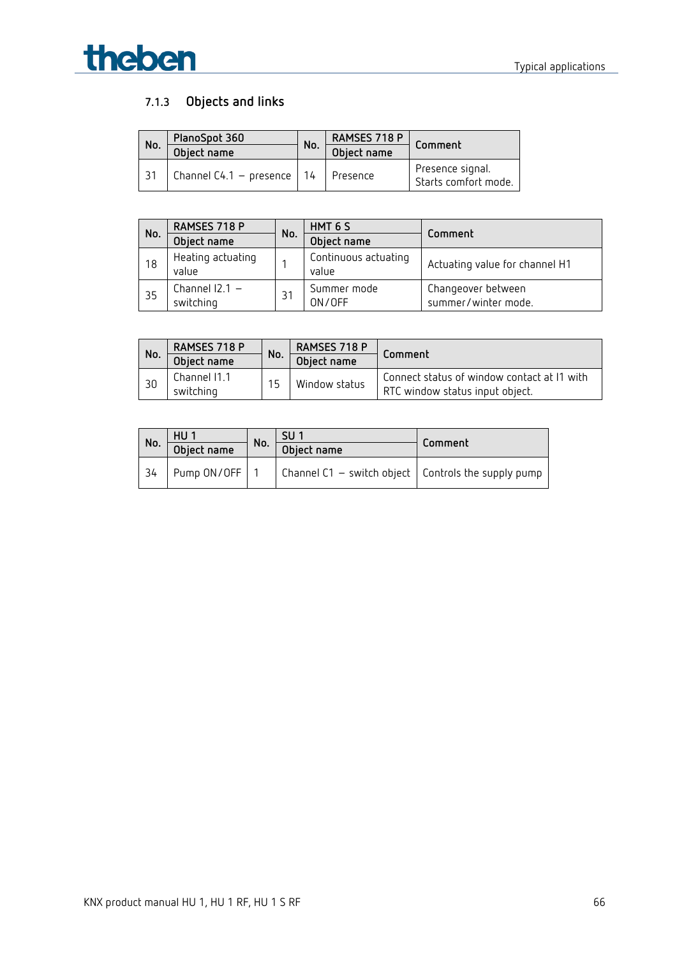

# **7.1.3 Objects and links**

|     | PlanoSpot 360                  |     | RAMSES 718 P | Comment                                  |  |
|-----|--------------------------------|-----|--------------|------------------------------------------|--|
| No. | Object name                    | No. | Object name  |                                          |  |
|     | Channel C4.1 - presence   $14$ |     | I Presence   | Presence signal.<br>Starts comfort mode. |  |

| No. | RAMSES 718 P                  |     | HMT <sub>6</sub> S            | Comment                                   |  |
|-----|-------------------------------|-----|-------------------------------|-------------------------------------------|--|
|     | Object name                   | No. | Object name                   |                                           |  |
| 18  | Heating actuating<br>value    |     | Continuous actuating<br>value | Actuating value for channel H1            |  |
| 35  | Channel $12.1 -$<br>switching | 31  | Summer mode<br>ON/OFF         | Changeover between<br>summer/winter mode. |  |

| No. | RAMSES 718 P              | No. | RAMSES 718 P  | Comment                                                                        |
|-----|---------------------------|-----|---------------|--------------------------------------------------------------------------------|
|     | Object name               |     | Object name   |                                                                                |
| 30  | Channel I1.1<br>switching | 15  | Window status | Connect status of window contact at 11 with<br>RTC window status input object. |

|     | HU <sub>1</sub> | SU <sub>1</sub><br>No. |                                                               |         |  |
|-----|-----------------|------------------------|---------------------------------------------------------------|---------|--|
| No. | Object name     |                        | Object name                                                   | Comment |  |
| 34  | Pump ON/OFF     |                        | Channel C1 $-$ switch object $\vert$ Controls the supply pump |         |  |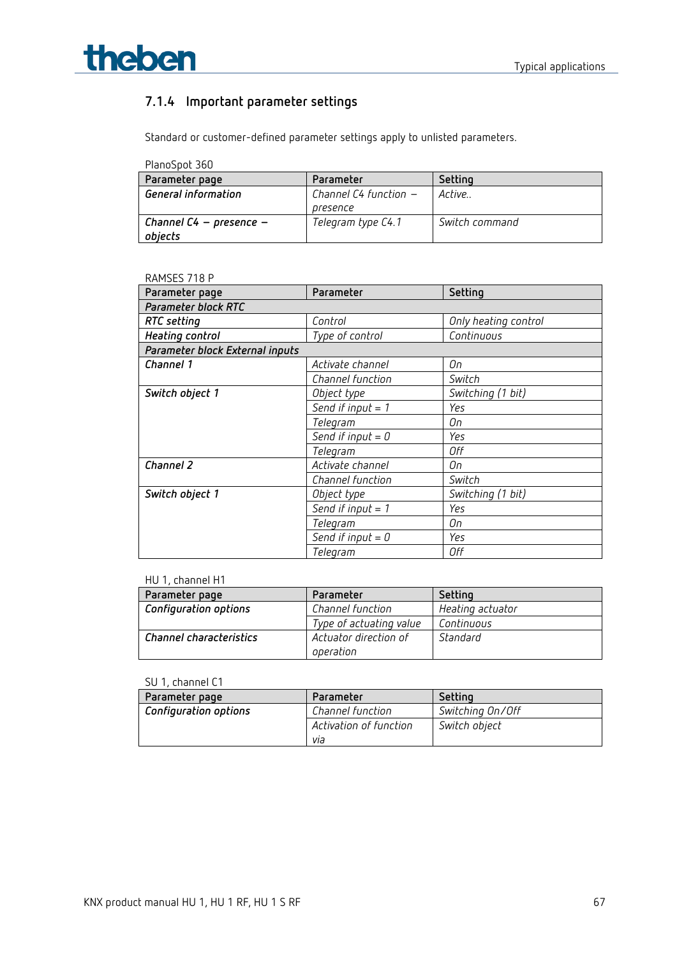

# **7.1.4 Important parameter settings**

Standard or customer-defined parameter settings apply to unlisted parameters.

| PlanoSpot 360                          |                                   |                |
|----------------------------------------|-----------------------------------|----------------|
| Parameter page                         | Parameter                         | Setting        |
| General information                    | Channel C4 function –<br>presence | Active         |
| Channel C4 $-$ presence $-$<br>objects | Telegram type C4.1                | Switch command |

#### RAMSES 718 P

| Parameter page                  | Parameter           | Setting              |
|---------------------------------|---------------------|----------------------|
| Parameter block RTC             |                     |                      |
| RTC setting                     | Control             | Only heating control |
| <b>Heating control</b>          | Type of control     | Continuous           |
| Parameter block External inputs |                     |                      |
| Channel 1                       | Activate channel    | Оn                   |
|                                 | Channel function    | Switch               |
| Switch object 1                 | Object type         | Switching (1 bit)    |
|                                 | Send if input $= 1$ | Yes                  |
|                                 | Telegram            | On                   |
|                                 | Send if input $= 0$ | Yes                  |
|                                 | Telegram            | Off                  |
| Channel 2                       | Activate channel    | On                   |
|                                 | Channel function    | Switch               |
| Switch object 1                 | Object type         | Switching (1 bit)    |
|                                 | Send if input $= 1$ | Yes                  |
|                                 | Telegram            | On                   |
|                                 | Send if input $= 0$ | Yes                  |
|                                 | Telegram            | Off                  |

#### HU 1, channel H1

| Parameter page               | Parameter                            | Setting    |
|------------------------------|--------------------------------------|------------|
| <b>Configuration options</b> | Channel function<br>Heating actuator |            |
|                              | Type of actuating value              | Continuous |
| Channel characteristics      | Actuator direction of                | Standard   |
|                              | operation                            |            |

#### SU 1, channel C1

| Parameter page               | Parameter              | Setting          |
|------------------------------|------------------------|------------------|
| <b>Configuration options</b> | Channel function       | Switching On/Off |
|                              | Activation of function | Switch object    |
|                              | via                    |                  |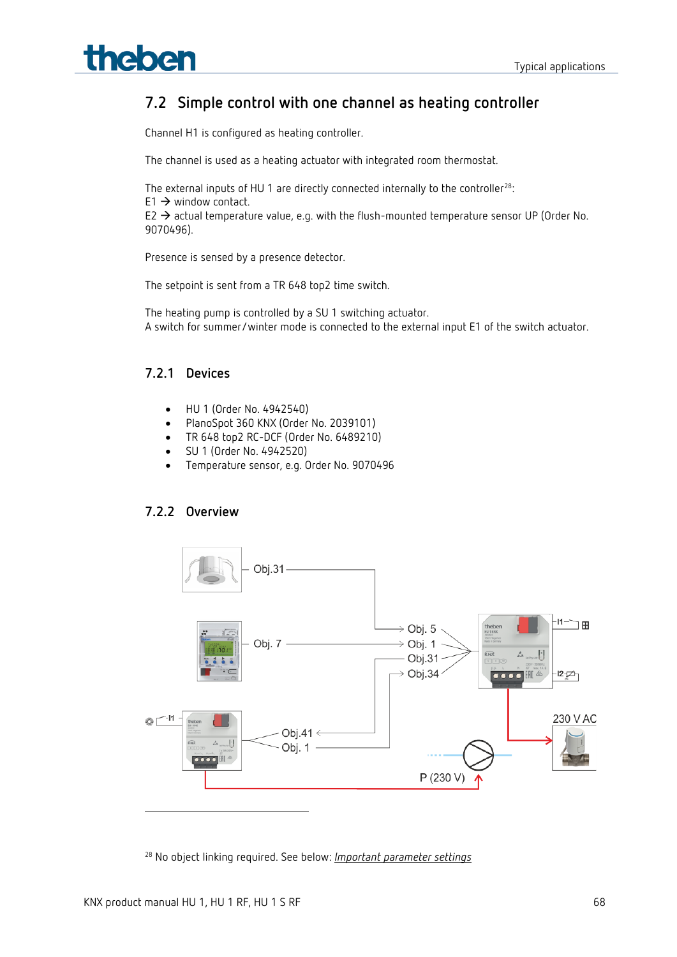theben

# **7.2 Simple control with one channel as heating controller**

Channel H1 is configured as heating controller.

The channel is used as a heating actuator with integrated room thermostat.

The external inputs of HU 1 are directly connected internally to the controller<sup>[28](#page-67-0)</sup>:

 $E1 \rightarrow$  window contact.

E2  $\rightarrow$  actual temperature value, e.g. with the flush-mounted temperature sensor UP (Order No. 9070496).

Presence is sensed by a presence detector.

The setpoint is sent from a TR 648 top2 time switch.

The heating pump is controlled by a SU 1 switching actuator. A switch for summer/winter mode is connected to the external input E1 of the switch actuator.

#### **7.2.1 Devices**

- HU 1 (Order No. 4942540)
- PlanoSpot 360 KNX (Order No. 2039101)
- TR 648 top2 RC-DCF (Order No. 6489210)
- SU 1 (Order No. 4942520)
- Temperature sensor, e.g. Order No. 9070496

#### **7.2.2 Overview**



<span id="page-67-0"></span><sup>28</sup> No object linking required. See below: *Important parameter settings*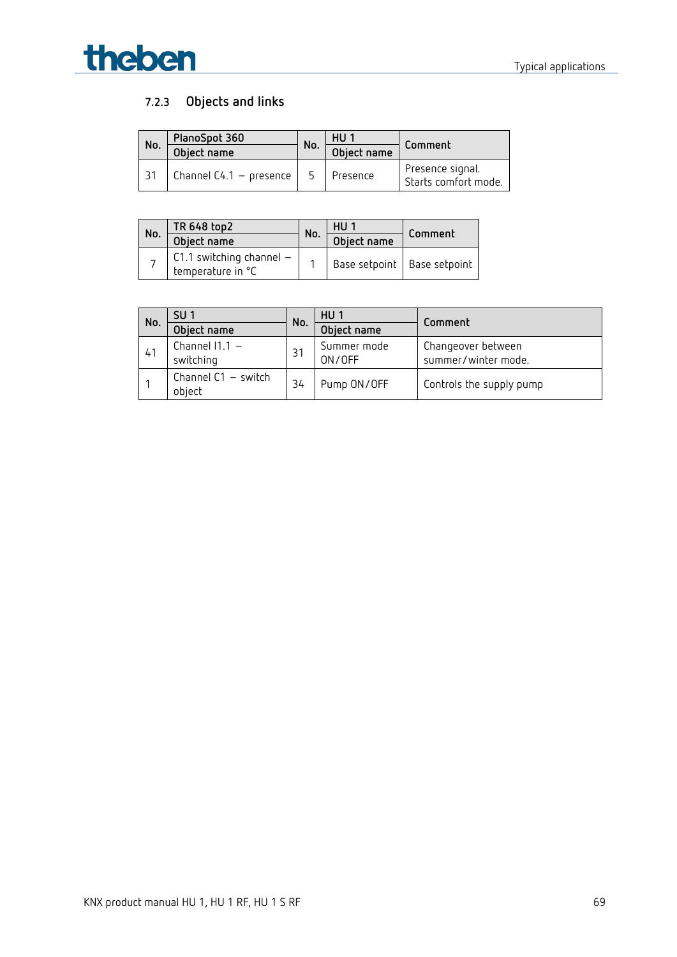

# **7.2.3 Objects and links**

| No. | PlanoSpot 360             | No. | HU <sub>1</sub> | Comment                                  |  |
|-----|---------------------------|-----|-----------------|------------------------------------------|--|
|     | Object name               |     | Object name     |                                          |  |
|     | Channel C4.1 $-$ presence | ҕ   | Presence        | Presence signal.<br>Starts comfort mode. |  |

| No. | TR 648 top2                                     | No. | HU <sub>1</sub><br>Comment    |  |  |
|-----|-------------------------------------------------|-----|-------------------------------|--|--|
|     | Object name                                     |     | Object name                   |  |  |
|     | C1.1 switching channel $-$<br>temperature in °C |     | Base setpoint   Base setpoint |  |  |

| No. | SU <sub>1</sub>                 | No. | HU <sub>1</sub>       | Comment                                   |  |
|-----|---------------------------------|-----|-----------------------|-------------------------------------------|--|
|     | Object name                     |     | Object name           |                                           |  |
| 41  | Channel $11.1 -$<br>switching   | 31  | Summer mode<br>ON/OFF | Changeover between<br>summer/winter mode. |  |
|     | Channel $C1 - switch$<br>object | 34  | Pump ON/OFF           | Controls the supply pump                  |  |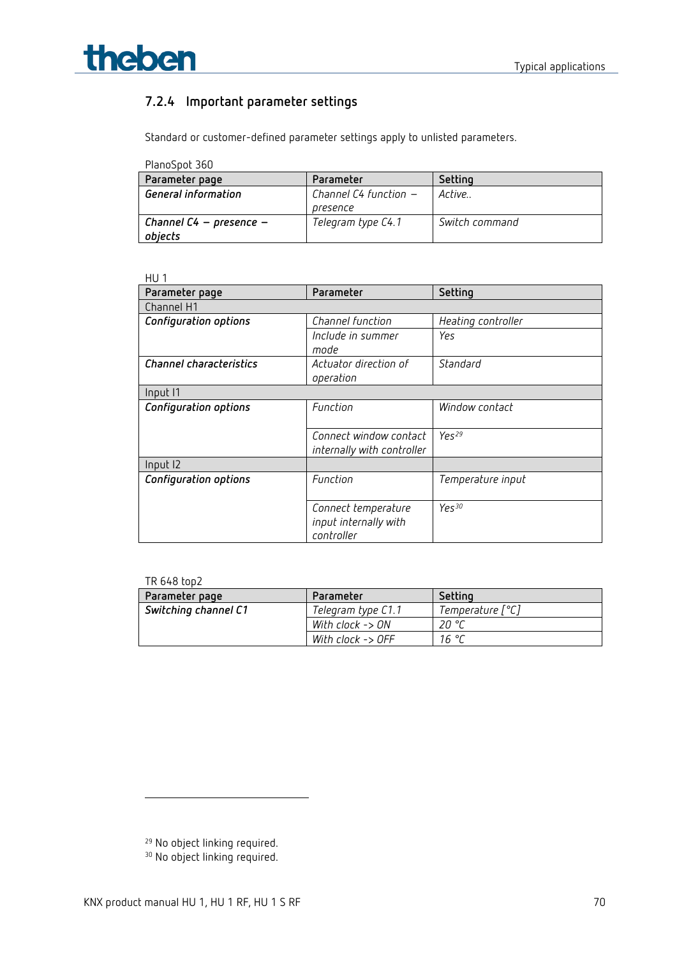

### **7.2.4 Important parameter settings**

Standard or customer-defined parameter settings apply to unlisted parameters.

| Parameter               | Setting        |
|-------------------------|----------------|
| Channel C4 function $-$ | Active         |
| presence                |                |
| Telegram type C4.1      | Switch command |
|                         |                |

|  | ٧ |  |
|--|---|--|

|                            | Setting            |  |  |  |
|----------------------------|--------------------|--|--|--|
| Channel H1                 |                    |  |  |  |
| Channel function           | Heating controller |  |  |  |
| Include in summer          | Yes                |  |  |  |
| mode                       |                    |  |  |  |
| Actuator direction of      | Standard           |  |  |  |
| operation                  |                    |  |  |  |
| Input I1                   |                    |  |  |  |
| Function                   | Window contact     |  |  |  |
|                            |                    |  |  |  |
| Connect window contact     | Yes <sup>29</sup>  |  |  |  |
| internally with controller |                    |  |  |  |
|                            |                    |  |  |  |
| Function                   | Temperature input  |  |  |  |
|                            |                    |  |  |  |
| Connect temperature        | Yes <sup>30</sup>  |  |  |  |
| input internally with      |                    |  |  |  |
| controller                 |                    |  |  |  |
|                            | Parameter          |  |  |  |

#### TR 648 top2

| Parameter page       | Parameter          | Setting                   |
|----------------------|--------------------|---------------------------|
| Switching channel C1 | Telegram type C1.1 | Temperature $[^{\circ}C]$ |
|                      | With clock -> ON   | 20 °C                     |
|                      | With clock -> OFF  | 16 °C                     |

<span id="page-69-1"></span><span id="page-69-0"></span><sup>29</sup> No object linking required. <sup>30</sup> No object linking required.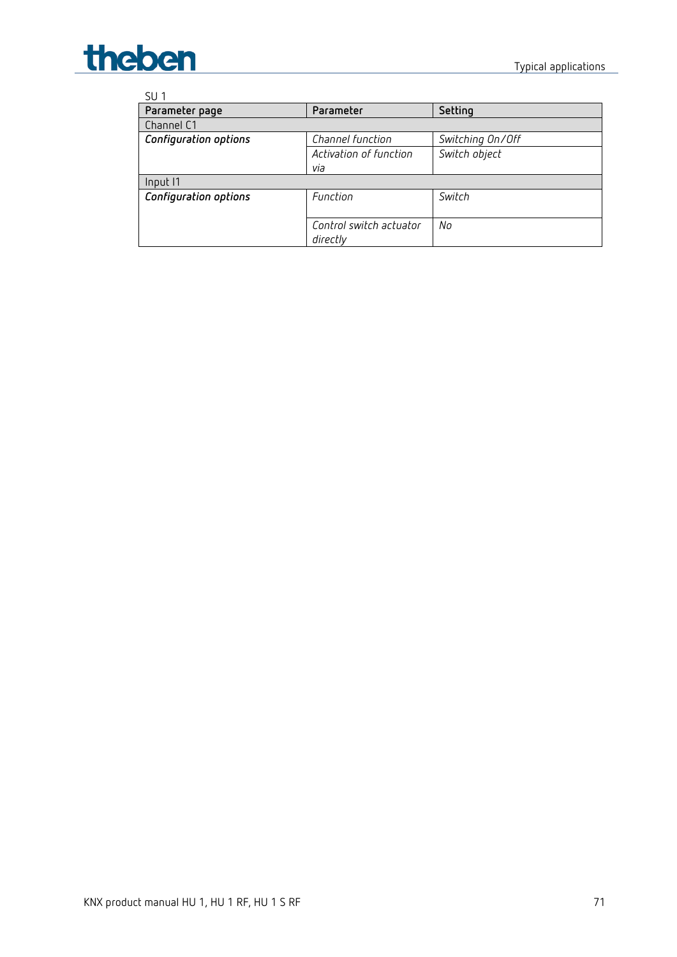

| SU <sub>1</sub>              |                         |                  |  |  |
|------------------------------|-------------------------|------------------|--|--|
| Parameter page               | Parameter               | Setting          |  |  |
| Channel C1                   |                         |                  |  |  |
| <b>Configuration options</b> | Channel function        | Switching On/Off |  |  |
|                              | Activation of function  | Switch object    |  |  |
|                              | via                     |                  |  |  |
| Input I1                     |                         |                  |  |  |
| <b>Configuration options</b> | Function                | Switch           |  |  |
|                              |                         |                  |  |  |
|                              | Control switch actuator | No               |  |  |
|                              | directly                |                  |  |  |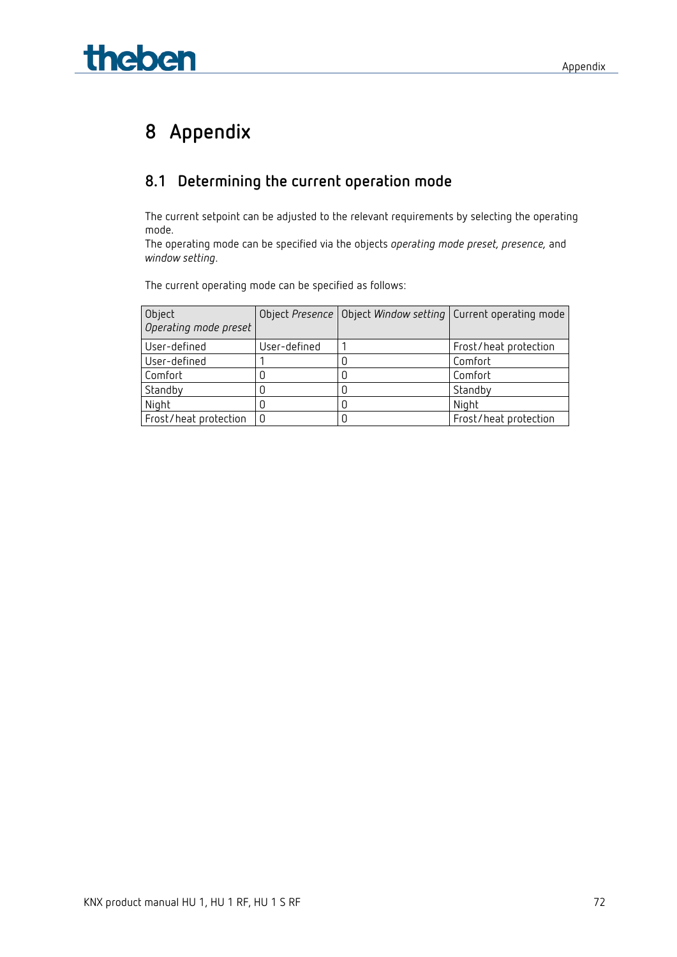# theben

# **8 Appendix**

# **8.1 Determining the current operation mode**

The current setpoint can be adjusted to the relevant requirements by selecting the operating mode.

The operating mode can be specified via the objects *operating mode preset, presence,* and *window setting*.

The current operating mode can be specified as follows:

| Object<br>Operating mode preset |              | Object Presence   Object Window setting   Current operating mode |
|---------------------------------|--------------|------------------------------------------------------------------|
| User-defined                    | User-defined | Frost/heat protection                                            |
| User-defined                    |              | Comfort                                                          |
| Comfort                         |              | Comfort                                                          |
| Standby                         |              | Standby                                                          |
| Night                           |              | Night                                                            |
| Frost/heat protection           |              | Frost/heat protection                                            |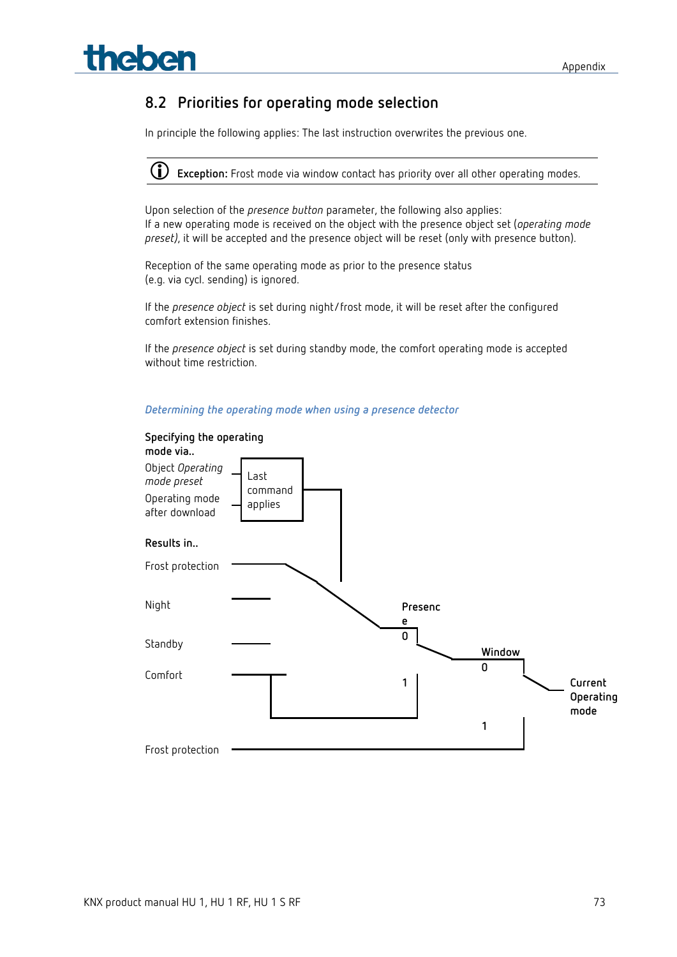**theber** 

# **8.2 Priorities for operating mode selection**

In principle the following applies: The last instruction overwrites the previous one.

**Exception:** Frost mode via window contact has priority over all other operating modes.

Upon selection of the *presence button* parameter, the following also applies: If a new operating mode is received on the object with the presence object set (*operating mode preset)*, it will be accepted and the presence object will be reset (only with presence button).

Reception of the same operating mode as prior to the presence status (e.g. via cycl. sending) is ignored.

If the *presence object* is set during night/frost mode, it will be reset after the configured comfort extension finishes.

If the *presence object* is set during standby mode, the comfort operating mode is accepted without time restriction.



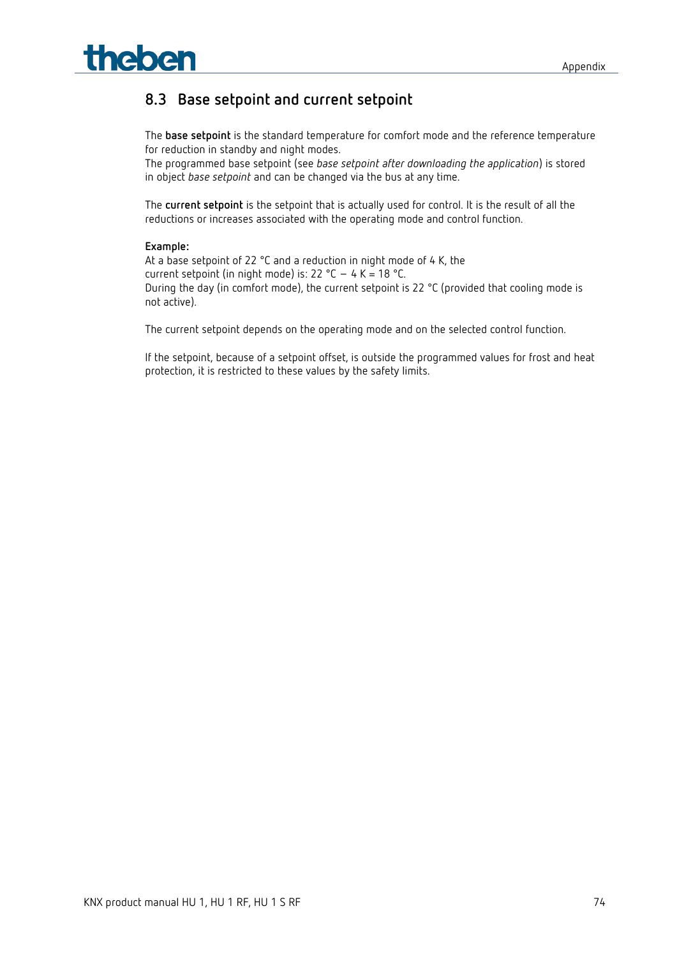

# **8.3 Base setpoint and current setpoint**

The **base setpoint** is the standard temperature for comfort mode and the reference temperature for reduction in standby and night modes.

The programmed base setpoint (see *base setpoint after downloading the application*) is stored in object *base setpoint* and can be changed via the bus at any time.

The **current setpoint** is the setpoint that is actually used for control. It is the result of all the reductions or increases associated with the operating mode and control function.

#### **Example:**

At a base setpoint of 22 °C and a reduction in night mode of 4 K, the current setpoint (in night mode) is: 22 °C – 4 K = 18 °C. During the day (in comfort mode), the current setpoint is 22 °C (provided that cooling mode is not active).

The current setpoint depends on the operating mode and on the selected control function.

If the setpoint, because of a setpoint offset, is outside the programmed values for frost and heat protection, it is restricted to these values by the safety limits.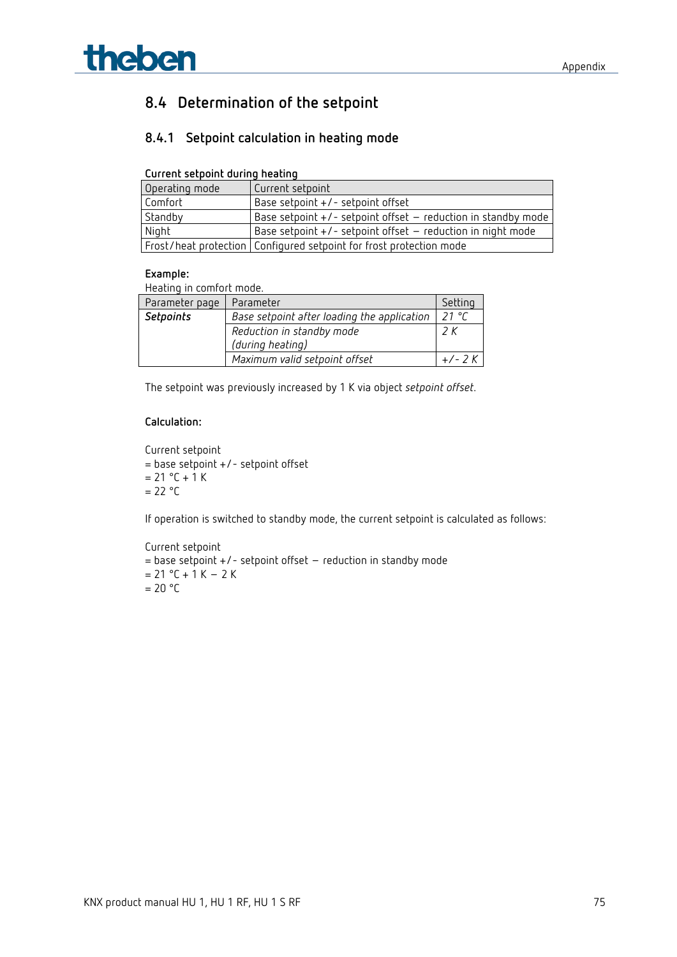

# **8.4 Determination of the setpoint**

## **8.4.1 Setpoint calculation in heating mode**

### **Current setpoint during heating**

| Operating mode | Current setpoint                                                      |
|----------------|-----------------------------------------------------------------------|
| Comfort        | Base setpoint +/- setpoint offset                                     |
| Standby        | Base setpoint $+/-$ setpoint offset $-$ reduction in standby mode     |
| Night          | Base setpoint $+/-$ setpoint offset $-$ reduction in night mode       |
|                | Frost/heat protection   Configured setpoint for frost protection mode |

#### **Example:**

Heating in comfort mode.

| Parameter page | Parameter                                   | Setting  |
|----------------|---------------------------------------------|----------|
| Setpoints      | Base setpoint after loading the application | 21 °C    |
|                | Reduction in standby mode                   | 2 K      |
|                | (during heating)                            |          |
|                | Maximum valid setpoint offset               | $+/- 2K$ |

The setpoint was previously increased by 1 K via object *setpoint offset*.

### **Calculation:**

Current setpoint = base setpoint +/- setpoint offset  $= 21 °C + 1 K$  $= 22 °C$ 

If operation is switched to standby mode, the current setpoint is calculated as follows:

Current setpoint = base setpoint +/- setpoint offset – reduction in standby mode  $= 21 °C + 1 K - 2 K$  $= 20 °C$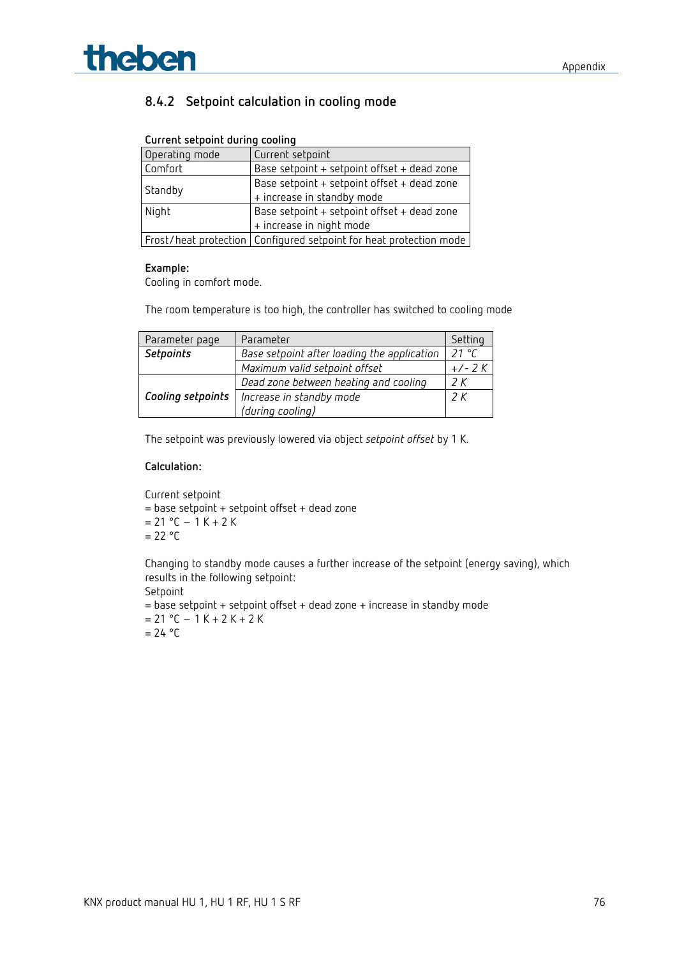

## **8.4.2 Setpoint calculation in cooling mode**

#### **Current setpoint during cooling**

| Operating mode | Current setpoint                                                     |
|----------------|----------------------------------------------------------------------|
| Comfort        | Base setpoint + setpoint offset + dead zone                          |
| Standby        | Base setpoint + setpoint offset + dead zone                          |
|                | + increase in standby mode                                           |
| Night          | Base setpoint + setpoint offset + dead zone                          |
|                | + increase in night mode                                             |
|                | Frost/heat protection   Configured setpoint for heat protection mode |

#### **Example:**

Cooling in comfort mode.

The room temperature is too high, the controller has switched to cooling mode

| Parameter page    | Parameter                                   | Setting  |
|-------------------|---------------------------------------------|----------|
| Setpoints         | Base setpoint after loading the application | 21°C     |
|                   | Maximum valid setpoint offset               | $+/- 2K$ |
|                   | Dead zone between heating and cooling       | 2 K      |
| Cooling setpoints | Increase in standby mode                    | 2 K      |
|                   | (during cooling)                            |          |

The setpoint was previously lowered via object *setpoint offset* by 1 K.

#### **Calculation:**

Current setpoint = base setpoint + setpoint offset + dead zone  $= 21 °C - 1 K + 2 K$  $= 22 °C$ 

Changing to standby mode causes a further increase of the setpoint (energy saving), which results in the following setpoint:

Setpoint = base setpoint + setpoint offset + dead zone + increase in standby mode  $= 21 °C - 1 K + 2 K + 2 K$  $= 24 °C$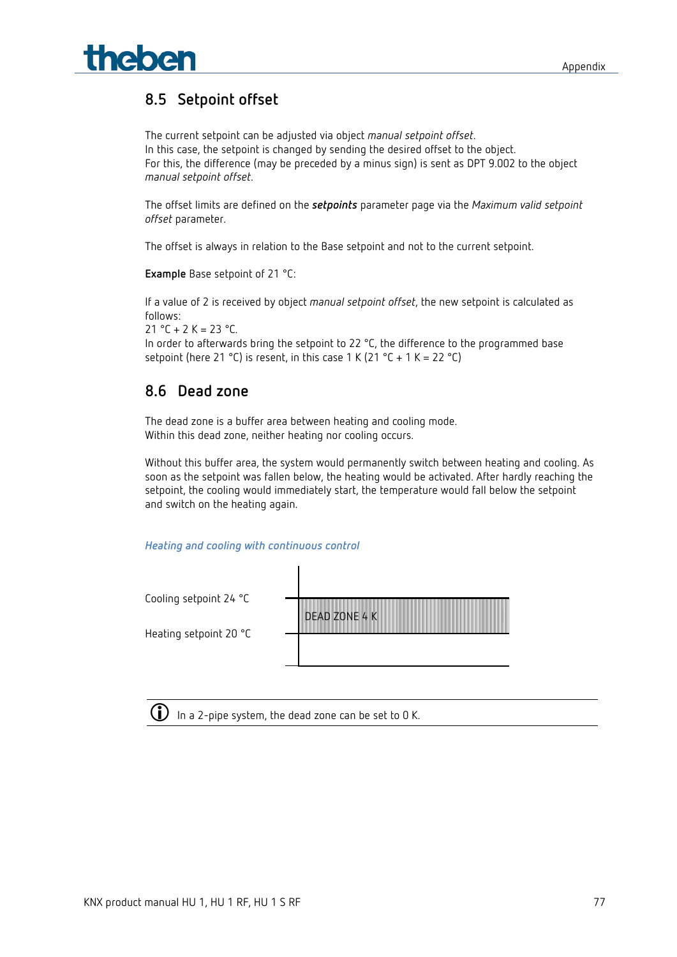

# **8.5 Setpoint offset**

The current setpoint can be adjusted via object *manual setpoint offset*. In this case, the setpoint is changed by sending the desired offset to the object. For this, the difference (may be preceded by a minus sign) is sent as DPT 9.002 to the object *manual setpoint offset*.

The offset limits are defined on the *setpoints* parameter page via the *Maximum valid setpoint offset* parameter.

The offset is always in relation to the Base setpoint and not to the current setpoint.

**Example** Base setpoint of 21 °C:

If a value of 2 is received by object *manual setpoint offset*, the new setpoint is calculated as follows:

 $21 °C + 2 K = 23 °C$ .

In order to afterwards bring the setpoint to 22 °C, the difference to the programmed base setpoint (here 21 °C) is resent, in this case 1 K (21 °C + 1 K = 22 °C)

## **8.6 Dead zone**

The dead zone is a buffer area between heating and cooling mode. Within this dead zone, neither heating nor cooling occurs.

Without this buffer area, the system would permanently switch between heating and cooling. As soon as the setpoint was fallen below, the heating would be activated. After hardly reaching the setpoint, the cooling would immediately start, the temperature would fall below the setpoint and switch on the heating again.

*Heating and cooling with continuous control*



In a 2-pipe system, the dead zone can be set to 0 K.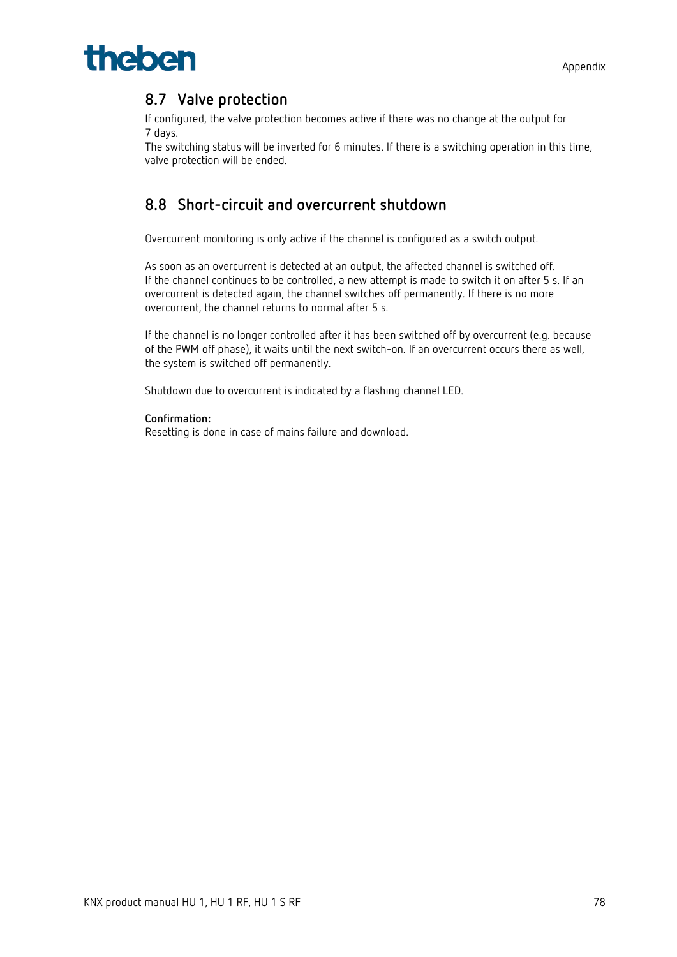

# **8.7 Valve protection**

If configured, the valve protection becomes active if there was no change at the output for 7 days.

The switching status will be inverted for 6 minutes. If there is a switching operation in this time, valve protection will be ended.

# **8.8 Short-circuit and overcurrent shutdown**

Overcurrent monitoring is only active if the channel is configured as a switch output.

As soon as an overcurrent is detected at an output, the affected channel is switched off. If the channel continues to be controlled, a new attempt is made to switch it on after 5 s. If an overcurrent is detected again, the channel switches off permanently. If there is no more overcurrent, the channel returns to normal after 5 s.

If the channel is no longer controlled after it has been switched off by overcurrent (e.g. because of the PWM off phase), it waits until the next switch-on. If an overcurrent occurs there as well, the system is switched off permanently.

Shutdown due to overcurrent is indicated by a flashing channel LED.

#### **Confirmation:**

Resetting is done in case of mains failure and download.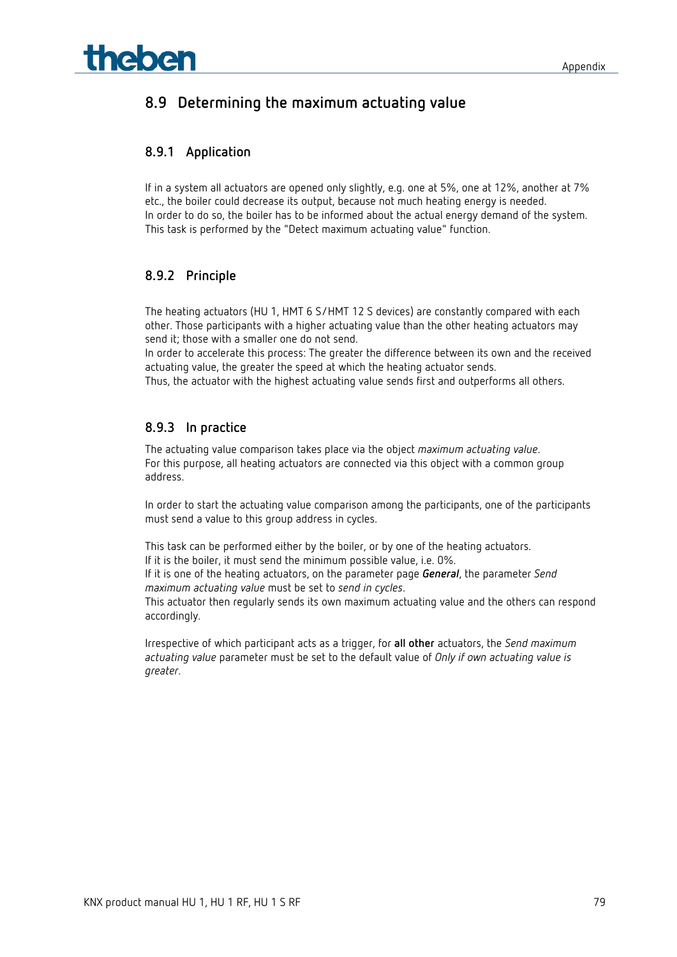

# **8.9 Determining the maximum actuating value**

## **8.9.1 Application**

If in a system all actuators are opened only slightly, e.g. one at 5%, one at 12%, another at 7% etc., the boiler could decrease its output, because not much heating energy is needed. In order to do so, the boiler has to be informed about the actual energy demand of the system. This task is performed by the "Detect maximum actuating value" function.

## **8.9.2 Principle**

The heating actuators (HU 1, HMT 6 S/HMT 12 S devices) are constantly compared with each other. Those participants with a higher actuating value than the other heating actuators may send it; those with a smaller one do not send.

In order to accelerate this process: The greater the difference between its own and the received actuating value, the greater the speed at which the heating actuator sends.

Thus, the actuator with the highest actuating value sends first and outperforms all others.

## **8.9.3 In practice**

The actuating value comparison takes place via the object *maximum actuating value*. For this purpose, all heating actuators are connected via this object with a common group address.

In order to start the actuating value comparison among the participants, one of the participants must send a value to this group address in cycles.

This task can be performed either by the boiler, or by one of the heating actuators. If it is the boiler, it must send the minimum possible value, i.e. 0%.

If it is one of the heating actuators, on the parameter page *General*, the parameter *Send maximum actuating value* must be set to *send in cycles*.

This actuator then regularly sends its own maximum actuating value and the others can respond accordingly.

Irrespective of which participant acts as a trigger, for **all other** actuators, the *Send maximum actuating value* parameter must be set to the default value of *Only if own actuating value is greater*.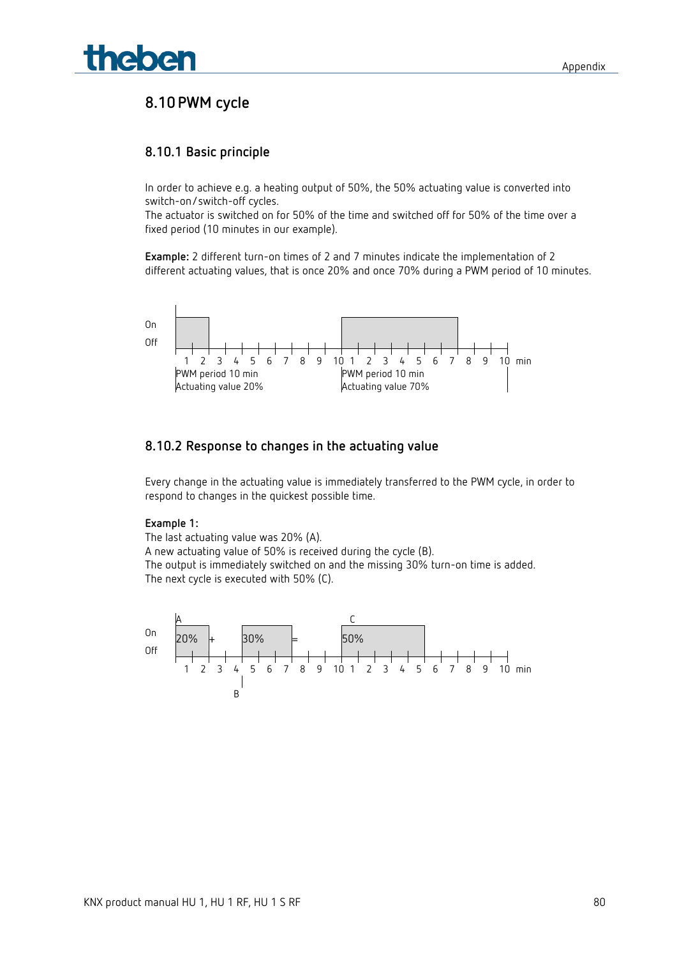## **8.10 PWM cycle**

## **8.10.1 Basic principle**

In order to achieve e.g. a heating output of 50%, the 50% actuating value is converted into switch-on/switch-off cycles.

The actuator is switched on for 50% of the time and switched off for 50% of the time over a fixed period (10 minutes in our example).

**Example:** 2 different turn-on times of 2 and 7 minutes indicate the implementation of 2 different actuating values, that is once 20% and once 70% during a PWM period of 10 minutes.



## **8.10.2 Response to changes in the actuating value**

Every change in the actuating value is immediately transferred to the PWM cycle, in order to respond to changes in the quickest possible time.

#### **Example 1:**

The last actuating value was 20% (A). A new actuating value of 50% is received during the cycle (B). The output is immediately switched on and the missing 30% turn-on time is added. The next cycle is executed with 50% (C).

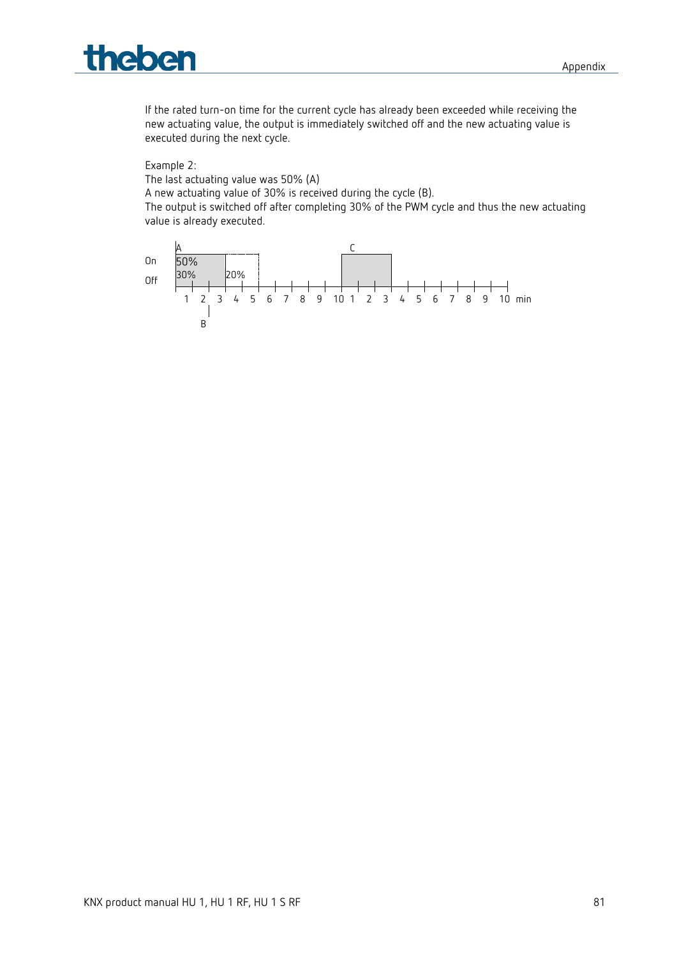# theben

If the rated turn-on time for the current cycle has already been exceeded while receiving the new actuating value, the output is immediately switched off and the new actuating value is executed during the next cycle.

### Example 2:

The last actuating value was 50% (A)

A new actuating value of 30% is received during the cycle (B).

The output is switched off after completing 30% of the PWM cycle and thus the new actuating value is already executed.